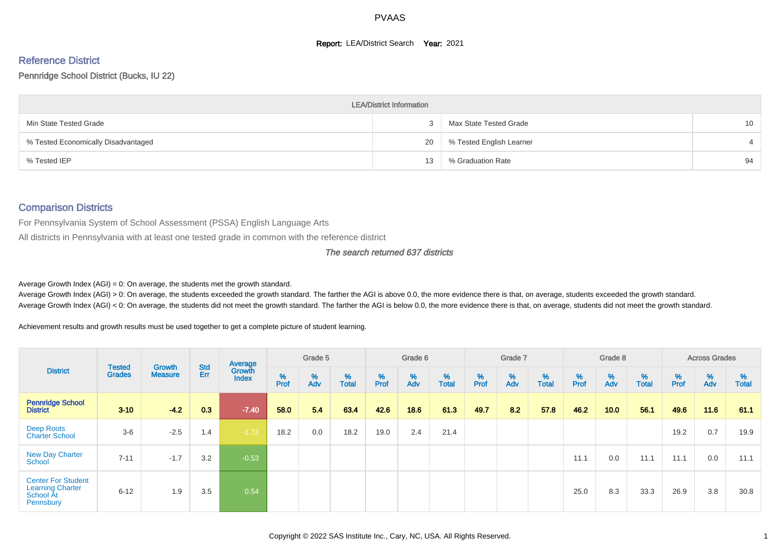## **Report: LEA/District Search Year: 2021**

# Reference District

#### Pennridge School District (Bucks, IU 22)

|                                     | <b>LEA/District Information</b> |                          |                 |
|-------------------------------------|---------------------------------|--------------------------|-----------------|
| Min State Tested Grade              |                                 | Max State Tested Grade   | 10 <sup>°</sup> |
| % Tested Economically Disadvantaged | 20                              | % Tested English Learner |                 |
| % Tested IEP                        | 13                              | % Graduation Rate        | 94              |

#### Comparison Districts

For Pennsylvania System of School Assessment (PSSA) English Language Arts

All districts in Pennsylvania with at least one tested grade in common with the reference district

#### The search returned 637 districts

Average Growth Index  $(AGI) = 0$ : On average, the students met the growth standard.

Average Growth Index (AGI) > 0: On average, the students exceeded the growth standard. The farther the AGI is above 0.0, the more evidence there is that, on average, students exceeded the growth standard. Average Growth Index (AGI) < 0: On average, the students did not meet the growth standard. The farther the AGI is below 0.0, the more evidence there is that, on average, students did not meet the growth standard.

Achievement results and growth results must be used together to get a complete picture of student learning.

| <b>District</b>                                                                |                                |                                 |            | Average                |           | Grade 5  |                   |        | Grade 6  |                   |          | Grade 7  |                   |          | Grade 8  |                   |          | <b>Across Grades</b> |                   |
|--------------------------------------------------------------------------------|--------------------------------|---------------------------------|------------|------------------------|-----------|----------|-------------------|--------|----------|-------------------|----------|----------|-------------------|----------|----------|-------------------|----------|----------------------|-------------------|
|                                                                                | <b>Tested</b><br><b>Grades</b> | <b>Growth</b><br><b>Measure</b> | Std<br>Err | Growth<br><b>Index</b> | %<br>Prof | %<br>Adv | %<br><b>Total</b> | % Pref | %<br>Adv | %<br><b>Total</b> | $%$ Prof | %<br>Adv | %<br><b>Total</b> | $%$ Prof | %<br>Adv | %<br><b>Total</b> | $%$ Prof | %<br>Adv             | %<br><b>Total</b> |
| <b>Pennridge School</b><br><b>District</b>                                     | $3 - 10$                       | $-4.2$                          | 0.3        | $-7.40$                | 58.0      | 5.4      | 63.4              | 42.6   | 18.6     | 61.3              | 49.7     | 8.2      | 57.8              | 46.2     | 10.0     | 56.1              | 49.6     | 11.6                 | 61.1              |
| Deep Roots<br><b>Charter School</b>                                            | $3-6$                          | $-2.5$                          | 1.4        | $-1.72$                | 18.2      | 0.0      | 18.2              | 19.0   | 2.4      | 21.4              |          |          |                   |          |          |                   | 19.2     | 0.7                  | 19.9              |
| <b>New Day Charter</b><br>School                                               | $7 - 11$                       | $-1.7$                          | 3.2        | $-0.53$                |           |          |                   |        |          |                   |          |          |                   | 11.1     | 0.0      | 11.1              | 11.1     | 0.0                  | 11.1              |
| <b>Center For Student</b><br><b>Learning Charter</b><br>School At<br>Pennsbury | $6 - 12$                       | 1.9                             | 3.5        | 0.54                   |           |          |                   |        |          |                   |          |          |                   | 25.0     | 8.3      | 33.3              | 26.9     | 3.8                  | 30.8              |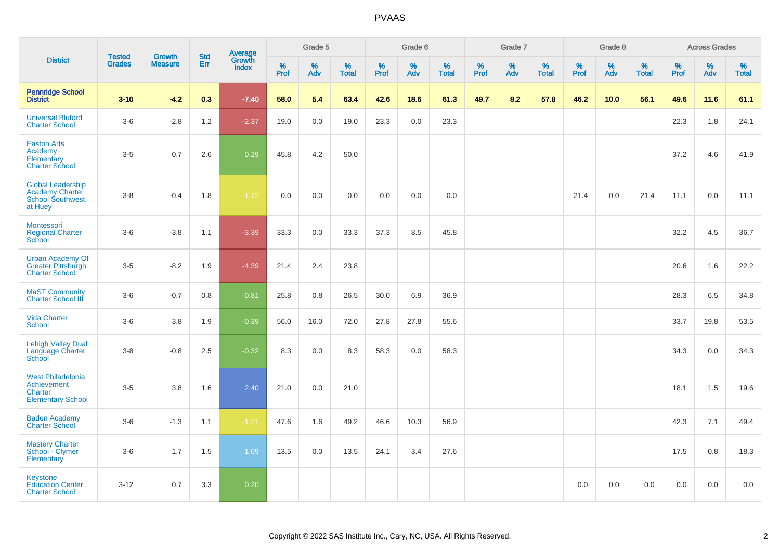|                                                                                          | <b>Tested</b> | <b>Growth</b>  | <b>Std</b> |                                          |           | Grade 5  |                   |           | Grade 6  |                   |           | Grade 7  |                   |           | Grade 8  |                   |           | <b>Across Grades</b> |                   |
|------------------------------------------------------------------------------------------|---------------|----------------|------------|------------------------------------------|-----------|----------|-------------------|-----------|----------|-------------------|-----------|----------|-------------------|-----------|----------|-------------------|-----------|----------------------|-------------------|
| <b>District</b>                                                                          | <b>Grades</b> | <b>Measure</b> | Err        | <b>Average</b><br>Growth<br><b>Index</b> | %<br>Prof | %<br>Adv | %<br><b>Total</b> | %<br>Prof | %<br>Adv | %<br><b>Total</b> | %<br>Prof | %<br>Adv | %<br><b>Total</b> | %<br>Prof | %<br>Adv | %<br><b>Total</b> | %<br>Prof | %<br>Adv             | %<br><b>Total</b> |
| <b>Pennridge School</b><br><b>District</b>                                               | $3 - 10$      | $-4.2$         | 0.3        | $-7.40$                                  | 58.0      | 5.4      | 63.4              | 42.6      | 18.6     | 61.3              | 49.7      | 8.2      | 57.8              | 46.2      | 10.0     | 56.1              | 49.6      | 11.6                 | 61.1              |
| <b>Universal Bluford</b><br><b>Charter School</b>                                        | $3-6$         | $-2.8$         | 1.2        | $-2.37$                                  | 19.0      | 0.0      | 19.0              | 23.3      | 0.0      | 23.3              |           |          |                   |           |          |                   | 22.3      | 1.8                  | 24.1              |
| <b>Easton Arts</b><br>Academy<br>Elementary<br><b>Charter School</b>                     | $3-5$         | 0.7            | 2.6        | 0.29                                     | 45.8      | 4.2      | 50.0              |           |          |                   |           |          |                   |           |          |                   | 37.2      | 4.6                  | 41.9              |
| <b>Global Leadership</b><br><b>Academy Charter</b><br><b>School Southwest</b><br>at Huey | $3 - 8$       | $-0.4$         | 1.8        | $-1.72$                                  | 0.0       | 0.0      | 0.0               | 0.0       | 0.0      | 0.0               |           |          |                   | 21.4      | 0.0      | 21.4              | 11.1      | 0.0                  | 11.1              |
| Montessori<br><b>Regional Charter</b><br>School                                          | $3-6$         | $-3.8$         | 1.1        | $-3.39$                                  | 33.3      | 0.0      | 33.3              | 37.3      | 8.5      | 45.8              |           |          |                   |           |          |                   | 32.2      | 4.5                  | 36.7              |
| <b>Urban Academy Of</b><br>Greater Pittsburgh<br><b>Charter School</b>                   | $3-5$         | $-8.2$         | 1.9        | $-4.39$                                  | 21.4      | 2.4      | 23.8              |           |          |                   |           |          |                   |           |          |                   | 20.6      | 1.6                  | 22.2              |
| <b>MaST Community</b><br><b>Charter School III</b>                                       | $3-6$         | $-0.7$         | 0.8        | $-0.81$                                  | 25.8      | 0.8      | 26.5              | 30.0      | 6.9      | 36.9              |           |          |                   |           |          |                   | 28.3      | 6.5                  | 34.8              |
| <b>Vida Charter</b><br>School                                                            | $3-6$         | 3.8            | 1.9        | $-0.39$                                  | 56.0      | 16.0     | 72.0              | 27.8      | 27.8     | 55.6              |           |          |                   |           |          |                   | 33.7      | 19.8                 | 53.5              |
| <b>Lehigh Valley Dual</b><br>Language Charter<br>School                                  | $3-8$         | $-0.8$         | 2.5        | $-0.32$                                  | 8.3       | 0.0      | 8.3               | 58.3      | 0.0      | 58.3              |           |          |                   |           |          |                   | 34.3      | 0.0                  | 34.3              |
| <b>West Philadelphia</b><br>Achievement<br>Charter<br><b>Elementary School</b>           | $3-5$         | 3.8            | 1.6        | 2.40                                     | 21.0      | 0.0      | 21.0              |           |          |                   |           |          |                   |           |          |                   | 18.1      | 1.5                  | 19.6              |
| <b>Baden Academy</b><br><b>Charter School</b>                                            | $3-6$         | $-1.3$         | 1.1        | $-1.21$                                  | 47.6      | 1.6      | 49.2              | 46.6      | 10.3     | 56.9              |           |          |                   |           |          |                   | 42.3      | 7.1                  | 49.4              |
| <b>Mastery Charter</b><br>School - Clymer<br>Elementary                                  | $3-6$         | 1.7            | 1.5        | 1.09                                     | 13.5      | 0.0      | 13.5              | 24.1      | 3.4      | 27.6              |           |          |                   |           |          |                   | 17.5      | 0.8                  | 18.3              |
| Keystone<br><b>Education Center</b><br><b>Charter School</b>                             | $3 - 12$      | 0.7            | 3.3        | 0.20                                     |           |          |                   |           |          |                   |           |          |                   | 0.0       | 0.0      | 0.0               | 0.0       | 0.0                  | 0.0               |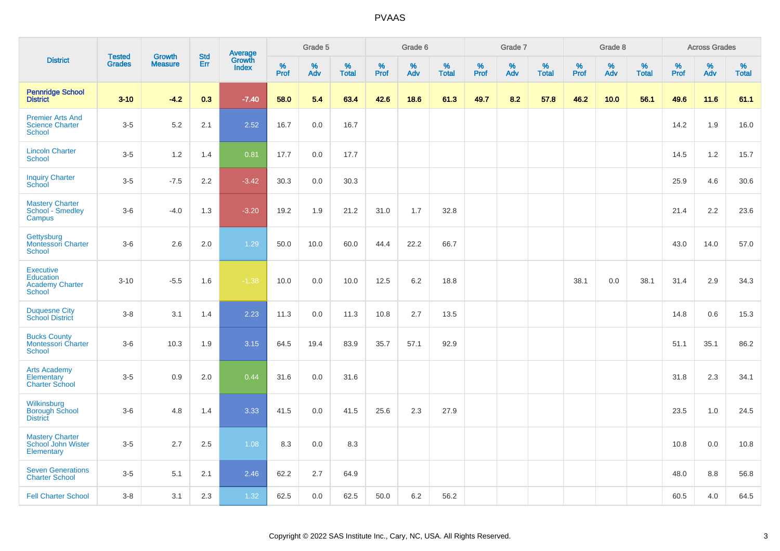|                                                                          |                                |                                 | <b>Std</b> |                                   |           | Grade 5  |                   |          | Grade 6  |                   |           | Grade 7  |                   |           | Grade 8  |                   |           | <b>Across Grades</b> |                   |
|--------------------------------------------------------------------------|--------------------------------|---------------------------------|------------|-----------------------------------|-----------|----------|-------------------|----------|----------|-------------------|-----------|----------|-------------------|-----------|----------|-------------------|-----------|----------------------|-------------------|
| <b>District</b>                                                          | <b>Tested</b><br><b>Grades</b> | <b>Growth</b><br><b>Measure</b> | Err        | Average<br>Growth<br><b>Index</b> | %<br>Prof | %<br>Adv | %<br><b>Total</b> | $%$ Prof | %<br>Adv | %<br><b>Total</b> | %<br>Prof | %<br>Adv | %<br><b>Total</b> | %<br>Prof | %<br>Adv | %<br><b>Total</b> | %<br>Prof | %<br>Adv             | %<br><b>Total</b> |
| <b>Pennridge School</b><br><b>District</b>                               | $3 - 10$                       | $-4.2$                          | 0.3        | $-7.40$                           | 58.0      | 5.4      | 63.4              | 42.6     | 18.6     | 61.3              | 49.7      | 8.2      | 57.8              | 46.2      | 10.0     | 56.1              | 49.6      | 11.6                 | 61.1              |
| <b>Premier Arts And</b><br><b>Science Charter</b><br>School              | $3-5$                          | 5.2                             | 2.1        | 2.52                              | 16.7      | 0.0      | 16.7              |          |          |                   |           |          |                   |           |          |                   | 14.2      | 1.9                  | 16.0              |
| <b>Lincoln Charter</b><br><b>School</b>                                  | $3-5$                          | 1.2                             | 1.4        | 0.81                              | 17.7      | 0.0      | 17.7              |          |          |                   |           |          |                   |           |          |                   | 14.5      | 1.2                  | 15.7              |
| <b>Inquiry Charter</b><br>School                                         | $3-5$                          | $-7.5$                          | 2.2        | $-3.42$                           | 30.3      | 0.0      | 30.3              |          |          |                   |           |          |                   |           |          |                   | 25.9      | 4.6                  | 30.6              |
| <b>Mastery Charter</b><br>School - Smedley<br>Campus                     | $3-6$                          | $-4.0$                          | 1.3        | $-3.20$                           | 19.2      | 1.9      | 21.2              | 31.0     | 1.7      | 32.8              |           |          |                   |           |          |                   | 21.4      | 2.2                  | 23.6              |
| Gettysburg<br><b>Montessori Charter</b><br>School                        | $3-6$                          | 2.6                             | 2.0        | 1.29                              | 50.0      | 10.0     | 60.0              | 44.4     | 22.2     | 66.7              |           |          |                   |           |          |                   | 43.0      | 14.0                 | 57.0              |
| <b>Executive</b><br><b>Education</b><br><b>Academy Charter</b><br>School | $3 - 10$                       | $-5.5$                          | 1.6        | $-1.38$                           | 10.0      | 0.0      | 10.0              | 12.5     | 6.2      | 18.8              |           |          |                   | 38.1      | 0.0      | 38.1              | 31.4      | 2.9                  | 34.3              |
| <b>Duquesne City</b><br><b>School District</b>                           | $3 - 8$                        | 3.1                             | 1.4        | 2.23                              | 11.3      | 0.0      | 11.3              | 10.8     | 2.7      | 13.5              |           |          |                   |           |          |                   | 14.8      | 0.6                  | 15.3              |
| <b>Bucks County</b><br><b>Montessori Charter</b><br>School               | $3-6$                          | 10.3                            | 1.9        | 3.15                              | 64.5      | 19.4     | 83.9              | 35.7     | 57.1     | 92.9              |           |          |                   |           |          |                   | 51.1      | 35.1                 | 86.2              |
| <b>Arts Academy</b><br>Elementary<br><b>Charter School</b>               | $3-5$                          | 0.9                             | 2.0        | 0.44                              | 31.6      | 0.0      | 31.6              |          |          |                   |           |          |                   |           |          |                   | 31.8      | 2.3                  | 34.1              |
| Wilkinsburg<br><b>Borough School</b><br><b>District</b>                  | $3-6$                          | 4.8                             | 1.4        | 3.33                              | 41.5      | 0.0      | 41.5              | 25.6     | 2.3      | 27.9              |           |          |                   |           |          |                   | 23.5      | 1.0                  | 24.5              |
| <b>Mastery Charter</b><br>School John Wister<br>Elementary               | $3-5$                          | 2.7                             | 2.5        | 1.08                              | 8.3       | 0.0      | 8.3               |          |          |                   |           |          |                   |           |          |                   | 10.8      | 0.0                  | 10.8              |
| <b>Seven Generations</b><br><b>Charter School</b>                        | $3-5$                          | 5.1                             | 2.1        | 2.46                              | 62.2      | 2.7      | 64.9              |          |          |                   |           |          |                   |           |          |                   | 48.0      | 8.8                  | 56.8              |
| <b>Fell Charter School</b>                                               | $3 - 8$                        | 3.1                             | 2.3        | 1.32                              | 62.5      | 0.0      | 62.5              | 50.0     | 6.2      | 56.2              |           |          |                   |           |          |                   | 60.5      | 4.0                  | 64.5              |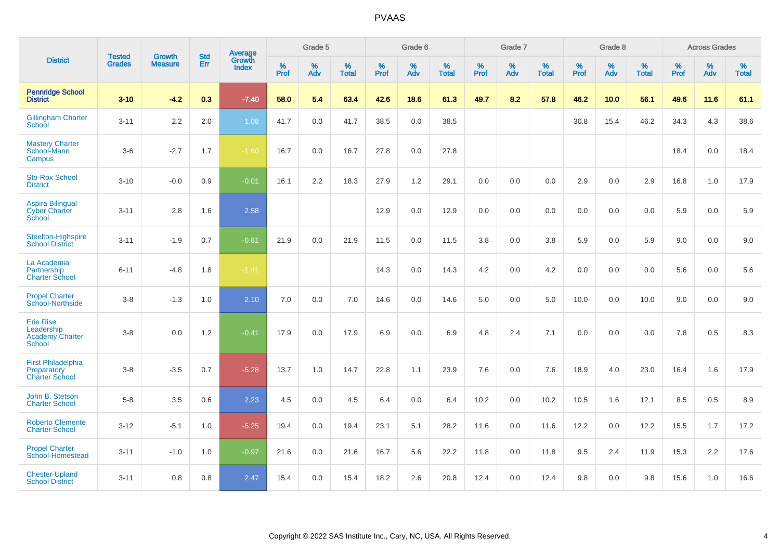|                                                                    | <b>Tested</b> |                                 | <b>Std</b> | Average                |           | Grade 5  |                   |           | Grade 6  |                   |           | Grade 7  |                   |           | Grade 8  |                   |           | <b>Across Grades</b> |                   |
|--------------------------------------------------------------------|---------------|---------------------------------|------------|------------------------|-----------|----------|-------------------|-----------|----------|-------------------|-----------|----------|-------------------|-----------|----------|-------------------|-----------|----------------------|-------------------|
| <b>District</b>                                                    | <b>Grades</b> | <b>Growth</b><br><b>Measure</b> | Err        | Growth<br><b>Index</b> | %<br>Prof | %<br>Adv | %<br><b>Total</b> | %<br>Prof | %<br>Adv | %<br><b>Total</b> | %<br>Prof | %<br>Adv | %<br><b>Total</b> | %<br>Prof | %<br>Adv | %<br><b>Total</b> | %<br>Prof | %<br>Adv             | %<br><b>Total</b> |
| <b>Pennridge School</b><br><b>District</b>                         | $3 - 10$      | $-4.2$                          | 0.3        | $-7.40$                | 58.0      | 5.4      | 63.4              | 42.6      | 18.6     | 61.3              | 49.7      | 8.2      | 57.8              | 46.2      | 10.0     | 56.1              | 49.6      | 11.6                 | 61.1              |
| <b>Gillingham Charter</b><br>School                                | $3 - 11$      | 2.2                             | 2.0        | 1.08                   | 41.7      | 0.0      | 41.7              | 38.5      | 0.0      | 38.5              |           |          |                   | 30.8      | 15.4     | 46.2              | 34.3      | 4.3                  | 38.6              |
| <b>Mastery Charter</b><br>School-Mann<br>Campus                    | $3-6$         | $-2.7$                          | 1.7        | $-1.60$                | 16.7      | 0.0      | 16.7              | 27.8      | 0.0      | 27.8              |           |          |                   |           |          |                   | 18.4      | 0.0                  | 18.4              |
| <b>Sto-Rox School</b><br><b>District</b>                           | $3 - 10$      | $-0.0$                          | 0.9        | $-0.01$                | 16.1      | 2.2      | 18.3              | 27.9      | 1.2      | 29.1              | 0.0       | 0.0      | 0.0               | 2.9       | 0.0      | 2.9               | 16.8      | 1.0                  | 17.9              |
| <b>Aspira Bilingual</b><br><b>Cyber Charter</b><br>School          | $3 - 11$      | 2.8                             | 1.6        | 2.58                   |           |          |                   | 12.9      | 0.0      | 12.9              | 0.0       | 0.0      | 0.0               | 0.0       | 0.0      | 0.0               | 5.9       | 0.0                  | 5.9               |
| Steelton-Highspire<br><b>School District</b>                       | $3 - 11$      | $-1.9$                          | 0.7        | $-0.81$                | 21.9      | 0.0      | 21.9              | 11.5      | 0.0      | 11.5              | 3.8       | 0.0      | 3.8               | 5.9       | 0.0      | 5.9               | 9.0       | 0.0                  | 9.0               |
| La Academia<br>Partnership<br><b>Charter School</b>                | $6 - 11$      | $-4.8$                          | 1.8        | $-1.41$                |           |          |                   | 14.3      | 0.0      | 14.3              | 4.2       | 0.0      | 4.2               | 0.0       | 0.0      | 0.0               | 5.6       | 0.0                  | 5.6               |
| <b>Propel Charter</b><br>School-Northside                          | $3 - 8$       | $-1.3$                          | 1.0        | 2.10                   | 7.0       | 0.0      | 7.0               | 14.6      | $0.0\,$  | 14.6              | 5.0       | $0.0\,$  | 5.0               | 10.0      | $0.0\,$  | 10.0              | 9.0       | $0.0\,$              | 9.0               |
| <b>Erie Rise</b><br>Leadership<br><b>Academy Charter</b><br>School | $3 - 8$       | 0.0                             | $1.2$      | $-0.41$                | 17.9      | 0.0      | 17.9              | 6.9       | 0.0      | 6.9               | 4.8       | 2.4      | 7.1               | 0.0       | 0.0      | 0.0               | 7.8       | 0.5                  | 8.3               |
| <b>First Philadelphia</b><br>Preparatory<br><b>Charter School</b>  | $3 - 8$       | $-3.5$                          | 0.7        | $-5.28$                | 13.7      | 1.0      | 14.7              | 22.8      | 1.1      | 23.9              | 7.6       | 0.0      | 7.6               | 18.9      | 4.0      | 23.0              | 16.4      | 1.6                  | 17.9              |
| John B. Stetson<br><b>Charter School</b>                           | $5-8$         | 3.5                             | 0.6        | 2.23                   | 4.5       | 0.0      | 4.5               | 6.4       | 0.0      | 6.4               | 10.2      | 0.0      | 10.2              | 10.5      | 1.6      | 12.1              | 8.5       | 0.5                  | 8.9               |
| <b>Roberto Clemente</b><br><b>Charter School</b>                   | $3 - 12$      | $-5.1$                          | 1.0        | $-5.25$                | 19.4      | 0.0      | 19.4              | 23.1      | 5.1      | 28.2              | 11.6      | 0.0      | 11.6              | 12.2      | 0.0      | 12.2              | 15.5      | 1.7                  | 17.2              |
| <b>Propel Charter</b><br>School-Homestead                          | $3 - 11$      | $-1.0$                          | 1.0        | $-0.97$                | 21.6      | 0.0      | 21.6              | 16.7      | 5.6      | 22.2              | 11.8      | 0.0      | 11.8              | 9.5       | 2.4      | 11.9              | 15.3      | 2.2                  | 17.6              |
| <b>Chester-Upland</b><br><b>School District</b>                    | $3 - 11$      | 0.8                             | 0.8        | 2.47                   | 15.4      | 0.0      | 15.4              | 18.2      | 2.6      | 20.8              | 12.4      | 0.0      | 12.4              | 9.8       | 0.0      | 9.8               | 15.6      | 1.0                  | 16.6              |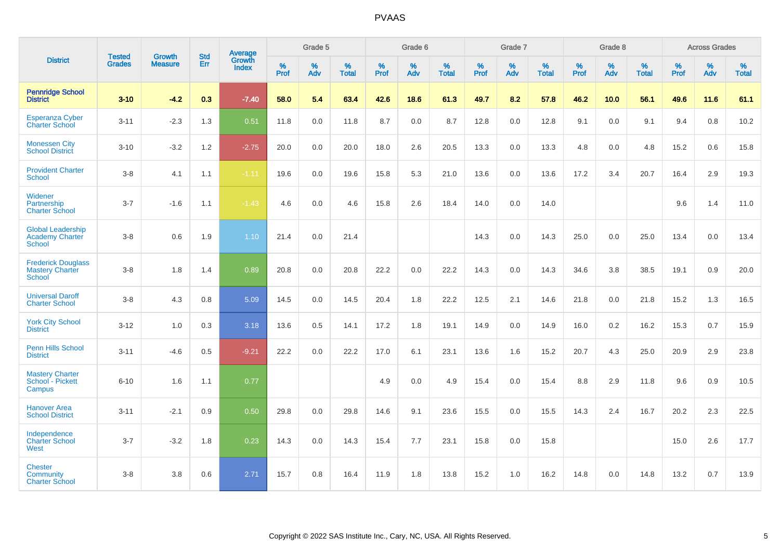|                                                                     | <b>Tested</b> | <b>Growth</b>  | <b>Std</b> | Average                |              | Grade 5  |                   |              | Grade 6  |                   |           | Grade 7  |                   |           | Grade 8  |                   |           | <b>Across Grades</b> |                   |
|---------------------------------------------------------------------|---------------|----------------|------------|------------------------|--------------|----------|-------------------|--------------|----------|-------------------|-----------|----------|-------------------|-----------|----------|-------------------|-----------|----------------------|-------------------|
| <b>District</b>                                                     | <b>Grades</b> | <b>Measure</b> | Err        | Growth<br><b>Index</b> | $\%$<br>Prof | %<br>Adv | %<br><b>Total</b> | $\%$<br>Prof | %<br>Adv | %<br><b>Total</b> | %<br>Prof | %<br>Adv | %<br><b>Total</b> | %<br>Prof | %<br>Adv | %<br><b>Total</b> | %<br>Prof | %<br>Adv             | %<br><b>Total</b> |
| <b>Pennridge School</b><br><b>District</b>                          | $3 - 10$      | $-4.2$         | 0.3        | $-7.40$                | 58.0         | 5.4      | 63.4              | 42.6         | 18.6     | 61.3              | 49.7      | 8.2      | 57.8              | 46.2      | 10.0     | 56.1              | 49.6      | 11.6                 | 61.1              |
| <b>Esperanza Cyber</b><br><b>Charter School</b>                     | $3 - 11$      | $-2.3$         | 1.3        | 0.51                   | 11.8         | 0.0      | 11.8              | 8.7          | 0.0      | 8.7               | 12.8      | 0.0      | 12.8              | 9.1       | 0.0      | 9.1               | 9.4       | 0.8                  | 10.2              |
| <b>Monessen City</b><br><b>School District</b>                      | $3 - 10$      | $-3.2$         | 1.2        | $-2.75$                | 20.0         | 0.0      | 20.0              | 18.0         | 2.6      | 20.5              | 13.3      | 0.0      | 13.3              | 4.8       | 0.0      | 4.8               | 15.2      | 0.6                  | 15.8              |
| <b>Provident Charter</b><br>School                                  | $3-8$         | 4.1            | 1.1        | $-1.11$                | 19.6         | 0.0      | 19.6              | 15.8         | 5.3      | 21.0              | 13.6      | 0.0      | 13.6              | 17.2      | 3.4      | 20.7              | 16.4      | 2.9                  | 19.3              |
| Widener<br>Partnership<br><b>Charter School</b>                     | $3 - 7$       | $-1.6$         | 1.1        | $-1.43$                | 4.6          | 0.0      | 4.6               | 15.8         | 2.6      | 18.4              | 14.0      | 0.0      | 14.0              |           |          |                   | 9.6       | 1.4                  | 11.0              |
| <b>Global Leadership</b><br><b>Academy Charter</b><br><b>School</b> | $3-8$         | 0.6            | 1.9        | 1.10                   | 21.4         | 0.0      | 21.4              |              |          |                   | 14.3      | 0.0      | 14.3              | 25.0      | 0.0      | 25.0              | 13.4      | 0.0                  | 13.4              |
| <b>Frederick Douglass</b><br><b>Mastery Charter</b><br>School       | $3-8$         | 1.8            | 1.4        | 0.89                   | 20.8         | 0.0      | 20.8              | 22.2         | 0.0      | 22.2              | 14.3      | 0.0      | 14.3              | 34.6      | 3.8      | 38.5              | 19.1      | 0.9                  | 20.0              |
| <b>Universal Daroff</b><br><b>Charter School</b>                    | $3-8$         | 4.3            | 0.8        | 5.09                   | 14.5         | 0.0      | 14.5              | 20.4         | 1.8      | 22.2              | 12.5      | 2.1      | 14.6              | 21.8      | 0.0      | 21.8              | 15.2      | 1.3                  | 16.5              |
| <b>York City School</b><br><b>District</b>                          | $3 - 12$      | 1.0            | 0.3        | 3.18                   | 13.6         | 0.5      | 14.1              | 17.2         | 1.8      | 19.1              | 14.9      | 0.0      | 14.9              | 16.0      | 0.2      | 16.2              | 15.3      | 0.7                  | 15.9              |
| <b>Penn Hills School</b><br><b>District</b>                         | $3 - 11$      | $-4.6$         | 0.5        | $-9.21$                | 22.2         | 0.0      | 22.2              | 17.0         | 6.1      | 23.1              | 13.6      | 1.6      | 15.2              | 20.7      | 4.3      | 25.0              | 20.9      | 2.9                  | 23.8              |
| <b>Mastery Charter</b><br>School - Pickett<br>Campus                | $6 - 10$      | 1.6            | 1.1        | 0.77                   |              |          |                   | 4.9          | 0.0      | 4.9               | 15.4      | 0.0      | 15.4              | 8.8       | 2.9      | 11.8              | 9.6       | 0.9                  | 10.5              |
| <b>Hanover Area</b><br><b>School District</b>                       | $3 - 11$      | $-2.1$         | 0.9        | 0.50                   | 29.8         | 0.0      | 29.8              | 14.6         | 9.1      | 23.6              | 15.5      | 0.0      | 15.5              | 14.3      | 2.4      | 16.7              | 20.2      | 2.3                  | 22.5              |
| Independence<br><b>Charter School</b><br>West                       | $3 - 7$       | $-3.2$         | 1.8        | 0.23                   | 14.3         | 0.0      | 14.3              | 15.4         | 7.7      | 23.1              | 15.8      | 0.0      | 15.8              |           |          |                   | 15.0      | 2.6                  | 17.7              |
| <b>Chester</b><br>Community<br><b>Charter School</b>                | $3-8$         | 3.8            | 0.6        | 2.71                   | 15.7         | 0.8      | 16.4              | 11.9         | 1.8      | 13.8              | 15.2      | 1.0      | 16.2              | 14.8      | 0.0      | 14.8              | 13.2      | 0.7                  | 13.9              |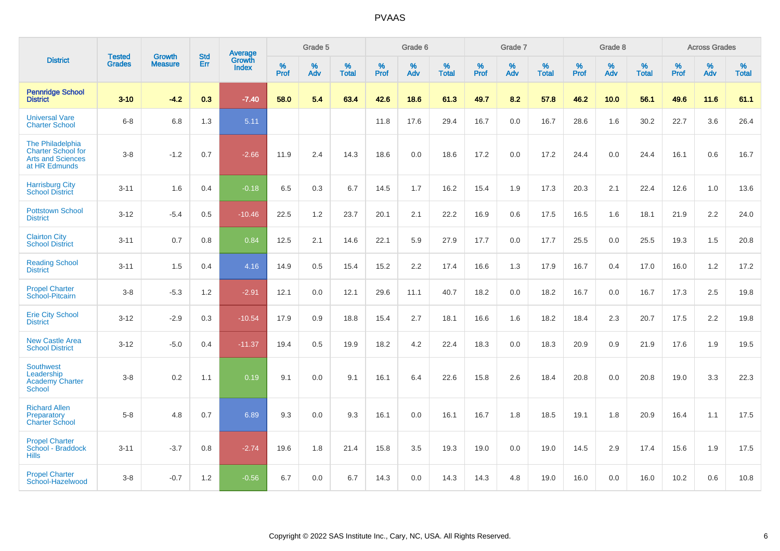|                                                                                            | <b>Tested</b> | <b>Growth</b>  | <b>Std</b> | Average                |                     | Grade 5  |                   |              | Grade 6  |                   |              | Grade 7  |                   |              | Grade 8  |                   |              | <b>Across Grades</b> |                   |
|--------------------------------------------------------------------------------------------|---------------|----------------|------------|------------------------|---------------------|----------|-------------------|--------------|----------|-------------------|--------------|----------|-------------------|--------------|----------|-------------------|--------------|----------------------|-------------------|
| <b>District</b>                                                                            | <b>Grades</b> | <b>Measure</b> | <b>Err</b> | Growth<br><b>Index</b> | $\%$<br><b>Prof</b> | %<br>Adv | %<br><b>Total</b> | $\%$<br>Prof | %<br>Adv | %<br><b>Total</b> | $\%$<br>Prof | %<br>Adv | %<br><b>Total</b> | $\%$<br>Prof | %<br>Adv | %<br><b>Total</b> | $\%$<br>Prof | %<br>Adv             | %<br><b>Total</b> |
| <b>Pennridge School</b><br><b>District</b>                                                 | $3 - 10$      | $-4.2$         | 0.3        | $-7.40$                | 58.0                | 5.4      | 63.4              | 42.6         | 18.6     | 61.3              | 49.7         | 8.2      | 57.8              | 46.2         | 10.0     | 56.1              | 49.6         | 11.6                 | 61.1              |
| <b>Universal Vare</b><br><b>Charter School</b>                                             | $6 - 8$       | 6.8            | 1.3        | 5.11                   |                     |          |                   | 11.8         | 17.6     | 29.4              | 16.7         | 0.0      | 16.7              | 28.6         | 1.6      | 30.2              | 22.7         | 3.6                  | 26.4              |
| The Philadelphia<br><b>Charter School for</b><br><b>Arts and Sciences</b><br>at HR Edmunds | $3 - 8$       | $-1.2$         | 0.7        | $-2.66$                | 11.9                | 2.4      | 14.3              | 18.6         | 0.0      | 18.6              | 17.2         | 0.0      | 17.2              | 24.4         | 0.0      | 24.4              | 16.1         | 0.6                  | 16.7              |
| <b>Harrisburg City</b><br><b>School District</b>                                           | $3 - 11$      | 1.6            | 0.4        | $-0.18$                | 6.5                 | 0.3      | 6.7               | 14.5         | 1.7      | 16.2              | 15.4         | 1.9      | 17.3              | 20.3         | 2.1      | 22.4              | 12.6         | 1.0                  | 13.6              |
| <b>Pottstown School</b><br><b>District</b>                                                 | $3 - 12$      | $-5.4$         | 0.5        | $-10.46$               | 22.5                | 1.2      | 23.7              | 20.1         | 2.1      | 22.2              | 16.9         | 0.6      | 17.5              | 16.5         | 1.6      | 18.1              | 21.9         | 2.2                  | 24.0              |
| <b>Clairton City</b><br><b>School District</b>                                             | $3 - 11$      | 0.7            | 0.8        | 0.84                   | 12.5                | 2.1      | 14.6              | 22.1         | 5.9      | 27.9              | 17.7         | 0.0      | 17.7              | 25.5         | 0.0      | 25.5              | 19.3         | 1.5                  | 20.8              |
| <b>Reading School</b><br><b>District</b>                                                   | $3 - 11$      | 1.5            | 0.4        | 4.16                   | 14.9                | 0.5      | 15.4              | 15.2         | 2.2      | 17.4              | 16.6         | 1.3      | 17.9              | 16.7         | 0.4      | 17.0              | 16.0         | 1.2                  | 17.2              |
| <b>Propel Charter</b><br>School-Pitcairn                                                   | $3 - 8$       | $-5.3$         | 1.2        | $-2.91$                | 12.1                | 0.0      | 12.1              | 29.6         | 11.1     | 40.7              | 18.2         | 0.0      | 18.2              | 16.7         | 0.0      | 16.7              | 17.3         | 2.5                  | 19.8              |
| <b>Erie City School</b><br><b>District</b>                                                 | $3 - 12$      | $-2.9$         | 0.3        | $-10.54$               | 17.9                | 0.9      | 18.8              | 15.4         | 2.7      | 18.1              | 16.6         | 1.6      | 18.2              | 18.4         | 2.3      | 20.7              | 17.5         | 2.2                  | 19.8              |
| <b>New Castle Area</b><br><b>School District</b>                                           | $3 - 12$      | $-5.0$         | 0.4        | $-11.37$               | 19.4                | 0.5      | 19.9              | 18.2         | 4.2      | 22.4              | 18.3         | 0.0      | 18.3              | 20.9         | 0.9      | 21.9              | 17.6         | 1.9                  | 19.5              |
| <b>Southwest</b><br>Leadership<br><b>Academy Charter</b><br>School                         | $3 - 8$       | 0.2            | 1.1        | 0.19                   | 9.1                 | $0.0\,$  | 9.1               | 16.1         | 6.4      | 22.6              | 15.8         | 2.6      | 18.4              | 20.8         | 0.0      | 20.8              | 19.0         | 3.3                  | 22.3              |
| <b>Richard Allen</b><br>Preparatory<br><b>Charter School</b>                               | $5 - 8$       | 4.8            | 0.7        | 6.89                   | 9.3                 | 0.0      | 9.3               | 16.1         | 0.0      | 16.1              | 16.7         | 1.8      | 18.5              | 19.1         | 1.8      | 20.9              | 16.4         | 1.1                  | 17.5              |
| <b>Propel Charter</b><br>School - Braddock<br><b>Hills</b>                                 | $3 - 11$      | $-3.7$         | 0.8        | $-2.74$                | 19.6                | 1.8      | 21.4              | 15.8         | 3.5      | 19.3              | 19.0         | 0.0      | 19.0              | 14.5         | 2.9      | 17.4              | 15.6         | 1.9                  | 17.5              |
| <b>Propel Charter</b><br>School-Hazelwood                                                  | $3 - 8$       | $-0.7$         | 1.2        | $-0.56$                | 6.7                 | 0.0      | 6.7               | 14.3         | 0.0      | 14.3              | 14.3         | 4.8      | 19.0              | 16.0         | 0.0      | 16.0              | 10.2         | 0.6                  | 10.8              |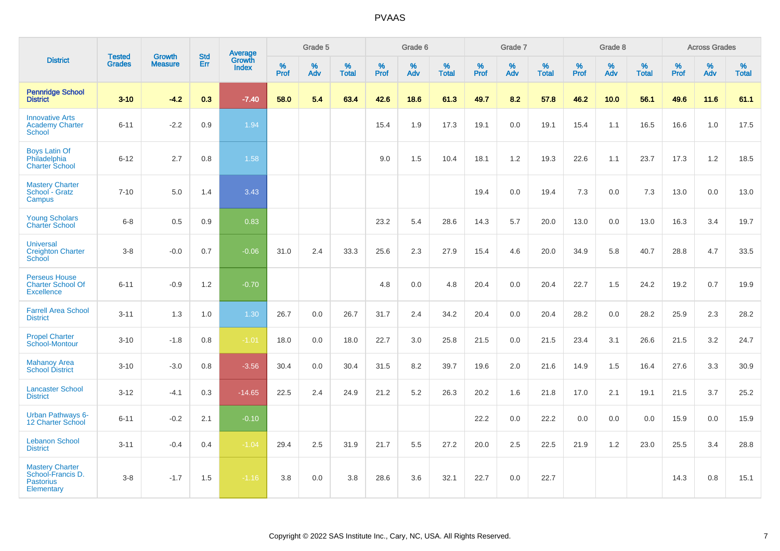|                                                                               |                                |                                 | <b>Std</b> | Average                |           | Grade 5  |                   |           | Grade 6  |                   |           | Grade 7  |                   |              | Grade 8  |                   |           | <b>Across Grades</b> |                   |
|-------------------------------------------------------------------------------|--------------------------------|---------------------------------|------------|------------------------|-----------|----------|-------------------|-----------|----------|-------------------|-----------|----------|-------------------|--------------|----------|-------------------|-----------|----------------------|-------------------|
| <b>District</b>                                                               | <b>Tested</b><br><b>Grades</b> | <b>Growth</b><br><b>Measure</b> | Err        | Growth<br><b>Index</b> | %<br>Prof | %<br>Adv | %<br><b>Total</b> | %<br>Prof | %<br>Adv | %<br><b>Total</b> | %<br>Prof | %<br>Adv | %<br><b>Total</b> | $\%$<br>Prof | %<br>Adv | %<br><b>Total</b> | %<br>Prof | %<br>Adv             | %<br><b>Total</b> |
| <b>Pennridge School</b><br><b>District</b>                                    | $3 - 10$                       | $-4.2$                          | 0.3        | $-7.40$                | 58.0      | 5.4      | 63.4              | 42.6      | 18.6     | 61.3              | 49.7      | 8.2      | 57.8              | 46.2         | 10.0     | 56.1              | 49.6      | 11.6                 | 61.1              |
| <b>Innovative Arts</b><br><b>Academy Charter</b><br>School                    | $6 - 11$                       | $-2.2$                          | 0.9        | 1.94                   |           |          |                   | 15.4      | 1.9      | 17.3              | 19.1      | 0.0      | 19.1              | 15.4         | 1.1      | 16.5              | 16.6      | 1.0                  | 17.5              |
| <b>Boys Latin Of</b><br>Philadelphia<br><b>Charter School</b>                 | $6 - 12$                       | 2.7                             | 0.8        | 1.58                   |           |          |                   | 9.0       | 1.5      | 10.4              | 18.1      | 1.2      | 19.3              | 22.6         | 1.1      | 23.7              | 17.3      | 1.2                  | 18.5              |
| <b>Mastery Charter</b><br>School - Gratz<br>Campus                            | $7 - 10$                       | 5.0                             | 1.4        | 3.43                   |           |          |                   |           |          |                   | 19.4      | 0.0      | 19.4              | 7.3          | 0.0      | 7.3               | 13.0      | 0.0                  | 13.0              |
| <b>Young Scholars</b><br><b>Charter School</b>                                | $6 - 8$                        | 0.5                             | 0.9        | 0.83                   |           |          |                   | 23.2      | 5.4      | 28.6              | 14.3      | 5.7      | 20.0              | 13.0         | 0.0      | 13.0              | 16.3      | 3.4                  | 19.7              |
| <b>Universal</b><br><b>Creighton Charter</b><br>School                        | $3 - 8$                        | $-0.0$                          | 0.7        | $-0.06$                | 31.0      | 2.4      | 33.3              | 25.6      | 2.3      | 27.9              | 15.4      | 4.6      | 20.0              | 34.9         | 5.8      | 40.7              | 28.8      | 4.7                  | 33.5              |
| <b>Perseus House</b><br><b>Charter School Of</b><br><b>Excellence</b>         | $6 - 11$                       | $-0.9$                          | 1.2        | $-0.70$                |           |          |                   | 4.8       | 0.0      | 4.8               | 20.4      | 0.0      | 20.4              | 22.7         | 1.5      | 24.2              | 19.2      | 0.7                  | 19.9              |
| <b>Farrell Area School</b><br><b>District</b>                                 | $3 - 11$                       | 1.3                             | 1.0        | 1.30                   | 26.7      | 0.0      | 26.7              | 31.7      | 2.4      | 34.2              | 20.4      | 0.0      | 20.4              | 28.2         | 0.0      | 28.2              | 25.9      | 2.3                  | 28.2              |
| <b>Propel Charter</b><br>School-Montour                                       | $3 - 10$                       | $-1.8$                          | 0.8        | $-1.01$                | 18.0      | 0.0      | 18.0              | 22.7      | 3.0      | 25.8              | 21.5      | 0.0      | 21.5              | 23.4         | 3.1      | 26.6              | 21.5      | 3.2                  | 24.7              |
| <b>Mahanoy Area</b><br><b>School District</b>                                 | $3 - 10$                       | $-3.0$                          | 0.8        | $-3.56$                | 30.4      | 0.0      | 30.4              | 31.5      | 8.2      | 39.7              | 19.6      | 2.0      | 21.6              | 14.9         | 1.5      | 16.4              | 27.6      | 3.3                  | 30.9              |
| <b>Lancaster School</b><br><b>District</b>                                    | $3 - 12$                       | $-4.1$                          | 0.3        | $-14.65$               | 22.5      | 2.4      | 24.9              | 21.2      | 5.2      | 26.3              | 20.2      | 1.6      | 21.8              | 17.0         | 2.1      | 19.1              | 21.5      | 3.7                  | 25.2              |
| Urban Pathways 6-<br>12 Charter School                                        | $6 - 11$                       | $-0.2$                          | 2.1        | $-0.10$                |           |          |                   |           |          |                   | 22.2      | 0.0      | 22.2              | 0.0          | 0.0      | 0.0               | 15.9      | 0.0                  | 15.9              |
| <b>Lebanon School</b><br><b>District</b>                                      | $3 - 11$                       | $-0.4$                          | 0.4        | $-1.04$                | 29.4      | 2.5      | 31.9              | 21.7      | 5.5      | 27.2              | 20.0      | 2.5      | 22.5              | 21.9         | 1.2      | 23.0              | 25.5      | 3.4                  | 28.8              |
| <b>Mastery Charter</b><br>School-Francis D.<br><b>Pastorius</b><br>Elementary | $3 - 8$                        | $-1.7$                          | 1.5        | $-1.16$                | 3.8       | 0.0      | 3.8               | 28.6      | 3.6      | 32.1              | 22.7      | 0.0      | 22.7              |              |          |                   | 14.3      | 0.8                  | 15.1              |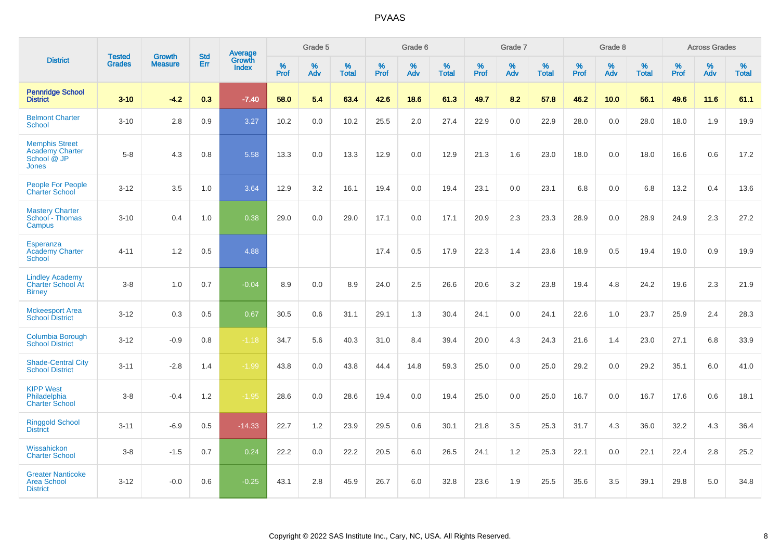|                                                                                | <b>Tested</b> | <b>Growth</b>  | <b>Std</b> | Average                |           | Grade 5  |                   |           | Grade 6  |                   |           | Grade 7  |                   |           | Grade 8  |                   |           | <b>Across Grades</b> |                   |
|--------------------------------------------------------------------------------|---------------|----------------|------------|------------------------|-----------|----------|-------------------|-----------|----------|-------------------|-----------|----------|-------------------|-----------|----------|-------------------|-----------|----------------------|-------------------|
| <b>District</b>                                                                | <b>Grades</b> | <b>Measure</b> | Err        | Growth<br><b>Index</b> | %<br>Prof | %<br>Adv | %<br><b>Total</b> | %<br>Prof | %<br>Adv | %<br><b>Total</b> | %<br>Prof | %<br>Adv | %<br><b>Total</b> | %<br>Prof | %<br>Adv | %<br><b>Total</b> | %<br>Prof | %<br>Adv             | %<br><b>Total</b> |
| <b>Pennridge School</b><br><b>District</b>                                     | $3 - 10$      | $-4.2$         | 0.3        | $-7.40$                | 58.0      | 5.4      | 63.4              | 42.6      | 18.6     | 61.3              | 49.7      | 8.2      | 57.8              | 46.2      | 10.0     | 56.1              | 49.6      | 11.6                 | 61.1              |
| <b>Belmont Charter</b><br><b>School</b>                                        | $3 - 10$      | 2.8            | 0.9        | 3.27                   | 10.2      | 0.0      | 10.2              | 25.5      | 2.0      | 27.4              | 22.9      | 0.0      | 22.9              | 28.0      | 0.0      | 28.0              | 18.0      | 1.9                  | 19.9              |
| <b>Memphis Street</b><br><b>Academy Charter</b><br>School @ JP<br><b>Jones</b> | $5 - 8$       | 4.3            | 0.8        | 5.58                   | 13.3      | 0.0      | 13.3              | 12.9      | 0.0      | 12.9              | 21.3      | 1.6      | 23.0              | 18.0      | 0.0      | 18.0              | 16.6      | 0.6                  | 17.2              |
| <b>People For People</b><br><b>Charter School</b>                              | $3 - 12$      | 3.5            | 1.0        | 3.64                   | 12.9      | 3.2      | 16.1              | 19.4      | 0.0      | 19.4              | 23.1      | 0.0      | 23.1              | 6.8       | 0.0      | 6.8               | 13.2      | 0.4                  | 13.6              |
| <b>Mastery Charter</b><br>School - Thomas<br>Campus                            | $3 - 10$      | 0.4            | 1.0        | 0.38                   | 29.0      | 0.0      | 29.0              | 17.1      | 0.0      | 17.1              | 20.9      | 2.3      | 23.3              | 28.9      | 0.0      | 28.9              | 24.9      | 2.3                  | 27.2              |
| <b>Esperanza</b><br><b>Academy Charter</b><br>School                           | $4 - 11$      | 1.2            | 0.5        | 4.88                   |           |          |                   | 17.4      | 0.5      | 17.9              | 22.3      | 1.4      | 23.6              | 18.9      | 0.5      | 19.4              | 19.0      | 0.9                  | 19.9              |
| <b>Lindley Academy</b><br><b>Charter School At</b><br><b>Birney</b>            | $3 - 8$       | 1.0            | 0.7        | $-0.04$                | 8.9       | 0.0      | 8.9               | 24.0      | 2.5      | 26.6              | 20.6      | 3.2      | 23.8              | 19.4      | 4.8      | 24.2              | 19.6      | 2.3                  | 21.9              |
| <b>Mckeesport Area</b><br><b>School District</b>                               | $3 - 12$      | 0.3            | 0.5        | 0.67                   | 30.5      | 0.6      | 31.1              | 29.1      | 1.3      | 30.4              | 24.1      | 0.0      | 24.1              | 22.6      | 1.0      | 23.7              | 25.9      | 2.4                  | 28.3              |
| Columbia Borough<br><b>School District</b>                                     | $3 - 12$      | $-0.9$         | 0.8        | $-1.18$                | 34.7      | 5.6      | 40.3              | 31.0      | 8.4      | 39.4              | 20.0      | 4.3      | 24.3              | 21.6      | 1.4      | 23.0              | 27.1      | 6.8                  | 33.9              |
| <b>Shade-Central City</b><br><b>School District</b>                            | $3 - 11$      | $-2.8$         | 1.4        | $-1.99$                | 43.8      | 0.0      | 43.8              | 44.4      | 14.8     | 59.3              | 25.0      | 0.0      | 25.0              | 29.2      | 0.0      | 29.2              | 35.1      | 6.0                  | 41.0              |
| <b>KIPP West</b><br>Philadelphia<br><b>Charter School</b>                      | $3 - 8$       | $-0.4$         | 1.2        | $-1.95$                | 28.6      | 0.0      | 28.6              | 19.4      | 0.0      | 19.4              | 25.0      | 0.0      | 25.0              | 16.7      | 0.0      | 16.7              | 17.6      | $0.6\,$              | 18.1              |
| <b>Ringgold School</b><br><b>District</b>                                      | $3 - 11$      | $-6.9$         | 0.5        | $-14.33$               | 22.7      | 1.2      | 23.9              | 29.5      | 0.6      | 30.1              | 21.8      | 3.5      | 25.3              | 31.7      | 4.3      | 36.0              | 32.2      | 4.3                  | 36.4              |
| Wissahickon<br><b>Charter School</b>                                           | $3 - 8$       | $-1.5$         | 0.7        | 0.24                   | 22.2      | 0.0      | 22.2              | 20.5      | 6.0      | 26.5              | 24.1      | 1.2      | 25.3              | 22.1      | 0.0      | 22.1              | 22.4      | 2.8                  | 25.2              |
| <b>Greater Nanticoke</b><br><b>Area School</b><br><b>District</b>              | $3 - 12$      | $-0.0$         | 0.6        | $-0.25$                | 43.1      | 2.8      | 45.9              | 26.7      | 6.0      | 32.8              | 23.6      | 1.9      | 25.5              | 35.6      | 3.5      | 39.1              | 29.8      | $5.0\,$              | 34.8              |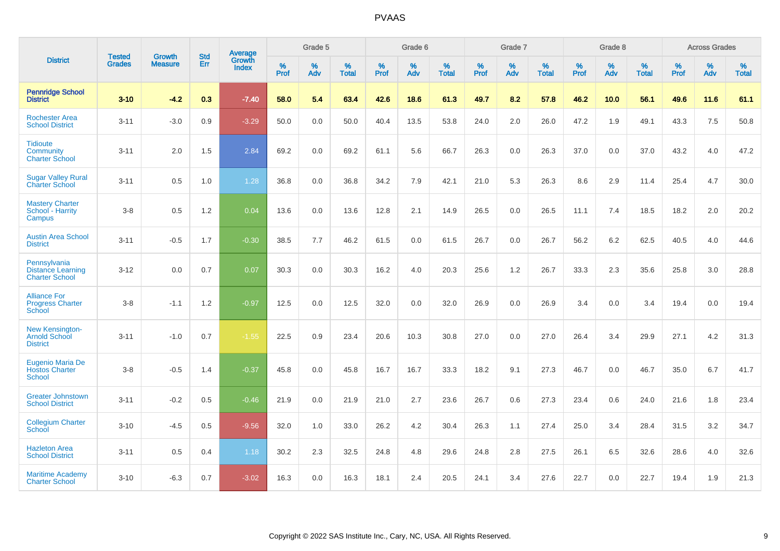|                                                                   |                                |                                 | <b>Std</b> | Average                |           | Grade 5  |                   |           | Grade 6  |                   |           | Grade 7  |                   |           | Grade 8  |                   |           | <b>Across Grades</b> |                   |
|-------------------------------------------------------------------|--------------------------------|---------------------------------|------------|------------------------|-----------|----------|-------------------|-----------|----------|-------------------|-----------|----------|-------------------|-----------|----------|-------------------|-----------|----------------------|-------------------|
| <b>District</b>                                                   | <b>Tested</b><br><b>Grades</b> | <b>Growth</b><br><b>Measure</b> | Err        | Growth<br><b>Index</b> | %<br>Prof | %<br>Adv | %<br><b>Total</b> | %<br>Prof | %<br>Adv | %<br><b>Total</b> | %<br>Prof | %<br>Adv | %<br><b>Total</b> | %<br>Prof | %<br>Adv | %<br><b>Total</b> | %<br>Prof | %<br>Adv             | %<br><b>Total</b> |
| <b>Pennridge School</b><br><b>District</b>                        | $3 - 10$                       | $-4.2$                          | 0.3        | $-7.40$                | 58.0      | 5.4      | 63.4              | 42.6      | 18.6     | 61.3              | 49.7      | 8.2      | 57.8              | 46.2      | 10.0     | 56.1              | 49.6      | 11.6                 | 61.1              |
| <b>Rochester Area</b><br><b>School District</b>                   | $3 - 11$                       | $-3.0$                          | 0.9        | $-3.29$                | 50.0      | 0.0      | 50.0              | 40.4      | 13.5     | 53.8              | 24.0      | 2.0      | 26.0              | 47.2      | 1.9      | 49.1              | 43.3      | 7.5                  | 50.8              |
| <b>Tidioute</b><br>Community<br><b>Charter School</b>             | $3 - 11$                       | 2.0                             | 1.5        | 2.84                   | 69.2      | 0.0      | 69.2              | 61.1      | 5.6      | 66.7              | 26.3      | 0.0      | 26.3              | 37.0      | 0.0      | 37.0              | 43.2      | 4.0                  | 47.2              |
| <b>Sugar Valley Rural</b><br><b>Charter School</b>                | $3 - 11$                       | 0.5                             | 1.0        | 1.28                   | 36.8      | 0.0      | 36.8              | 34.2      | 7.9      | 42.1              | 21.0      | 5.3      | 26.3              | 8.6       | 2.9      | 11.4              | 25.4      | 4.7                  | 30.0              |
| <b>Mastery Charter</b><br>School - Harrity<br>Campus              | $3 - 8$                        | 0.5                             | 1.2        | 0.04                   | 13.6      | 0.0      | 13.6              | 12.8      | 2.1      | 14.9              | 26.5      | 0.0      | 26.5              | 11.1      | 7.4      | 18.5              | 18.2      | 2.0                  | 20.2              |
| <b>Austin Area School</b><br><b>District</b>                      | $3 - 11$                       | $-0.5$                          | 1.7        | $-0.30$                | 38.5      | 7.7      | 46.2              | 61.5      | 0.0      | 61.5              | 26.7      | 0.0      | 26.7              | 56.2      | 6.2      | 62.5              | 40.5      | 4.0                  | 44.6              |
| Pennsylvania<br><b>Distance Learning</b><br><b>Charter School</b> | $3 - 12$                       | 0.0                             | 0.7        | 0.07                   | 30.3      | 0.0      | 30.3              | 16.2      | 4.0      | 20.3              | 25.6      | 1.2      | 26.7              | 33.3      | 2.3      | 35.6              | 25.8      | 3.0                  | 28.8              |
| <b>Alliance For</b><br><b>Progress Charter</b><br>School          | $3 - 8$                        | $-1.1$                          | 1.2        | $-0.97$                | 12.5      | 0.0      | 12.5              | 32.0      | 0.0      | 32.0              | 26.9      | 0.0      | 26.9              | 3.4       | 0.0      | 3.4               | 19.4      | 0.0                  | 19.4              |
| New Kensington-<br><b>Arnold School</b><br><b>District</b>        | $3 - 11$                       | $-1.0$                          | 0.7        | $-1.55$                | 22.5      | 0.9      | 23.4              | 20.6      | 10.3     | 30.8              | 27.0      | 0.0      | 27.0              | 26.4      | 3.4      | 29.9              | 27.1      | 4.2                  | 31.3              |
| <b>Eugenio Maria De</b><br><b>Hostos Charter</b><br><b>School</b> | $3 - 8$                        | $-0.5$                          | 1.4        | $-0.37$                | 45.8      | 0.0      | 45.8              | 16.7      | 16.7     | 33.3              | 18.2      | 9.1      | 27.3              | 46.7      | 0.0      | 46.7              | 35.0      | 6.7                  | 41.7              |
| <b>Greater Johnstown</b><br><b>School District</b>                | $3 - 11$                       | $-0.2$                          | 0.5        | $-0.46$                | 21.9      | 0.0      | 21.9              | 21.0      | 2.7      | 23.6              | 26.7      | 0.6      | 27.3              | 23.4      | 0.6      | 24.0              | 21.6      | 1.8                  | 23.4              |
| <b>Collegium Charter</b><br>School                                | $3 - 10$                       | $-4.5$                          | 0.5        | $-9.56$                | 32.0      | 1.0      | 33.0              | 26.2      | 4.2      | 30.4              | 26.3      | 1.1      | 27.4              | 25.0      | 3.4      | 28.4              | 31.5      | 3.2                  | 34.7              |
| <b>Hazleton Area</b><br><b>School District</b>                    | $3 - 11$                       | 0.5                             | 0.4        | 1.18                   | 30.2      | 2.3      | 32.5              | 24.8      | 4.8      | 29.6              | 24.8      | 2.8      | 27.5              | 26.1      | 6.5      | 32.6              | 28.6      | 4.0                  | 32.6              |
| <b>Maritime Academy</b><br><b>Charter School</b>                  | $3 - 10$                       | $-6.3$                          | 0.7        | $-3.02$                | 16.3      | 0.0      | 16.3              | 18.1      | 2.4      | 20.5              | 24.1      | 3.4      | 27.6              | 22.7      | 0.0      | 22.7              | 19.4      | 1.9                  | 21.3              |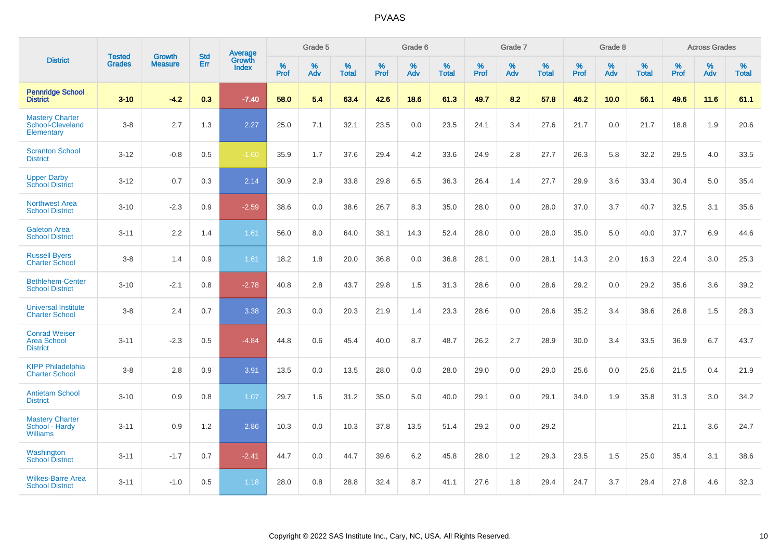|                                                             | <b>Tested</b> | <b>Growth</b>  | <b>Std</b> | Average                       |           | Grade 5  |                   |           | Grade 6  |                   |           | Grade 7  |                   |           | Grade 8  |                   |           | <b>Across Grades</b> |                   |
|-------------------------------------------------------------|---------------|----------------|------------|-------------------------------|-----------|----------|-------------------|-----------|----------|-------------------|-----------|----------|-------------------|-----------|----------|-------------------|-----------|----------------------|-------------------|
| <b>District</b>                                             | <b>Grades</b> | <b>Measure</b> | Err        | <b>Growth</b><br><b>Index</b> | %<br>Prof | %<br>Adv | %<br><b>Total</b> | %<br>Prof | %<br>Adv | %<br><b>Total</b> | %<br>Prof | %<br>Adv | %<br><b>Total</b> | %<br>Prof | %<br>Adv | %<br><b>Total</b> | %<br>Prof | %<br>Adv             | %<br><b>Total</b> |
| <b>Pennridge School</b><br><b>District</b>                  | $3 - 10$      | $-4.2$         | 0.3        | $-7.40$                       | 58.0      | 5.4      | 63.4              | 42.6      | 18.6     | 61.3              | 49.7      | 8.2      | 57.8              | 46.2      | 10.0     | 56.1              | 49.6      | 11.6                 | 61.1              |
| <b>Mastery Charter</b><br>School-Cleveland<br>Elementary    | $3 - 8$       | 2.7            | 1.3        | 2.27                          | 25.0      | 7.1      | 32.1              | 23.5      | 0.0      | 23.5              | 24.1      | 3.4      | 27.6              | 21.7      | 0.0      | 21.7              | 18.8      | 1.9                  | 20.6              |
| <b>Scranton School</b><br><b>District</b>                   | $3 - 12$      | $-0.8$         | 0.5        | $-1.60$                       | 35.9      | 1.7      | 37.6              | 29.4      | 4.2      | 33.6              | 24.9      | 2.8      | 27.7              | 26.3      | 5.8      | 32.2              | 29.5      | 4.0                  | 33.5              |
| <b>Upper Darby</b><br><b>School District</b>                | $3 - 12$      | 0.7            | 0.3        | 2.14                          | 30.9      | 2.9      | 33.8              | 29.8      | 6.5      | 36.3              | 26.4      | 1.4      | 27.7              | 29.9      | 3.6      | 33.4              | 30.4      | 5.0                  | 35.4              |
| <b>Northwest Area</b><br><b>School District</b>             | $3 - 10$      | $-2.3$         | 0.9        | $-2.59$                       | 38.6      | 0.0      | 38.6              | 26.7      | 8.3      | 35.0              | 28.0      | 0.0      | 28.0              | 37.0      | 3.7      | 40.7              | 32.5      | 3.1                  | 35.6              |
| <b>Galeton Area</b><br><b>School District</b>               | $3 - 11$      | 2.2            | 1.4        | 1.61                          | 56.0      | 8.0      | 64.0              | 38.1      | 14.3     | 52.4              | 28.0      | 0.0      | 28.0              | 35.0      | 5.0      | 40.0              | 37.7      | 6.9                  | 44.6              |
| <b>Russell Byers</b><br><b>Charter School</b>               | $3 - 8$       | 1.4            | 0.9        | 1.61                          | 18.2      | 1.8      | 20.0              | 36.8      | 0.0      | 36.8              | 28.1      | 0.0      | 28.1              | 14.3      | 2.0      | 16.3              | 22.4      | 3.0                  | 25.3              |
| <b>Bethlehem-Center</b><br><b>School District</b>           | $3 - 10$      | $-2.1$         | 0.8        | $-2.78$                       | 40.8      | 2.8      | 43.7              | 29.8      | 1.5      | 31.3              | 28.6      | 0.0      | 28.6              | 29.2      | 0.0      | 29.2              | 35.6      | 3.6                  | 39.2              |
| <b>Universal Institute</b><br><b>Charter School</b>         | $3 - 8$       | 2.4            | 0.7        | 3.38                          | 20.3      | 0.0      | 20.3              | 21.9      | 1.4      | 23.3              | 28.6      | 0.0      | 28.6              | 35.2      | 3.4      | 38.6              | 26.8      | 1.5                  | 28.3              |
| <b>Conrad Weiser</b><br>Area School<br><b>District</b>      | $3 - 11$      | $-2.3$         | 0.5        | $-4.84$                       | 44.8      | 0.6      | 45.4              | 40.0      | 8.7      | 48.7              | 26.2      | 2.7      | 28.9              | 30.0      | 3.4      | 33.5              | 36.9      | 6.7                  | 43.7              |
| <b>KIPP Philadelphia</b><br><b>Charter School</b>           | $3 - 8$       | 2.8            | 0.9        | 3.91                          | 13.5      | 0.0      | 13.5              | 28.0      | 0.0      | 28.0              | 29.0      | 0.0      | 29.0              | 25.6      | 0.0      | 25.6              | 21.5      | 0.4                  | 21.9              |
| <b>Antietam School</b><br><b>District</b>                   | $3 - 10$      | 0.9            | 0.8        | 1.07                          | 29.7      | 1.6      | 31.2              | 35.0      | 5.0      | 40.0              | 29.1      | 0.0      | 29.1              | 34.0      | 1.9      | 35.8              | 31.3      | 3.0                  | 34.2              |
| <b>Mastery Charter</b><br>School - Hardy<br><b>Williams</b> | $3 - 11$      | 0.9            | 1.2        | 2.86                          | 10.3      | 0.0      | 10.3              | 37.8      | 13.5     | 51.4              | 29.2      | 0.0      | 29.2              |           |          |                   | 21.1      | 3.6                  | 24.7              |
| Washington<br><b>School District</b>                        | $3 - 11$      | $-1.7$         | 0.7        | $-2.41$                       | 44.7      | 0.0      | 44.7              | 39.6      | 6.2      | 45.8              | 28.0      | 1.2      | 29.3              | 23.5      | 1.5      | 25.0              | 35.4      | 3.1                  | 38.6              |
| <b>Wilkes-Barre Area</b><br><b>School District</b>          | $3 - 11$      | $-1.0$         | 0.5        | 1.18                          | 28.0      | 0.8      | 28.8              | 32.4      | 8.7      | 41.1              | 27.6      | 1.8      | 29.4              | 24.7      | 3.7      | 28.4              | 27.8      | 4.6                  | 32.3              |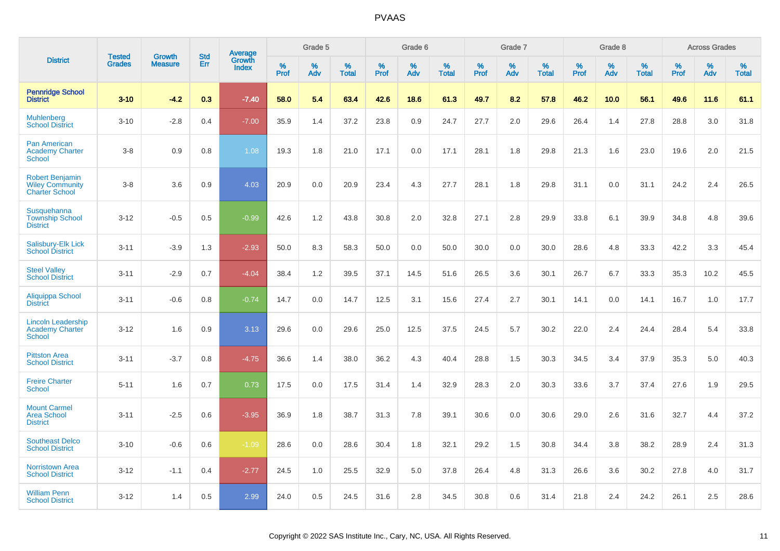|                                                                           | <b>Tested</b> | <b>Growth</b>  | <b>Std</b> |                                          |              | Grade 5  |                   |           | Grade 6  |                   |           | Grade 7  |                   |           | Grade 8  |                   |              | <b>Across Grades</b> |                   |
|---------------------------------------------------------------------------|---------------|----------------|------------|------------------------------------------|--------------|----------|-------------------|-----------|----------|-------------------|-----------|----------|-------------------|-----------|----------|-------------------|--------------|----------------------|-------------------|
| <b>District</b>                                                           | <b>Grades</b> | <b>Measure</b> | <b>Err</b> | <b>Average</b><br>Growth<br><b>Index</b> | $\%$<br>Prof | %<br>Adv | %<br><b>Total</b> | %<br>Prof | %<br>Adv | %<br><b>Total</b> | %<br>Prof | %<br>Adv | %<br><b>Total</b> | %<br>Prof | %<br>Adv | %<br><b>Total</b> | $\%$<br>Prof | %<br>Adv             | %<br><b>Total</b> |
| <b>Pennridge School</b><br><b>District</b>                                | $3 - 10$      | $-4.2$         | 0.3        | $-7.40$                                  | 58.0         | 5.4      | 63.4              | 42.6      | 18.6     | 61.3              | 49.7      | 8.2      | 57.8              | 46.2      | 10.0     | 56.1              | 49.6         | 11.6                 | 61.1              |
| <b>Muhlenberg</b><br><b>School District</b>                               | $3 - 10$      | $-2.8$         | 0.4        | $-7.00$                                  | 35.9         | 1.4      | 37.2              | 23.8      | 0.9      | 24.7              | 27.7      | 2.0      | 29.6              | 26.4      | 1.4      | 27.8              | 28.8         | 3.0                  | 31.8              |
| <b>Pan American</b><br><b>Academy Charter</b><br>School                   | $3 - 8$       | 0.9            | 0.8        | 1.08                                     | 19.3         | 1.8      | 21.0              | 17.1      | 0.0      | 17.1              | 28.1      | 1.8      | 29.8              | 21.3      | 1.6      | 23.0              | 19.6         | 2.0                  | 21.5              |
| <b>Robert Benjamin</b><br><b>Wiley Community</b><br><b>Charter School</b> | $3 - 8$       | 3.6            | 0.9        | 4.03                                     | 20.9         | 0.0      | 20.9              | 23.4      | 4.3      | 27.7              | 28.1      | 1.8      | 29.8              | 31.1      | 0.0      | 31.1              | 24.2         | 2.4                  | 26.5              |
| <b>Susquehanna</b><br><b>Township School</b><br><b>District</b>           | $3 - 12$      | $-0.5$         | 0.5        | $-0.99$                                  | 42.6         | 1.2      | 43.8              | 30.8      | 2.0      | 32.8              | 27.1      | 2.8      | 29.9              | 33.8      | 6.1      | 39.9              | 34.8         | 4.8                  | 39.6              |
| Salisbury-Elk Lick<br><b>School District</b>                              | $3 - 11$      | $-3.9$         | 1.3        | $-2.93$                                  | 50.0         | 8.3      | 58.3              | 50.0      | 0.0      | 50.0              | 30.0      | 0.0      | 30.0              | 28.6      | 4.8      | 33.3              | 42.2         | 3.3                  | 45.4              |
| <b>Steel Valley</b><br><b>School District</b>                             | $3 - 11$      | $-2.9$         | 0.7        | $-4.04$                                  | 38.4         | 1.2      | 39.5              | 37.1      | 14.5     | 51.6              | 26.5      | 3.6      | 30.1              | 26.7      | 6.7      | 33.3              | 35.3         | 10.2                 | 45.5              |
| Aliquippa School<br><b>District</b>                                       | $3 - 11$      | $-0.6$         | 0.8        | $-0.74$                                  | 14.7         | 0.0      | 14.7              | 12.5      | 3.1      | 15.6              | 27.4      | 2.7      | 30.1              | 14.1      | 0.0      | 14.1              | 16.7         | 1.0                  | 17.7              |
| <b>Lincoln Leadership</b><br><b>Academy Charter</b><br><b>School</b>      | $3 - 12$      | 1.6            | 0.9        | 3.13                                     | 29.6         | 0.0      | 29.6              | 25.0      | 12.5     | 37.5              | 24.5      | 5.7      | 30.2              | 22.0      | 2.4      | 24.4              | 28.4         | 5.4                  | 33.8              |
| <b>Pittston Area</b><br><b>School District</b>                            | $3 - 11$      | $-3.7$         | 0.8        | $-4.75$                                  | 36.6         | 1.4      | 38.0              | 36.2      | 4.3      | 40.4              | 28.8      | 1.5      | 30.3              | 34.5      | 3.4      | 37.9              | 35.3         | 5.0                  | 40.3              |
| <b>Freire Charter</b><br><b>School</b>                                    | $5 - 11$      | 1.6            | 0.7        | 0.73                                     | 17.5         | 0.0      | 17.5              | 31.4      | 1.4      | 32.9              | 28.3      | 2.0      | 30.3              | 33.6      | 3.7      | 37.4              | 27.6         | 1.9                  | 29.5              |
| <b>Mount Carmel</b><br><b>Area School</b><br><b>District</b>              | $3 - 11$      | $-2.5$         | 0.6        | $-3.95$                                  | 36.9         | 1.8      | 38.7              | 31.3      | 7.8      | 39.1              | 30.6      | 0.0      | 30.6              | 29.0      | 2.6      | 31.6              | 32.7         | 4.4                  | 37.2              |
| <b>Southeast Delco</b><br><b>School District</b>                          | $3 - 10$      | $-0.6$         | 0.6        | $-1.09$                                  | 28.6         | 0.0      | 28.6              | 30.4      | 1.8      | 32.1              | 29.2      | 1.5      | 30.8              | 34.4      | 3.8      | 38.2              | 28.9         | 2.4                  | 31.3              |
| <b>Norristown Area</b><br><b>School District</b>                          | $3 - 12$      | $-1.1$         | 0.4        | $-2.77$                                  | 24.5         | 1.0      | 25.5              | 32.9      | 5.0      | 37.8              | 26.4      | 4.8      | 31.3              | 26.6      | 3.6      | 30.2              | 27.8         | 4.0                  | 31.7              |
| <b>William Penn</b><br><b>School District</b>                             | $3 - 12$      | 1.4            | 0.5        | 2.99                                     | 24.0         | 0.5      | 24.5              | 31.6      | 2.8      | 34.5              | 30.8      | 0.6      | 31.4              | 21.8      | 2.4      | 24.2              | 26.1         | 2.5                  | 28.6              |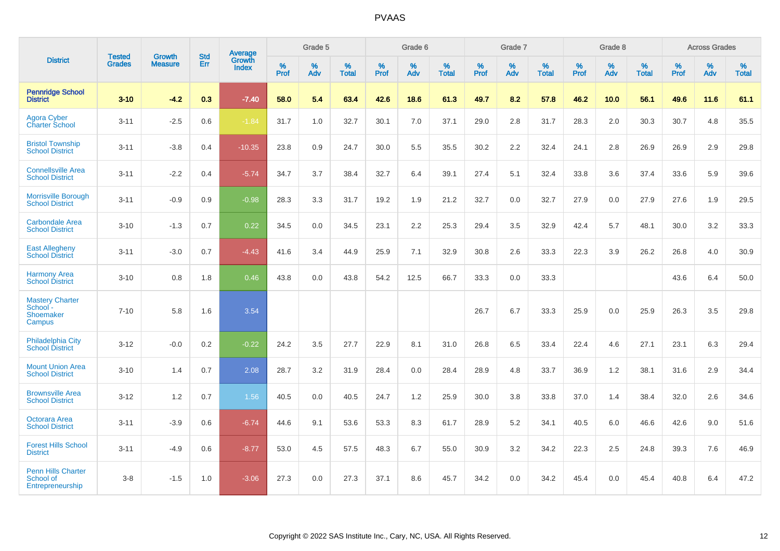|                                                                  |                                |                                 | <b>Std</b> | Average                |           | Grade 5  |                   |           | Grade 6  |                   |           | Grade 7  |                   |           | Grade 8  |                   |           | <b>Across Grades</b> |                   |
|------------------------------------------------------------------|--------------------------------|---------------------------------|------------|------------------------|-----------|----------|-------------------|-----------|----------|-------------------|-----------|----------|-------------------|-----------|----------|-------------------|-----------|----------------------|-------------------|
| <b>District</b>                                                  | <b>Tested</b><br><b>Grades</b> | <b>Growth</b><br><b>Measure</b> | Err        | Growth<br><b>Index</b> | %<br>Prof | %<br>Adv | %<br><b>Total</b> | %<br>Prof | %<br>Adv | %<br><b>Total</b> | %<br>Prof | %<br>Adv | %<br><b>Total</b> | %<br>Prof | %<br>Adv | %<br><b>Total</b> | %<br>Prof | %<br>Adv             | %<br><b>Total</b> |
| <b>Pennridge School</b><br><b>District</b>                       | $3 - 10$                       | $-4.2$                          | 0.3        | $-7.40$                | 58.0      | 5.4      | 63.4              | 42.6      | 18.6     | 61.3              | 49.7      | 8.2      | 57.8              | 46.2      | 10.0     | 56.1              | 49.6      | 11.6                 | 61.1              |
| Agora Cyber<br><b>Charter School</b>                             | $3 - 11$                       | $-2.5$                          | 0.6        | $-1.84$                | 31.7      | 1.0      | 32.7              | 30.1      | 7.0      | 37.1              | 29.0      | 2.8      | 31.7              | 28.3      | 2.0      | 30.3              | 30.7      | 4.8                  | 35.5              |
| <b>Bristol Township</b><br><b>School District</b>                | $3 - 11$                       | $-3.8$                          | 0.4        | $-10.35$               | 23.8      | 0.9      | 24.7              | 30.0      | 5.5      | 35.5              | 30.2      | 2.2      | 32.4              | 24.1      | 2.8      | 26.9              | 26.9      | 2.9                  | 29.8              |
| <b>Connellsville Area</b><br><b>School District</b>              | $3 - 11$                       | $-2.2$                          | 0.4        | $-5.74$                | 34.7      | 3.7      | 38.4              | 32.7      | 6.4      | 39.1              | 27.4      | 5.1      | 32.4              | 33.8      | 3.6      | 37.4              | 33.6      | 5.9                  | 39.6              |
| Morrisville Borough<br><b>School District</b>                    | $3 - 11$                       | $-0.9$                          | 0.9        | $-0.98$                | 28.3      | 3.3      | 31.7              | 19.2      | 1.9      | 21.2              | 32.7      | 0.0      | 32.7              | 27.9      | 0.0      | 27.9              | 27.6      | 1.9                  | 29.5              |
| <b>Carbondale Area</b><br><b>School District</b>                 | $3 - 10$                       | $-1.3$                          | 0.7        | 0.22                   | 34.5      | 0.0      | 34.5              | 23.1      | 2.2      | 25.3              | 29.4      | 3.5      | 32.9              | 42.4      | 5.7      | 48.1              | $30.0\,$  | 3.2                  | 33.3              |
| <b>East Allegheny</b><br><b>School District</b>                  | $3 - 11$                       | $-3.0$                          | 0.7        | $-4.43$                | 41.6      | 3.4      | 44.9              | 25.9      | 7.1      | 32.9              | 30.8      | 2.6      | 33.3              | 22.3      | 3.9      | 26.2              | 26.8      | 4.0                  | 30.9              |
| <b>Harmony Area</b><br><b>School District</b>                    | $3 - 10$                       | 0.8                             | 1.8        | 0.46                   | 43.8      | 0.0      | 43.8              | 54.2      | 12.5     | 66.7              | 33.3      | 0.0      | 33.3              |           |          |                   | 43.6      | 6.4                  | 50.0              |
| <b>Mastery Charter</b><br>School -<br><b>Shoemaker</b><br>Campus | $7 - 10$                       | 5.8                             | 1.6        | 3.54                   |           |          |                   |           |          |                   | 26.7      | 6.7      | 33.3              | 25.9      | 0.0      | 25.9              | 26.3      | 3.5                  | 29.8              |
| <b>Philadelphia City</b><br><b>School District</b>               | $3 - 12$                       | $-0.0$                          | 0.2        | $-0.22$                | 24.2      | 3.5      | 27.7              | 22.9      | 8.1      | 31.0              | 26.8      | 6.5      | 33.4              | 22.4      | 4.6      | 27.1              | 23.1      | 6.3                  | 29.4              |
| <b>Mount Union Area</b><br><b>School District</b>                | $3 - 10$                       | 1.4                             | 0.7        | 2.08                   | 28.7      | 3.2      | 31.9              | 28.4      | 0.0      | 28.4              | 28.9      | 4.8      | 33.7              | 36.9      | 1.2      | 38.1              | 31.6      | 2.9                  | 34.4              |
| <b>Brownsville Area</b><br><b>School District</b>                | $3 - 12$                       | 1.2                             | 0.7        | 1.56                   | 40.5      | 0.0      | 40.5              | 24.7      | 1.2      | 25.9              | 30.0      | 3.8      | 33.8              | 37.0      | 1.4      | 38.4              | 32.0      | 2.6                  | 34.6              |
| <b>Octorara Area</b><br><b>School District</b>                   | $3 - 11$                       | $-3.9$                          | 0.6        | $-6.74$                | 44.6      | 9.1      | 53.6              | 53.3      | 8.3      | 61.7              | 28.9      | $5.2\,$  | 34.1              | 40.5      | 6.0      | 46.6              | 42.6      | 9.0                  | 51.6              |
| <b>Forest Hills School</b><br><b>District</b>                    | $3 - 11$                       | $-4.9$                          | 0.6        | $-8.77$                | 53.0      | 4.5      | 57.5              | 48.3      | 6.7      | 55.0              | 30.9      | 3.2      | 34.2              | 22.3      | 2.5      | 24.8              | 39.3      | 7.6                  | 46.9              |
| <b>Penn Hills Charter</b><br>School of<br>Entrepreneurship       | $3-8$                          | $-1.5$                          | 1.0        | $-3.06$                | 27.3      | 0.0      | 27.3              | 37.1      | 8.6      | 45.7              | 34.2      | 0.0      | 34.2              | 45.4      | 0.0      | 45.4              | 40.8      | 6.4                  | 47.2              |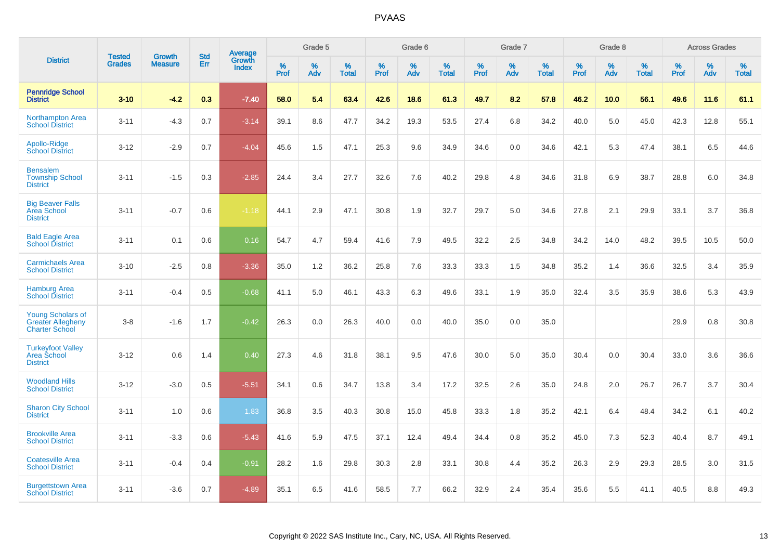|                                                                               |                                | <b>Growth</b>  | <b>Std</b> |                                          |              | Grade 5  |                   |              | Grade 6  |                   |              | Grade 7  |                   |              | Grade 8  |                   |              | <b>Across Grades</b> |                   |
|-------------------------------------------------------------------------------|--------------------------------|----------------|------------|------------------------------------------|--------------|----------|-------------------|--------------|----------|-------------------|--------------|----------|-------------------|--------------|----------|-------------------|--------------|----------------------|-------------------|
| <b>District</b>                                                               | <b>Tested</b><br><b>Grades</b> | <b>Measure</b> | <b>Err</b> | <b>Average</b><br>Growth<br><b>Index</b> | $\%$<br>Prof | %<br>Adv | %<br><b>Total</b> | $\%$<br>Prof | %<br>Adv | %<br><b>Total</b> | $\%$<br>Prof | %<br>Adv | %<br><b>Total</b> | $\%$<br>Prof | %<br>Adv | %<br><b>Total</b> | $\%$<br>Prof | %<br>Adv             | %<br><b>Total</b> |
| <b>Pennridge School</b><br><b>District</b>                                    | $3 - 10$                       | $-4.2$         | 0.3        | $-7.40$                                  | 58.0         | 5.4      | 63.4              | 42.6         | 18.6     | 61.3              | 49.7         | 8.2      | 57.8              | 46.2         | 10.0     | 56.1              | 49.6         | 11.6                 | 61.1              |
| <b>Northampton Area</b><br><b>School District</b>                             | $3 - 11$                       | $-4.3$         | 0.7        | $-3.14$                                  | 39.1         | 8.6      | 47.7              | 34.2         | 19.3     | 53.5              | 27.4         | 6.8      | 34.2              | 40.0         | 5.0      | 45.0              | 42.3         | 12.8                 | 55.1              |
| Apollo-Ridge<br><b>School District</b>                                        | $3 - 12$                       | $-2.9$         | 0.7        | $-4.04$                                  | 45.6         | 1.5      | 47.1              | 25.3         | 9.6      | 34.9              | 34.6         | 0.0      | 34.6              | 42.1         | 5.3      | 47.4              | 38.1         | 6.5                  | 44.6              |
| <b>Bensalem</b><br><b>Township School</b><br><b>District</b>                  | $3 - 11$                       | $-1.5$         | 0.3        | $-2.85$                                  | 24.4         | 3.4      | 27.7              | 32.6         | 7.6      | 40.2              | 29.8         | 4.8      | 34.6              | 31.8         | 6.9      | 38.7              | 28.8         | 6.0                  | 34.8              |
| <b>Big Beaver Falls</b><br><b>Area School</b><br><b>District</b>              | $3 - 11$                       | $-0.7$         | 0.6        | $-1.18$                                  | 44.1         | 2.9      | 47.1              | 30.8         | 1.9      | 32.7              | 29.7         | 5.0      | 34.6              | 27.8         | 2.1      | 29.9              | 33.1         | 3.7                  | 36.8              |
| <b>Bald Eagle Area</b><br><b>School District</b>                              | $3 - 11$                       | 0.1            | 0.6        | 0.16                                     | 54.7         | 4.7      | 59.4              | 41.6         | 7.9      | 49.5              | 32.2         | 2.5      | 34.8              | 34.2         | 14.0     | 48.2              | 39.5         | 10.5                 | 50.0              |
| <b>Carmichaels Area</b><br><b>School District</b>                             | $3 - 10$                       | $-2.5$         | 0.8        | $-3.36$                                  | 35.0         | 1.2      | 36.2              | 25.8         | 7.6      | 33.3              | 33.3         | 1.5      | 34.8              | 35.2         | 1.4      | 36.6              | 32.5         | 3.4                  | 35.9              |
| <b>Hamburg Area</b><br><b>School District</b>                                 | $3 - 11$                       | $-0.4$         | 0.5        | $-0.68$                                  | 41.1         | 5.0      | 46.1              | 43.3         | 6.3      | 49.6              | 33.1         | 1.9      | 35.0              | 32.4         | 3.5      | 35.9              | 38.6         | 5.3                  | 43.9              |
| <b>Young Scholars of</b><br><b>Greater Allegheny</b><br><b>Charter School</b> | $3 - 8$                        | $-1.6$         | 1.7        | $-0.42$                                  | 26.3         | 0.0      | 26.3              | 40.0         | 0.0      | 40.0              | 35.0         | 0.0      | 35.0              |              |          |                   | 29.9         | 0.8                  | 30.8              |
| <b>Turkeyfoot Valley</b><br>Area School<br><b>District</b>                    | $3 - 12$                       | 0.6            | 1.4        | 0.40                                     | 27.3         | 4.6      | 31.8              | 38.1         | 9.5      | 47.6              | 30.0         | 5.0      | 35.0              | 30.4         | 0.0      | 30.4              | 33.0         | 3.6                  | 36.6              |
| <b>Woodland Hills</b><br><b>School District</b>                               | $3 - 12$                       | $-3.0$         | 0.5        | $-5.51$                                  | 34.1         | 0.6      | 34.7              | 13.8         | 3.4      | 17.2              | 32.5         | 2.6      | 35.0              | 24.8         | 2.0      | 26.7              | 26.7         | 3.7                  | 30.4              |
| <b>Sharon City School</b><br><b>District</b>                                  | $3 - 11$                       | 1.0            | 0.6        | 1.83                                     | 36.8         | 3.5      | 40.3              | 30.8         | 15.0     | 45.8              | 33.3         | 1.8      | 35.2              | 42.1         | 6.4      | 48.4              | 34.2         | 6.1                  | 40.2              |
| <b>Brookville Area</b><br><b>School District</b>                              | $3 - 11$                       | $-3.3$         | 0.6        | $-5.43$                                  | 41.6         | 5.9      | 47.5              | 37.1         | 12.4     | 49.4              | 34.4         | 0.8      | 35.2              | 45.0         | 7.3      | 52.3              | 40.4         | 8.7                  | 49.1              |
| <b>Coatesville Area</b><br><b>School District</b>                             | $3 - 11$                       | $-0.4$         | 0.4        | $-0.91$                                  | 28.2         | 1.6      | 29.8              | 30.3         | 2.8      | 33.1              | 30.8         | 4.4      | 35.2              | 26.3         | 2.9      | 29.3              | 28.5         | 3.0                  | 31.5              |
| <b>Burgettstown Area</b><br><b>School District</b>                            | $3 - 11$                       | $-3.6$         | 0.7        | $-4.89$                                  | 35.1         | 6.5      | 41.6              | 58.5         | 7.7      | 66.2              | 32.9         | 2.4      | 35.4              | 35.6         | 5.5      | 41.1              | 40.5         | 8.8                  | 49.3              |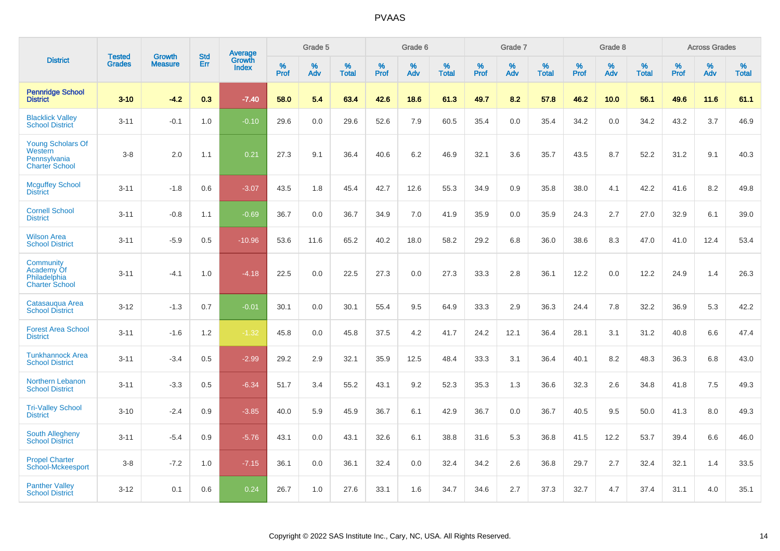|                                                                              | <b>Tested</b> | <b>Growth</b>  | <b>Std</b> | Average                |           | Grade 5  |                   |           | Grade 6  |                   |           | Grade 7  |                   |           | Grade 8  |                   |           | <b>Across Grades</b> |                   |
|------------------------------------------------------------------------------|---------------|----------------|------------|------------------------|-----------|----------|-------------------|-----------|----------|-------------------|-----------|----------|-------------------|-----------|----------|-------------------|-----------|----------------------|-------------------|
| <b>District</b>                                                              | <b>Grades</b> | <b>Measure</b> | Err        | Growth<br><b>Index</b> | %<br>Prof | %<br>Adv | %<br><b>Total</b> | %<br>Prof | %<br>Adv | %<br><b>Total</b> | %<br>Prof | %<br>Adv | %<br><b>Total</b> | %<br>Prof | %<br>Adv | %<br><b>Total</b> | %<br>Prof | %<br>Adv             | %<br><b>Total</b> |
| <b>Pennridge School</b><br><b>District</b>                                   | $3 - 10$      | $-4.2$         | 0.3        | $-7.40$                | 58.0      | 5.4      | 63.4              | 42.6      | 18.6     | 61.3              | 49.7      | 8.2      | 57.8              | 46.2      | 10.0     | 56.1              | 49.6      | 11.6                 | 61.1              |
| <b>Blacklick Valley</b><br><b>School District</b>                            | $3 - 11$      | $-0.1$         | 1.0        | $-0.10$                | 29.6      | 0.0      | 29.6              | 52.6      | 7.9      | 60.5              | 35.4      | 0.0      | 35.4              | 34.2      | 0.0      | 34.2              | 43.2      | 3.7                  | 46.9              |
| <b>Young Scholars Of</b><br>Western<br>Pennsylvania<br><b>Charter School</b> | $3 - 8$       | 2.0            | 1.1        | 0.21                   | 27.3      | 9.1      | 36.4              | 40.6      | 6.2      | 46.9              | 32.1      | 3.6      | 35.7              | 43.5      | 8.7      | 52.2              | 31.2      | 9.1                  | 40.3              |
| <b>Mcguffey School</b><br><b>District</b>                                    | $3 - 11$      | $-1.8$         | 0.6        | $-3.07$                | 43.5      | 1.8      | 45.4              | 42.7      | 12.6     | 55.3              | 34.9      | 0.9      | 35.8              | 38.0      | 4.1      | 42.2              | 41.6      | 8.2                  | 49.8              |
| <b>Cornell School</b><br><b>District</b>                                     | $3 - 11$      | $-0.8$         | 1.1        | $-0.69$                | 36.7      | 0.0      | 36.7              | 34.9      | 7.0      | 41.9              | 35.9      | 0.0      | 35.9              | 24.3      | 2.7      | 27.0              | 32.9      | 6.1                  | 39.0              |
| <b>Wilson Area</b><br><b>School District</b>                                 | $3 - 11$      | $-5.9$         | 0.5        | $-10.96$               | 53.6      | 11.6     | 65.2              | 40.2      | 18.0     | 58.2              | 29.2      | 6.8      | 36.0              | 38.6      | 8.3      | 47.0              | 41.0      | 12.4                 | 53.4              |
| Community<br>Academy Of<br>Philadelphia<br><b>Charter School</b>             | $3 - 11$      | $-4.1$         | 1.0        | $-4.18$                | 22.5      | 0.0      | 22.5              | 27.3      | 0.0      | 27.3              | 33.3      | 2.8      | 36.1              | 12.2      | 0.0      | 12.2              | 24.9      | 1.4                  | 26.3              |
| Catasauqua Area<br><b>School District</b>                                    | $3 - 12$      | $-1.3$         | 0.7        | $-0.01$                | 30.1      | 0.0      | 30.1              | 55.4      | 9.5      | 64.9              | 33.3      | 2.9      | 36.3              | 24.4      | 7.8      | 32.2              | 36.9      | 5.3                  | 42.2              |
| <b>Forest Area School</b><br><b>District</b>                                 | $3 - 11$      | $-1.6$         | 1.2        | $-1.32$                | 45.8      | 0.0      | 45.8              | 37.5      | 4.2      | 41.7              | 24.2      | 12.1     | 36.4              | 28.1      | 3.1      | 31.2              | 40.8      | 6.6                  | 47.4              |
| <b>Tunkhannock Area</b><br><b>School District</b>                            | $3 - 11$      | $-3.4$         | 0.5        | $-2.99$                | 29.2      | 2.9      | 32.1              | 35.9      | 12.5     | 48.4              | 33.3      | 3.1      | 36.4              | 40.1      | 8.2      | 48.3              | 36.3      | 6.8                  | 43.0              |
| Northern Lebanon<br><b>School District</b>                                   | $3 - 11$      | $-3.3$         | 0.5        | $-6.34$                | 51.7      | 3.4      | 55.2              | 43.1      | 9.2      | 52.3              | 35.3      | 1.3      | 36.6              | 32.3      | 2.6      | 34.8              | 41.8      | $7.5\,$              | 49.3              |
| <b>Tri-Valley School</b><br><b>District</b>                                  | $3 - 10$      | $-2.4$         | 0.9        | $-3.85$                | 40.0      | 5.9      | 45.9              | 36.7      | 6.1      | 42.9              | 36.7      | 0.0      | 36.7              | 40.5      | 9.5      | 50.0              | 41.3      | 8.0                  | 49.3              |
| <b>South Allegheny</b><br><b>School District</b>                             | $3 - 11$      | $-5.4$         | 0.9        | $-5.76$                | 43.1      | 0.0      | 43.1              | 32.6      | 6.1      | 38.8              | 31.6      | 5.3      | 36.8              | 41.5      | 12.2     | 53.7              | 39.4      | 6.6                  | 46.0              |
| <b>Propel Charter</b><br>School-Mckeesport                                   | $3 - 8$       | $-7.2$         | 1.0        | $-7.15$                | 36.1      | 0.0      | 36.1              | 32.4      | 0.0      | 32.4              | 34.2      | 2.6      | 36.8              | 29.7      | 2.7      | 32.4              | 32.1      | 1.4                  | 33.5              |
| <b>Panther Valley</b><br><b>School District</b>                              | $3 - 12$      | 0.1            | 0.6        | 0.24                   | 26.7      | 1.0      | 27.6              | 33.1      | 1.6      | 34.7              | 34.6      | 2.7      | 37.3              | 32.7      | 4.7      | 37.4              | 31.1      | 4.0                  | 35.1              |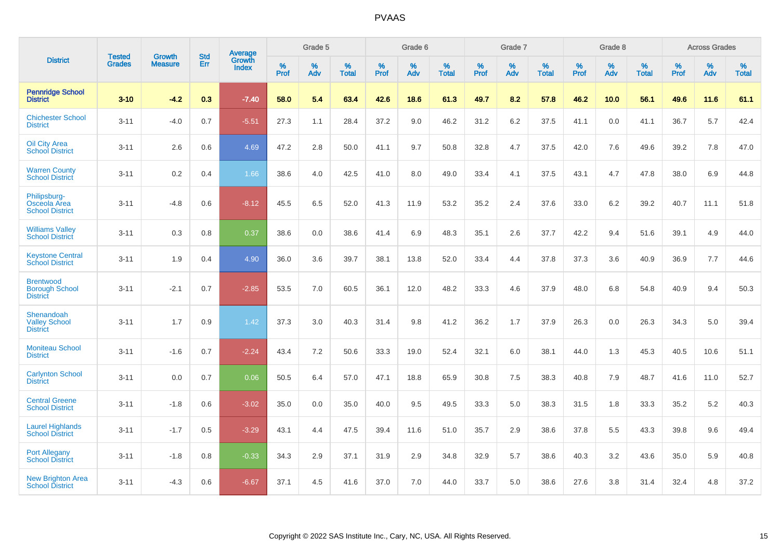|                                                              |                                |                                 | <b>Std</b> | <b>Average</b>         |           | Grade 5  |                   |           | Grade 6  |                   |           | Grade 7  |                   |           | Grade 8  |                   |           | <b>Across Grades</b> |                   |
|--------------------------------------------------------------|--------------------------------|---------------------------------|------------|------------------------|-----------|----------|-------------------|-----------|----------|-------------------|-----------|----------|-------------------|-----------|----------|-------------------|-----------|----------------------|-------------------|
| <b>District</b>                                              | <b>Tested</b><br><b>Grades</b> | <b>Growth</b><br><b>Measure</b> | Err        | <b>Growth</b><br>Index | %<br>Prof | %<br>Adv | %<br><b>Total</b> | %<br>Prof | %<br>Adv | %<br><b>Total</b> | %<br>Prof | %<br>Adv | %<br><b>Total</b> | %<br>Prof | %<br>Adv | %<br><b>Total</b> | %<br>Prof | %<br>Adv             | %<br><b>Total</b> |
| <b>Pennridge School</b><br><b>District</b>                   | $3 - 10$                       | $-4.2$                          | 0.3        | $-7.40$                | 58.0      | 5.4      | 63.4              | 42.6      | 18.6     | 61.3              | 49.7      | 8.2      | 57.8              | 46.2      | 10.0     | 56.1              | 49.6      | 11.6                 | 61.1              |
| <b>Chichester School</b><br><b>District</b>                  | $3 - 11$                       | $-4.0$                          | 0.7        | $-5.51$                | 27.3      | 1.1      | 28.4              | 37.2      | 9.0      | 46.2              | 31.2      | 6.2      | 37.5              | 41.1      | 0.0      | 41.1              | 36.7      | 5.7                  | 42.4              |
| <b>Oil City Area</b><br><b>School District</b>               | $3 - 11$                       | 2.6                             | 0.6        | 4.69                   | 47.2      | 2.8      | 50.0              | 41.1      | 9.7      | 50.8              | 32.8      | 4.7      | 37.5              | 42.0      | 7.6      | 49.6              | 39.2      | 7.8                  | 47.0              |
| <b>Warren County</b><br><b>School District</b>               | $3 - 11$                       | 0.2                             | 0.4        | 1.66                   | 38.6      | 4.0      | 42.5              | 41.0      | 8.0      | 49.0              | 33.4      | 4.1      | 37.5              | 43.1      | 4.7      | 47.8              | 38.0      | 6.9                  | 44.8              |
| Philipsburg-<br>Osceola Area<br><b>School District</b>       | $3 - 11$                       | $-4.8$                          | 0.6        | $-8.12$                | 45.5      | 6.5      | 52.0              | 41.3      | 11.9     | 53.2              | 35.2      | 2.4      | 37.6              | 33.0      | $6.2\,$  | 39.2              | 40.7      | 11.1                 | 51.8              |
| <b>Williams Valley</b><br><b>School District</b>             | $3 - 11$                       | 0.3                             | 0.8        | 0.37                   | 38.6      | 0.0      | 38.6              | 41.4      | 6.9      | 48.3              | 35.1      | 2.6      | 37.7              | 42.2      | 9.4      | 51.6              | 39.1      | 4.9                  | 44.0              |
| <b>Keystone Central</b><br><b>School District</b>            | $3 - 11$                       | 1.9                             | 0.4        | 4.90                   | 36.0      | 3.6      | 39.7              | 38.1      | 13.8     | 52.0              | 33.4      | 4.4      | 37.8              | 37.3      | 3.6      | 40.9              | 36.9      | 7.7                  | 44.6              |
| <b>Brentwood</b><br><b>Borough School</b><br><b>District</b> | $3 - 11$                       | $-2.1$                          | 0.7        | $-2.85$                | 53.5      | 7.0      | 60.5              | 36.1      | 12.0     | 48.2              | 33.3      | 4.6      | 37.9              | 48.0      | 6.8      | 54.8              | 40.9      | 9.4                  | 50.3              |
| Shenandoah<br><b>Valley School</b><br><b>District</b>        | $3 - 11$                       | 1.7                             | 0.9        | 1.42                   | 37.3      | 3.0      | 40.3              | 31.4      | 9.8      | 41.2              | 36.2      | 1.7      | 37.9              | 26.3      | 0.0      | 26.3              | 34.3      | 5.0                  | 39.4              |
| <b>Moniteau School</b><br><b>District</b>                    | $3 - 11$                       | $-1.6$                          | 0.7        | $-2.24$                | 43.4      | 7.2      | 50.6              | 33.3      | 19.0     | 52.4              | 32.1      | 6.0      | 38.1              | 44.0      | 1.3      | 45.3              | 40.5      | 10.6                 | 51.1              |
| <b>Carlynton School</b><br><b>District</b>                   | $3 - 11$                       | 0.0                             | 0.7        | 0.06                   | 50.5      | 6.4      | 57.0              | 47.1      | 18.8     | 65.9              | 30.8      | 7.5      | 38.3              | 40.8      | 7.9      | 48.7              | 41.6      | 11.0                 | 52.7              |
| <b>Central Greene</b><br><b>School District</b>              | $3 - 11$                       | $-1.8$                          | 0.6        | $-3.02$                | 35.0      | 0.0      | 35.0              | 40.0      | 9.5      | 49.5              | 33.3      | 5.0      | 38.3              | 31.5      | 1.8      | 33.3              | 35.2      | 5.2                  | 40.3              |
| <b>Laurel Highlands</b><br><b>School District</b>            | $3 - 11$                       | $-1.7$                          | 0.5        | $-3.29$                | 43.1      | 4.4      | 47.5              | 39.4      | 11.6     | 51.0              | 35.7      | 2.9      | 38.6              | 37.8      | 5.5      | 43.3              | 39.8      | 9.6                  | 49.4              |
| <b>Port Allegany</b><br><b>School District</b>               | $3 - 11$                       | $-1.8$                          | 0.8        | $-0.33$                | 34.3      | 2.9      | 37.1              | 31.9      | 2.9      | 34.8              | 32.9      | 5.7      | 38.6              | 40.3      | 3.2      | 43.6              | 35.0      | 5.9                  | 40.8              |
| <b>New Brighton Area</b><br><b>School District</b>           | $3 - 11$                       | $-4.3$                          | 0.6        | $-6.67$                | 37.1      | 4.5      | 41.6              | 37.0      | 7.0      | 44.0              | 33.7      | 5.0      | 38.6              | 27.6      | 3.8      | 31.4              | 32.4      | 4.8                  | 37.2              |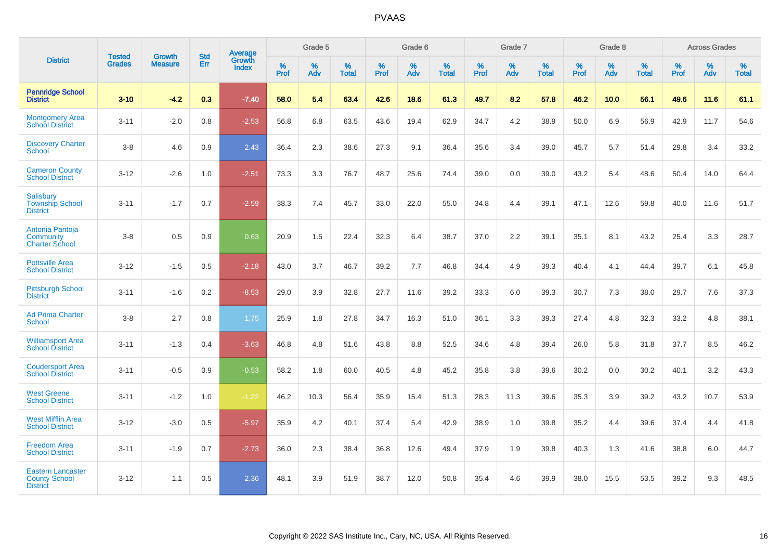|                                                                     |                                |                                 | <b>Std</b> | Average                       |           | Grade 5  |                   |           | Grade 6  |                   |           | Grade 7  |                   |           | Grade 8  |                   |           | <b>Across Grades</b> |                   |
|---------------------------------------------------------------------|--------------------------------|---------------------------------|------------|-------------------------------|-----------|----------|-------------------|-----------|----------|-------------------|-----------|----------|-------------------|-----------|----------|-------------------|-----------|----------------------|-------------------|
| <b>District</b>                                                     | <b>Tested</b><br><b>Grades</b> | <b>Growth</b><br><b>Measure</b> | Err        | <b>Growth</b><br><b>Index</b> | %<br>Prof | %<br>Adv | %<br><b>Total</b> | %<br>Prof | %<br>Adv | %<br><b>Total</b> | %<br>Prof | %<br>Adv | %<br><b>Total</b> | %<br>Prof | %<br>Adv | %<br><b>Total</b> | %<br>Prof | %<br>Adv             | %<br><b>Total</b> |
| <b>Pennridge School</b><br><b>District</b>                          | $3 - 10$                       | $-4.2$                          | 0.3        | $-7.40$                       | 58.0      | 5.4      | 63.4              | 42.6      | 18.6     | 61.3              | 49.7      | 8.2      | 57.8              | 46.2      | 10.0     | 56.1              | 49.6      | 11.6                 | 61.1              |
| <b>Montgomery Area</b><br><b>School District</b>                    | $3 - 11$                       | $-2.0$                          | 0.8        | $-2.53$                       | 56.8      | 6.8      | 63.5              | 43.6      | 19.4     | 62.9              | 34.7      | 4.2      | 38.9              | 50.0      | 6.9      | 56.9              | 42.9      | 11.7                 | 54.6              |
| <b>Discovery Charter</b><br><b>School</b>                           | $3 - 8$                        | 4.6                             | 0.9        | 2.43                          | 36.4      | 2.3      | 38.6              | 27.3      | 9.1      | 36.4              | 35.6      | 3.4      | 39.0              | 45.7      | 5.7      | 51.4              | 29.8      | 3.4                  | 33.2              |
| <b>Cameron County</b><br><b>School District</b>                     | $3 - 12$                       | $-2.6$                          | 1.0        | $-2.51$                       | 73.3      | 3.3      | 76.7              | 48.7      | 25.6     | 74.4              | 39.0      | 0.0      | 39.0              | 43.2      | 5.4      | 48.6              | 50.4      | 14.0                 | 64.4              |
| Salisbury<br><b>Township School</b><br><b>District</b>              | $3 - 11$                       | $-1.7$                          | 0.7        | $-2.59$                       | 38.3      | 7.4      | 45.7              | 33.0      | 22.0     | 55.0              | 34.8      | 4.4      | 39.1              | 47.1      | 12.6     | 59.8              | 40.0      | 11.6                 | 51.7              |
| Antonia Pantoja<br>Community<br><b>Charter School</b>               | $3 - 8$                        | 0.5                             | 0.9        | 0.63                          | 20.9      | 1.5      | 22.4              | 32.3      | 6.4      | 38.7              | 37.0      | 2.2      | 39.1              | 35.1      | 8.1      | 43.2              | 25.4      | 3.3                  | 28.7              |
| <b>Pottsville Area</b><br><b>School District</b>                    | $3 - 12$                       | $-1.5$                          | 0.5        | $-2.18$                       | 43.0      | 3.7      | 46.7              | 39.2      | 7.7      | 46.8              | 34.4      | 4.9      | 39.3              | 40.4      | 4.1      | 44.4              | 39.7      | 6.1                  | 45.8              |
| <b>Pittsburgh School</b><br><b>District</b>                         | $3 - 11$                       | $-1.6$                          | 0.2        | $-8.53$                       | 29.0      | 3.9      | 32.8              | 27.7      | 11.6     | 39.2              | 33.3      | 6.0      | 39.3              | 30.7      | 7.3      | 38.0              | 29.7      | 7.6                  | 37.3              |
| <b>Ad Prima Charter</b><br>School                                   | $3 - 8$                        | 2.7                             | 0.8        | 1.75                          | 25.9      | 1.8      | 27.8              | 34.7      | 16.3     | 51.0              | 36.1      | 3.3      | 39.3              | 27.4      | 4.8      | 32.3              | 33.2      | 4.8                  | 38.1              |
| <b>Williamsport Area</b><br><b>School District</b>                  | $3 - 11$                       | $-1.3$                          | 0.4        | $-3.63$                       | 46.8      | 4.8      | 51.6              | 43.8      | 8.8      | 52.5              | 34.6      | 4.8      | 39.4              | 26.0      | 5.8      | 31.8              | 37.7      | 8.5                  | 46.2              |
| <b>Coudersport Area</b><br><b>School District</b>                   | $3 - 11$                       | $-0.5$                          | 0.9        | $-0.53$                       | 58.2      | 1.8      | 60.0              | 40.5      | 4.8      | 45.2              | 35.8      | 3.8      | 39.6              | 30.2      | 0.0      | 30.2              | 40.1      | 3.2                  | 43.3              |
| <b>West Greene</b><br><b>School District</b>                        | $3 - 11$                       | $-1.2$                          | 1.0        | $-1.22$                       | 46.2      | 10.3     | 56.4              | 35.9      | 15.4     | 51.3              | 28.3      | 11.3     | 39.6              | 35.3      | 3.9      | 39.2              | 43.2      | 10.7                 | 53.9              |
| <b>West Mifflin Area</b><br><b>School District</b>                  | $3 - 12$                       | $-3.0$                          | 0.5        | $-5.97$                       | 35.9      | 4.2      | 40.1              | 37.4      | 5.4      | 42.9              | 38.9      | 1.0      | 39.8              | 35.2      | 4.4      | 39.6              | 37.4      | 4.4                  | 41.8              |
| <b>Freedom Area</b><br><b>School District</b>                       | $3 - 11$                       | $-1.9$                          | 0.7        | $-2.73$                       | 36.0      | 2.3      | 38.4              | 36.8      | 12.6     | 49.4              | 37.9      | 1.9      | 39.8              | 40.3      | 1.3      | 41.6              | 38.8      | 6.0                  | 44.7              |
| <b>Eastern Lancaster</b><br><b>County School</b><br><b>District</b> | $3 - 12$                       | 1.1                             | 0.5        | 2.36                          | 48.1      | 3.9      | 51.9              | 38.7      | 12.0     | 50.8              | 35.4      | 4.6      | 39.9              | 38.0      | 15.5     | 53.5              | 39.2      | 9.3                  | 48.5              |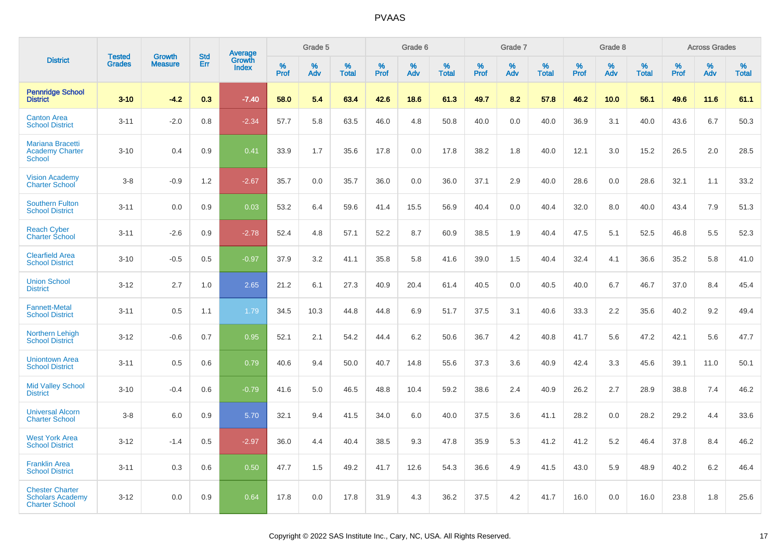|                                                                            |                                |                                 | <b>Std</b> | Average                |                     | Grade 5  |                   |                     | Grade 6  |                   |              | Grade 7  |                   |              | Grade 8  |                   |              | <b>Across Grades</b> |                   |
|----------------------------------------------------------------------------|--------------------------------|---------------------------------|------------|------------------------|---------------------|----------|-------------------|---------------------|----------|-------------------|--------------|----------|-------------------|--------------|----------|-------------------|--------------|----------------------|-------------------|
| <b>District</b>                                                            | <b>Tested</b><br><b>Grades</b> | <b>Growth</b><br><b>Measure</b> | Err        | Growth<br><b>Index</b> | $\%$<br><b>Prof</b> | %<br>Adv | %<br><b>Total</b> | $\%$<br><b>Prof</b> | %<br>Adv | %<br><b>Total</b> | $\%$<br>Prof | %<br>Adv | %<br><b>Total</b> | $\%$<br>Prof | %<br>Adv | %<br><b>Total</b> | $\%$<br>Prof | %<br>Adv             | %<br><b>Total</b> |
| <b>Pennridge School</b><br><b>District</b>                                 | $3 - 10$                       | $-4.2$                          | 0.3        | $-7.40$                | 58.0                | 5.4      | 63.4              | 42.6                | 18.6     | 61.3              | 49.7         | 8.2      | 57.8              | 46.2         | 10.0     | 56.1              | 49.6         | 11.6                 | 61.1              |
| <b>Canton Area</b><br><b>School District</b>                               | $3 - 11$                       | $-2.0$                          | 0.8        | $-2.34$                | 57.7                | 5.8      | 63.5              | 46.0                | 4.8      | 50.8              | 40.0         | 0.0      | 40.0              | 36.9         | 3.1      | 40.0              | 43.6         | 6.7                  | 50.3              |
| <b>Mariana Bracetti</b><br><b>Academy Charter</b><br><b>School</b>         | $3 - 10$                       | 0.4                             | 0.9        | 0.41                   | 33.9                | 1.7      | 35.6              | 17.8                | 0.0      | 17.8              | 38.2         | 1.8      | 40.0              | 12.1         | 3.0      | 15.2              | 26.5         | 2.0                  | 28.5              |
| <b>Vision Academy</b><br><b>Charter School</b>                             | $3-8$                          | $-0.9$                          | 1.2        | $-2.67$                | 35.7                | 0.0      | 35.7              | 36.0                | 0.0      | 36.0              | 37.1         | 2.9      | 40.0              | 28.6         | 0.0      | 28.6              | 32.1         | 1.1                  | 33.2              |
| <b>Southern Fulton</b><br><b>School District</b>                           | $3 - 11$                       | 0.0                             | 0.9        | 0.03                   | 53.2                | 6.4      | 59.6              | 41.4                | 15.5     | 56.9              | 40.4         | 0.0      | 40.4              | 32.0         | 8.0      | 40.0              | 43.4         | 7.9                  | 51.3              |
| <b>Reach Cyber</b><br><b>Charter School</b>                                | $3 - 11$                       | $-2.6$                          | 0.9        | $-2.78$                | 52.4                | 4.8      | 57.1              | 52.2                | 8.7      | 60.9              | 38.5         | 1.9      | 40.4              | 47.5         | 5.1      | 52.5              | 46.8         | 5.5                  | 52.3              |
| <b>Clearfield Area</b><br><b>School District</b>                           | $3 - 10$                       | $-0.5$                          | 0.5        | $-0.97$                | 37.9                | 3.2      | 41.1              | 35.8                | 5.8      | 41.6              | 39.0         | 1.5      | 40.4              | 32.4         | 4.1      | 36.6              | 35.2         | 5.8                  | 41.0              |
| <b>Union School</b><br><b>District</b>                                     | $3 - 12$                       | 2.7                             | 1.0        | 2.65                   | 21.2                | 6.1      | 27.3              | 40.9                | 20.4     | 61.4              | 40.5         | 0.0      | 40.5              | 40.0         | 6.7      | 46.7              | 37.0         | 8.4                  | 45.4              |
| <b>Fannett-Metal</b><br><b>School District</b>                             | $3 - 11$                       | 0.5                             | 1.1        | 1.79                   | 34.5                | 10.3     | 44.8              | 44.8                | 6.9      | 51.7              | 37.5         | 3.1      | 40.6              | 33.3         | 2.2      | 35.6              | 40.2         | 9.2                  | 49.4              |
| <b>Northern Lehigh</b><br><b>School District</b>                           | $3 - 12$                       | $-0.6$                          | 0.7        | 0.95                   | 52.1                | 2.1      | 54.2              | 44.4                | 6.2      | 50.6              | 36.7         | 4.2      | 40.8              | 41.7         | 5.6      | 47.2              | 42.1         | 5.6                  | 47.7              |
| <b>Uniontown Area</b><br><b>School District</b>                            | $3 - 11$                       | 0.5                             | 0.6        | 0.79                   | 40.6                | 9.4      | 50.0              | 40.7                | 14.8     | 55.6              | 37.3         | 3.6      | 40.9              | 42.4         | 3.3      | 45.6              | 39.1         | 11.0                 | 50.1              |
| <b>Mid Valley School</b><br><b>District</b>                                | $3 - 10$                       | $-0.4$                          | 0.6        | $-0.79$                | 41.6                | 5.0      | 46.5              | 48.8                | 10.4     | 59.2              | 38.6         | 2.4      | 40.9              | 26.2         | 2.7      | 28.9              | 38.8         | 7.4                  | 46.2              |
| <b>Universal Alcorn</b><br><b>Charter School</b>                           | $3 - 8$                        | 6.0                             | 0.9        | 5.70                   | 32.1                | 9.4      | 41.5              | 34.0                | 6.0      | 40.0              | 37.5         | 3.6      | 41.1              | 28.2         | 0.0      | 28.2              | 29.2         | 4.4                  | 33.6              |
| <b>West York Area</b><br><b>School District</b>                            | $3 - 12$                       | $-1.4$                          | 0.5        | $-2.97$                | 36.0                | 4.4      | 40.4              | 38.5                | 9.3      | 47.8              | 35.9         | 5.3      | 41.2              | 41.2         | 5.2      | 46.4              | 37.8         | 8.4                  | 46.2              |
| <b>Franklin Area</b><br><b>School District</b>                             | $3 - 11$                       | 0.3                             | 0.6        | 0.50                   | 47.7                | 1.5      | 49.2              | 41.7                | 12.6     | 54.3              | 36.6         | 4.9      | 41.5              | 43.0         | 5.9      | 48.9              | 40.2         | 6.2                  | 46.4              |
| <b>Chester Charter</b><br><b>Scholars Academy</b><br><b>Charter School</b> | $3 - 12$                       | 0.0                             | 0.9        | 0.64                   | 17.8                | 0.0      | 17.8              | 31.9                | 4.3      | 36.2              | 37.5         | 4.2      | 41.7              | 16.0         | 0.0      | 16.0              | 23.8         | 1.8                  | 25.6              |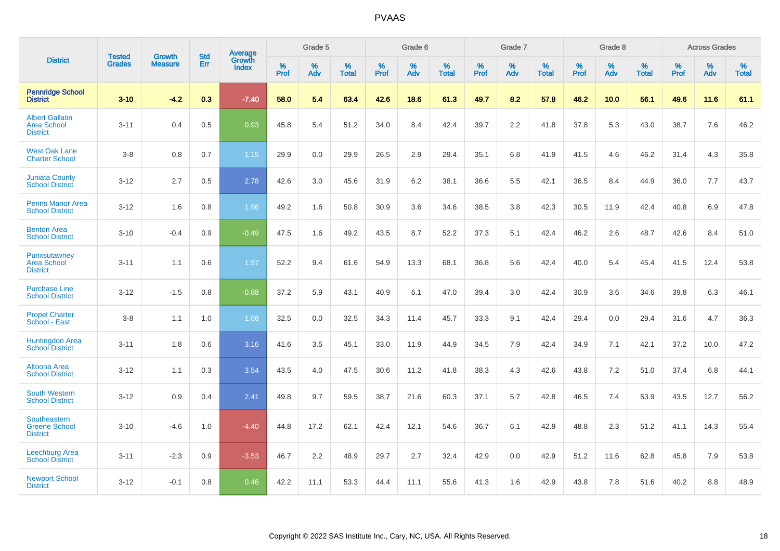|                                                                 | <b>Tested</b> | <b>Growth</b>  | <b>Std</b> | Average                       |           | Grade 5  |                   |           | Grade 6  |                   |           | Grade 7  |                   |           | Grade 8  |                   |           | <b>Across Grades</b> |                   |
|-----------------------------------------------------------------|---------------|----------------|------------|-------------------------------|-----------|----------|-------------------|-----------|----------|-------------------|-----------|----------|-------------------|-----------|----------|-------------------|-----------|----------------------|-------------------|
| <b>District</b>                                                 | <b>Grades</b> | <b>Measure</b> | <b>Err</b> | <b>Growth</b><br><b>Index</b> | %<br>Prof | %<br>Adv | %<br><b>Total</b> | %<br>Prof | %<br>Adv | %<br><b>Total</b> | %<br>Prof | %<br>Adv | %<br><b>Total</b> | %<br>Prof | %<br>Adv | %<br><b>Total</b> | %<br>Prof | %<br>Adv             | %<br><b>Total</b> |
| <b>Pennridge School</b><br><b>District</b>                      | $3 - 10$      | $-4.2$         | 0.3        | $-7.40$                       | 58.0      | 5.4      | 63.4              | 42.6      | 18.6     | 61.3              | 49.7      | 8.2      | 57.8              | 46.2      | 10.0     | 56.1              | 49.6      | 11.6                 | 61.1              |
| <b>Albert Gallatin</b><br><b>Area School</b><br><b>District</b> | $3 - 11$      | 0.4            | 0.5        | 0.93                          | 45.8      | 5.4      | 51.2              | 34.0      | 8.4      | 42.4              | 39.7      | 2.2      | 41.8              | 37.8      | 5.3      | 43.0              | 38.7      | 7.6                  | 46.2              |
| <b>West Oak Lane</b><br><b>Charter School</b>                   | $3 - 8$       | 0.8            | 0.7        | 1.15                          | 29.9      | 0.0      | 29.9              | 26.5      | 2.9      | 29.4              | 35.1      | 6.8      | 41.9              | 41.5      | 4.6      | 46.2              | 31.4      | 4.3                  | 35.8              |
| <b>Juniata County</b><br><b>School District</b>                 | $3 - 12$      | 2.7            | 0.5        | 2.78                          | 42.6      | 3.0      | 45.6              | 31.9      | 6.2      | 38.1              | 36.6      | 5.5      | 42.1              | 36.5      | 8.4      | 44.9              | 36.0      | 7.7                  | 43.7              |
| <b>Penns Manor Area</b><br><b>School District</b>               | $3 - 12$      | 1.6            | 0.8        | 1.96                          | 49.2      | 1.6      | 50.8              | 30.9      | 3.6      | 34.6              | 38.5      | 3.8      | 42.3              | 30.5      | 11.9     | 42.4              | 40.8      | 6.9                  | 47.8              |
| <b>Benton Area</b><br><b>School District</b>                    | $3 - 10$      | $-0.4$         | 0.9        | $-0.49$                       | 47.5      | 1.6      | 49.2              | 43.5      | 8.7      | 52.2              | 37.3      | 5.1      | 42.4              | 46.2      | 2.6      | 48.7              | 42.6      | 8.4                  | 51.0              |
| Punxsutawney<br><b>Area School</b><br><b>District</b>           | $3 - 11$      | 1.1            | 0.6        | 1.97                          | 52.2      | 9.4      | 61.6              | 54.9      | 13.3     | 68.1              | 36.8      | 5.6      | 42.4              | 40.0      | 5.4      | 45.4              | 41.5      | 12.4                 | 53.8              |
| <b>Purchase Line</b><br><b>School District</b>                  | $3 - 12$      | $-1.5$         | 0.8        | $-0.88$                       | 37.2      | 5.9      | 43.1              | 40.9      | 6.1      | 47.0              | 39.4      | 3.0      | 42.4              | 30.9      | 3.6      | 34.6              | 39.8      | 6.3                  | 46.1              |
| <b>Propel Charter</b><br>School - East                          | $3 - 8$       | 1.1            | 1.0        | 1.08                          | 32.5      | 0.0      | 32.5              | 34.3      | 11.4     | 45.7              | 33.3      | 9.1      | 42.4              | 29.4      | 0.0      | 29.4              | 31.6      | 4.7                  | 36.3              |
| <b>Huntingdon Area</b><br><b>School District</b>                | $3 - 11$      | 1.8            | 0.6        | 3.16                          | 41.6      | 3.5      | 45.1              | 33.0      | 11.9     | 44.9              | 34.5      | 7.9      | 42.4              | 34.9      | 7.1      | 42.1              | 37.2      | 10.0                 | 47.2              |
| Altoona Area<br><b>School District</b>                          | $3 - 12$      | 1.1            | 0.3        | 3.54                          | 43.5      | 4.0      | 47.5              | 30.6      | 11.2     | 41.8              | 38.3      | 4.3      | 42.6              | 43.8      | 7.2      | 51.0              | 37.4      | 6.8                  | 44.1              |
| <b>South Western</b><br><b>School District</b>                  | $3 - 12$      | 0.9            | 0.4        | 2.41                          | 49.8      | 9.7      | 59.5              | 38.7      | 21.6     | 60.3              | 37.1      | 5.7      | 42.8              | 46.5      | 7.4      | 53.9              | 43.5      | 12.7                 | 56.2              |
| Southeastern<br><b>Greene School</b><br><b>District</b>         | $3 - 10$      | $-4.6$         | 1.0        | $-4.40$                       | 44.8      | 17.2     | 62.1              | 42.4      | 12.1     | 54.6              | 36.7      | 6.1      | 42.9              | 48.8      | 2.3      | 51.2              | 41.1      | 14.3                 | 55.4              |
| Leechburg Area<br><b>School District</b>                        | $3 - 11$      | $-2.3$         | 0.9        | $-3.53$                       | 46.7      | 2.2      | 48.9              | 29.7      | 2.7      | 32.4              | 42.9      | 0.0      | 42.9              | 51.2      | 11.6     | 62.8              | 45.8      | 7.9                  | 53.8              |
| <b>Newport School</b><br><b>District</b>                        | $3 - 12$      | $-0.1$         | 0.8        | 0.46                          | 42.2      | 11.1     | 53.3              | 44.4      | 11.1     | 55.6              | 41.3      | 1.6      | 42.9              | 43.8      | 7.8      | 51.6              | 40.2      | 8.8                  | 48.9              |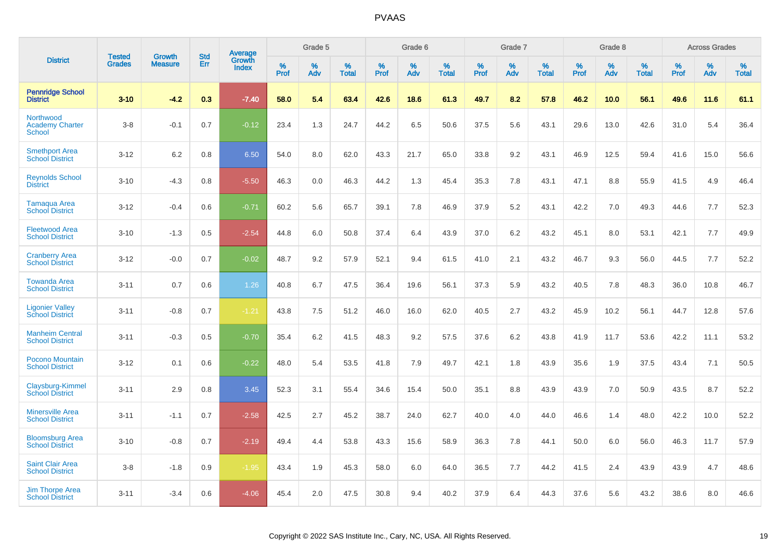|                                                      |                                |                                 | <b>Std</b> | Average                |              | Grade 5  |                      |                  | Grade 6  |                      |              | Grade 7  |                      |              | Grade 8  |                      |              | <b>Across Grades</b> |                      |
|------------------------------------------------------|--------------------------------|---------------------------------|------------|------------------------|--------------|----------|----------------------|------------------|----------|----------------------|--------------|----------|----------------------|--------------|----------|----------------------|--------------|----------------------|----------------------|
| <b>District</b>                                      | <b>Tested</b><br><b>Grades</b> | <b>Growth</b><br><b>Measure</b> | Err        | Growth<br><b>Index</b> | $\%$<br>Prof | %<br>Adv | $\%$<br><b>Total</b> | %<br><b>Prof</b> | %<br>Adv | $\%$<br><b>Total</b> | $\%$<br>Prof | %<br>Adv | $\%$<br><b>Total</b> | $\%$<br>Prof | %<br>Adv | $\%$<br><b>Total</b> | $\%$<br>Prof | %<br>Adv             | $\%$<br><b>Total</b> |
| <b>Pennridge School</b><br><b>District</b>           | $3 - 10$                       | $-4.2$                          | 0.3        | $-7.40$                | 58.0         | 5.4      | 63.4                 | 42.6             | 18.6     | 61.3                 | 49.7         | 8.2      | 57.8                 | 46.2         | 10.0     | 56.1                 | 49.6         | 11.6                 | 61.1                 |
| Northwood<br><b>Academy Charter</b><br><b>School</b> | $3-8$                          | $-0.1$                          | 0.7        | $-0.12$                | 23.4         | 1.3      | 24.7                 | 44.2             | 6.5      | 50.6                 | 37.5         | 5.6      | 43.1                 | 29.6         | 13.0     | 42.6                 | 31.0         | 5.4                  | 36.4                 |
| <b>Smethport Area</b><br><b>School District</b>      | $3 - 12$                       | 6.2                             | 0.8        | 6.50                   | 54.0         | 8.0      | 62.0                 | 43.3             | 21.7     | 65.0                 | 33.8         | 9.2      | 43.1                 | 46.9         | 12.5     | 59.4                 | 41.6         | 15.0                 | 56.6                 |
| <b>Reynolds School</b><br><b>District</b>            | $3 - 10$                       | $-4.3$                          | 0.8        | $-5.50$                | 46.3         | 0.0      | 46.3                 | 44.2             | 1.3      | 45.4                 | 35.3         | 7.8      | 43.1                 | 47.1         | 8.8      | 55.9                 | 41.5         | 4.9                  | 46.4                 |
| <b>Tamaqua Area</b><br><b>School District</b>        | $3 - 12$                       | $-0.4$                          | 0.6        | $-0.71$                | 60.2         | 5.6      | 65.7                 | 39.1             | 7.8      | 46.9                 | 37.9         | 5.2      | 43.1                 | 42.2         | 7.0      | 49.3                 | 44.6         | 7.7                  | 52.3                 |
| <b>Fleetwood Area</b><br><b>School District</b>      | $3 - 10$                       | $-1.3$                          | 0.5        | $-2.54$                | 44.8         | 6.0      | 50.8                 | 37.4             | 6.4      | 43.9                 | 37.0         | $6.2\,$  | 43.2                 | 45.1         | 8.0      | 53.1                 | 42.1         | 7.7                  | 49.9                 |
| <b>Cranberry Area</b><br><b>School District</b>      | $3 - 12$                       | $-0.0$                          | 0.7        | $-0.02$                | 48.7         | 9.2      | 57.9                 | 52.1             | 9.4      | 61.5                 | 41.0         | 2.1      | 43.2                 | 46.7         | 9.3      | 56.0                 | 44.5         | 7.7                  | 52.2                 |
| <b>Towanda Area</b><br><b>School District</b>        | $3 - 11$                       | 0.7                             | 0.6        | 1.26                   | 40.8         | 6.7      | 47.5                 | 36.4             | 19.6     | 56.1                 | 37.3         | 5.9      | 43.2                 | 40.5         | 7.8      | 48.3                 | 36.0         | 10.8                 | 46.7                 |
| <b>Ligonier Valley</b><br><b>School District</b>     | $3 - 11$                       | $-0.8$                          | 0.7        | $-1.21$                | 43.8         | 7.5      | 51.2                 | 46.0             | 16.0     | 62.0                 | 40.5         | 2.7      | 43.2                 | 45.9         | 10.2     | 56.1                 | 44.7         | 12.8                 | 57.6                 |
| <b>Manheim Central</b><br><b>School District</b>     | $3 - 11$                       | $-0.3$                          | 0.5        | $-0.70$                | 35.4         | 6.2      | 41.5                 | 48.3             | 9.2      | 57.5                 | 37.6         | 6.2      | 43.8                 | 41.9         | 11.7     | 53.6                 | 42.2         | 11.1                 | 53.2                 |
| Pocono Mountain<br><b>School District</b>            | $3 - 12$                       | 0.1                             | 0.6        | $-0.22$                | 48.0         | 5.4      | 53.5                 | 41.8             | 7.9      | 49.7                 | 42.1         | 1.8      | 43.9                 | 35.6         | 1.9      | 37.5                 | 43.4         | 7.1                  | 50.5                 |
| Claysburg-Kimmel<br><b>School District</b>           | $3 - 11$                       | 2.9                             | 0.8        | 3.45                   | 52.3         | 3.1      | 55.4                 | 34.6             | 15.4     | 50.0                 | 35.1         | 8.8      | 43.9                 | 43.9         | 7.0      | 50.9                 | 43.5         | 8.7                  | 52.2                 |
| <b>Minersville Area</b><br><b>School District</b>    | $3 - 11$                       | $-1.1$                          | 0.7        | $-2.58$                | 42.5         | 2.7      | 45.2                 | 38.7             | 24.0     | 62.7                 | 40.0         | 4.0      | 44.0                 | 46.6         | 1.4      | 48.0                 | 42.2         | 10.0                 | 52.2                 |
| <b>Bloomsburg Area</b><br><b>School District</b>     | $3 - 10$                       | $-0.8$                          | 0.7        | $-2.19$                | 49.4         | 4.4      | 53.8                 | 43.3             | 15.6     | 58.9                 | 36.3         | 7.8      | 44.1                 | 50.0         | 6.0      | 56.0                 | 46.3         | 11.7                 | 57.9                 |
| <b>Saint Clair Area</b><br><b>School District</b>    | $3-8$                          | $-1.8$                          | 0.9        | $-1.95$                | 43.4         | 1.9      | 45.3                 | 58.0             | 6.0      | 64.0                 | 36.5         | 7.7      | 44.2                 | 41.5         | 2.4      | 43.9                 | 43.9         | 4.7                  | 48.6                 |
| <b>Jim Thorpe Area</b><br><b>School District</b>     | $3 - 11$                       | $-3.4$                          | 0.6        | $-4.06$                | 45.4         | 2.0      | 47.5                 | 30.8             | 9.4      | 40.2                 | 37.9         | 6.4      | 44.3                 | 37.6         | 5.6      | 43.2                 | 38.6         | 8.0                  | 46.6                 |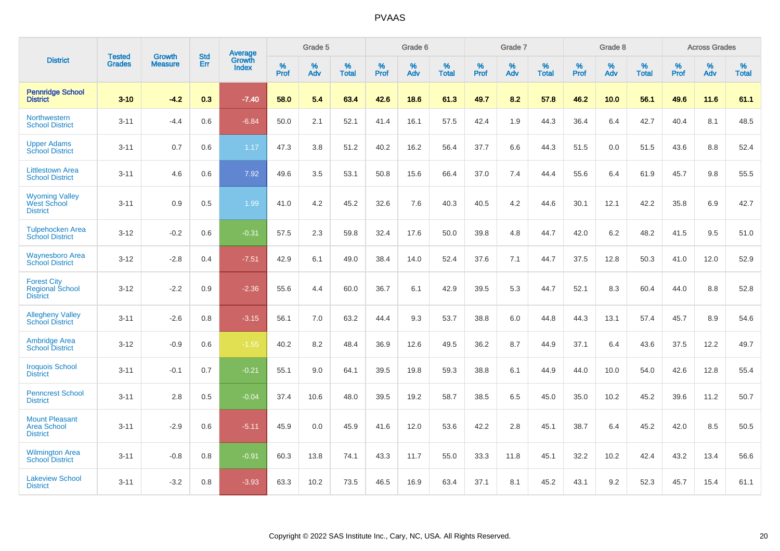|                                                                 |                                |                                 | <b>Std</b> | Average                       |           | Grade 5  |                   |           | Grade 6  |                   |           | Grade 7  |                   |           | Grade 8  |                   |           | <b>Across Grades</b> |                   |
|-----------------------------------------------------------------|--------------------------------|---------------------------------|------------|-------------------------------|-----------|----------|-------------------|-----------|----------|-------------------|-----------|----------|-------------------|-----------|----------|-------------------|-----------|----------------------|-------------------|
| <b>District</b>                                                 | <b>Tested</b><br><b>Grades</b> | <b>Growth</b><br><b>Measure</b> | Err        | <b>Growth</b><br><b>Index</b> | %<br>Prof | %<br>Adv | %<br><b>Total</b> | %<br>Prof | %<br>Adv | %<br><b>Total</b> | %<br>Prof | %<br>Adv | %<br><b>Total</b> | %<br>Prof | %<br>Adv | %<br><b>Total</b> | %<br>Prof | %<br>Adv             | %<br><b>Total</b> |
| <b>Pennridge School</b><br><b>District</b>                      | $3 - 10$                       | $-4.2$                          | 0.3        | $-7.40$                       | 58.0      | 5.4      | 63.4              | 42.6      | 18.6     | 61.3              | 49.7      | 8.2      | 57.8              | 46.2      | 10.0     | 56.1              | 49.6      | 11.6                 | 61.1              |
| Northwestern<br><b>School District</b>                          | $3 - 11$                       | $-4.4$                          | 0.6        | $-6.84$                       | 50.0      | 2.1      | 52.1              | 41.4      | 16.1     | 57.5              | 42.4      | 1.9      | 44.3              | 36.4      | 6.4      | 42.7              | 40.4      | 8.1                  | 48.5              |
| <b>Upper Adams</b><br>School District                           | $3 - 11$                       | 0.7                             | 0.6        | 1.17                          | 47.3      | 3.8      | 51.2              | 40.2      | 16.2     | 56.4              | 37.7      | 6.6      | 44.3              | 51.5      | 0.0      | 51.5              | 43.6      | 8.8                  | 52.4              |
| <b>Littlestown Area</b><br><b>School District</b>               | $3 - 11$                       | 4.6                             | 0.6        | 7.92                          | 49.6      | 3.5      | 53.1              | 50.8      | 15.6     | 66.4              | 37.0      | 7.4      | 44.4              | 55.6      | 6.4      | 61.9              | 45.7      | 9.8                  | 55.5              |
| <b>Wyoming Valley</b><br>West School<br><b>District</b>         | $3 - 11$                       | 0.9                             | 0.5        | 1.99                          | 41.0      | 4.2      | 45.2              | 32.6      | 7.6      | 40.3              | 40.5      | 4.2      | 44.6              | 30.1      | 12.1     | 42.2              | 35.8      | 6.9                  | 42.7              |
| <b>Tulpehocken Area</b><br><b>School District</b>               | $3 - 12$                       | $-0.2$                          | 0.6        | $-0.31$                       | 57.5      | 2.3      | 59.8              | 32.4      | 17.6     | 50.0              | 39.8      | 4.8      | 44.7              | 42.0      | 6.2      | 48.2              | 41.5      | 9.5                  | 51.0              |
| <b>Waynesboro Area</b><br><b>School District</b>                | $3 - 12$                       | $-2.8$                          | 0.4        | $-7.51$                       | 42.9      | 6.1      | 49.0              | 38.4      | 14.0     | 52.4              | 37.6      | 7.1      | 44.7              | 37.5      | 12.8     | 50.3              | 41.0      | 12.0                 | 52.9              |
| <b>Forest City</b><br><b>Regional School</b><br><b>District</b> | $3 - 12$                       | $-2.2$                          | 0.9        | $-2.36$                       | 55.6      | 4.4      | 60.0              | 36.7      | 6.1      | 42.9              | 39.5      | 5.3      | 44.7              | 52.1      | 8.3      | 60.4              | 44.0      | 8.8                  | 52.8              |
| <b>Allegheny Valley</b><br><b>School District</b>               | $3 - 11$                       | $-2.6$                          | 0.8        | $-3.15$                       | 56.1      | 7.0      | 63.2              | 44.4      | 9.3      | 53.7              | 38.8      | 6.0      | 44.8              | 44.3      | 13.1     | 57.4              | 45.7      | 8.9                  | 54.6              |
| <b>Ambridge Area</b><br><b>School District</b>                  | $3 - 12$                       | $-0.9$                          | 0.6        | $-1.55$                       | 40.2      | 8.2      | 48.4              | 36.9      | 12.6     | 49.5              | 36.2      | 8.7      | 44.9              | 37.1      | 6.4      | 43.6              | 37.5      | 12.2                 | 49.7              |
| <b>Iroquois School</b><br><b>District</b>                       | $3 - 11$                       | $-0.1$                          | 0.7        | $-0.21$                       | 55.1      | 9.0      | 64.1              | 39.5      | 19.8     | 59.3              | 38.8      | 6.1      | 44.9              | 44.0      | 10.0     | 54.0              | 42.6      | 12.8                 | 55.4              |
| <b>Penncrest School</b><br><b>District</b>                      | $3 - 11$                       | 2.8                             | 0.5        | $-0.04$                       | 37.4      | 10.6     | 48.0              | 39.5      | 19.2     | 58.7              | 38.5      | 6.5      | 45.0              | 35.0      | 10.2     | 45.2              | 39.6      | 11.2                 | 50.7              |
| <b>Mount Pleasant</b><br><b>Area School</b><br><b>District</b>  | $3 - 11$                       | $-2.9$                          | 0.6        | $-5.11$                       | 45.9      | 0.0      | 45.9              | 41.6      | 12.0     | 53.6              | 42.2      | 2.8      | 45.1              | 38.7      | 6.4      | 45.2              | 42.0      | 8.5                  | 50.5              |
| <b>Wilmington Area</b><br><b>School District</b>                | $3 - 11$                       | $-0.8$                          | 0.8        | $-0.91$                       | 60.3      | 13.8     | 74.1              | 43.3      | 11.7     | 55.0              | 33.3      | 11.8     | 45.1              | 32.2      | 10.2     | 42.4              | 43.2      | 13.4                 | 56.6              |
| <b>Lakeview School</b><br><b>District</b>                       | $3 - 11$                       | $-3.2$                          | 0.8        | $-3.93$                       | 63.3      | 10.2     | 73.5              | 46.5      | 16.9     | 63.4              | 37.1      | 8.1      | 45.2              | 43.1      | 9.2      | 52.3              | 45.7      | 15.4                 | 61.1              |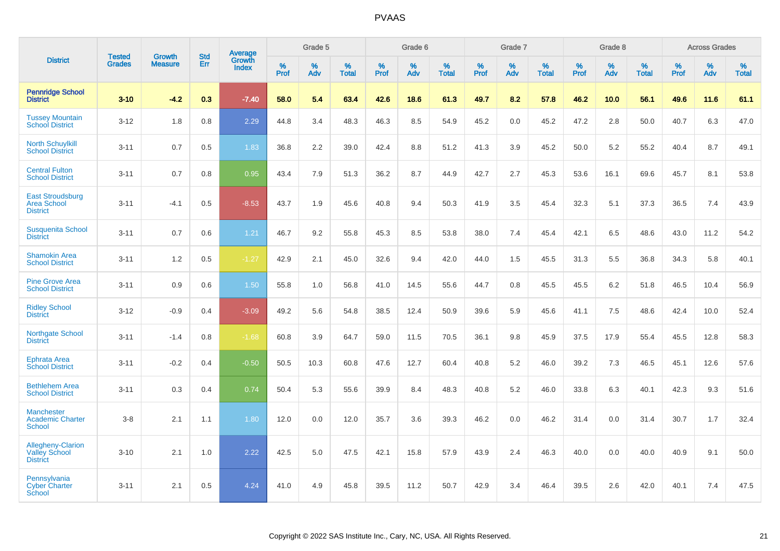|                                                                     |                                |                                 | <b>Std</b> | Average                |              | Grade 5  |                   |           | Grade 6  |                   |           | Grade 7  |                   |           | Grade 8  |                   |           | <b>Across Grades</b> |                   |
|---------------------------------------------------------------------|--------------------------------|---------------------------------|------------|------------------------|--------------|----------|-------------------|-----------|----------|-------------------|-----------|----------|-------------------|-----------|----------|-------------------|-----------|----------------------|-------------------|
| <b>District</b>                                                     | <b>Tested</b><br><b>Grades</b> | <b>Growth</b><br><b>Measure</b> | Err        | <b>Growth</b><br>Index | $\%$<br>Prof | %<br>Adv | %<br><b>Total</b> | %<br>Prof | %<br>Adv | %<br><b>Total</b> | %<br>Prof | %<br>Adv | %<br><b>Total</b> | %<br>Prof | %<br>Adv | %<br><b>Total</b> | %<br>Prof | %<br>Adv             | %<br><b>Total</b> |
| <b>Pennridge School</b><br><b>District</b>                          | $3 - 10$                       | $-4.2$                          | 0.3        | $-7.40$                | 58.0         | 5.4      | 63.4              | 42.6      | 18.6     | 61.3              | 49.7      | 8.2      | 57.8              | 46.2      | 10.0     | 56.1              | 49.6      | 11.6                 | 61.1              |
| <b>Tussey Mountain</b><br><b>School District</b>                    | $3 - 12$                       | 1.8                             | 0.8        | 2.29                   | 44.8         | 3.4      | 48.3              | 46.3      | 8.5      | 54.9              | 45.2      | 0.0      | 45.2              | 47.2      | 2.8      | 50.0              | 40.7      | 6.3                  | 47.0              |
| <b>North Schuylkill</b><br><b>School District</b>                   | $3 - 11$                       | 0.7                             | 0.5        | 1.83                   | 36.8         | 2.2      | 39.0              | 42.4      | 8.8      | 51.2              | 41.3      | 3.9      | 45.2              | 50.0      | 5.2      | 55.2              | 40.4      | 8.7                  | 49.1              |
| <b>Central Fulton</b><br><b>School District</b>                     | $3 - 11$                       | 0.7                             | 0.8        | 0.95                   | 43.4         | 7.9      | 51.3              | 36.2      | 8.7      | 44.9              | 42.7      | 2.7      | 45.3              | 53.6      | 16.1     | 69.6              | 45.7      | 8.1                  | 53.8              |
| <b>East Stroudsburg</b><br><b>Area School</b><br><b>District</b>    | $3 - 11$                       | $-4.1$                          | 0.5        | $-8.53$                | 43.7         | 1.9      | 45.6              | 40.8      | 9.4      | 50.3              | 41.9      | 3.5      | 45.4              | 32.3      | 5.1      | 37.3              | 36.5      | 7.4                  | 43.9              |
| <b>Susquenita School</b><br><b>District</b>                         | $3 - 11$                       | 0.7                             | 0.6        | 1.21                   | 46.7         | 9.2      | 55.8              | 45.3      | 8.5      | 53.8              | 38.0      | 7.4      | 45.4              | 42.1      | 6.5      | 48.6              | 43.0      | 11.2                 | 54.2              |
| <b>Shamokin Area</b><br><b>School District</b>                      | $3 - 11$                       | 1.2                             | 0.5        | $-1.27$                | 42.9         | 2.1      | 45.0              | 32.6      | 9.4      | 42.0              | 44.0      | 1.5      | 45.5              | 31.3      | 5.5      | 36.8              | 34.3      | 5.8                  | 40.1              |
| <b>Pine Grove Area</b><br><b>School District</b>                    | $3 - 11$                       | 0.9                             | 0.6        | 1.50                   | 55.8         | 1.0      | 56.8              | 41.0      | 14.5     | 55.6              | 44.7      | 0.8      | 45.5              | 45.5      | $6.2\,$  | 51.8              | 46.5      | 10.4                 | 56.9              |
| <b>Ridley School</b><br><b>District</b>                             | $3 - 12$                       | $-0.9$                          | 0.4        | $-3.09$                | 49.2         | 5.6      | 54.8              | 38.5      | 12.4     | 50.9              | 39.6      | 5.9      | 45.6              | 41.1      | 7.5      | 48.6              | 42.4      | 10.0                 | 52.4              |
| <b>Northgate School</b><br><b>District</b>                          | $3 - 11$                       | $-1.4$                          | 0.8        | $-1.68$                | 60.8         | 3.9      | 64.7              | 59.0      | 11.5     | 70.5              | 36.1      | 9.8      | 45.9              | 37.5      | 17.9     | 55.4              | 45.5      | 12.8                 | 58.3              |
| <b>Ephrata Area</b><br><b>School District</b>                       | $3 - 11$                       | $-0.2$                          | 0.4        | $-0.50$                | 50.5         | 10.3     | 60.8              | 47.6      | 12.7     | 60.4              | 40.8      | 5.2      | 46.0              | 39.2      | 7.3      | 46.5              | 45.1      | 12.6                 | 57.6              |
| <b>Bethlehem Area</b><br><b>School District</b>                     | $3 - 11$                       | 0.3                             | 0.4        | 0.74                   | 50.4         | 5.3      | 55.6              | 39.9      | 8.4      | 48.3              | 40.8      | 5.2      | 46.0              | 33.8      | 6.3      | 40.1              | 42.3      | 9.3                  | 51.6              |
| <b>Manchester</b><br><b>Academic Charter</b><br><b>School</b>       | $3-8$                          | 2.1                             | 1.1        | 1.80                   | 12.0         | 0.0      | 12.0              | 35.7      | 3.6      | 39.3              | 46.2      | 0.0      | 46.2              | 31.4      | 0.0      | 31.4              | 30.7      | 1.7                  | 32.4              |
| <b>Allegheny-Clarion</b><br><b>Valley School</b><br><b>District</b> | $3 - 10$                       | 2.1                             | 1.0        | 2.22                   | 42.5         | 5.0      | 47.5              | 42.1      | 15.8     | 57.9              | 43.9      | 2.4      | 46.3              | 40.0      | 0.0      | 40.0              | 40.9      | 9.1                  | 50.0              |
| Pennsylvania<br><b>Cyber Charter</b><br>School                      | $3 - 11$                       | 2.1                             | 0.5        | 4.24                   | 41.0         | 4.9      | 45.8              | 39.5      | 11.2     | 50.7              | 42.9      | 3.4      | 46.4              | 39.5      | 2.6      | 42.0              | 40.1      | 7.4                  | 47.5              |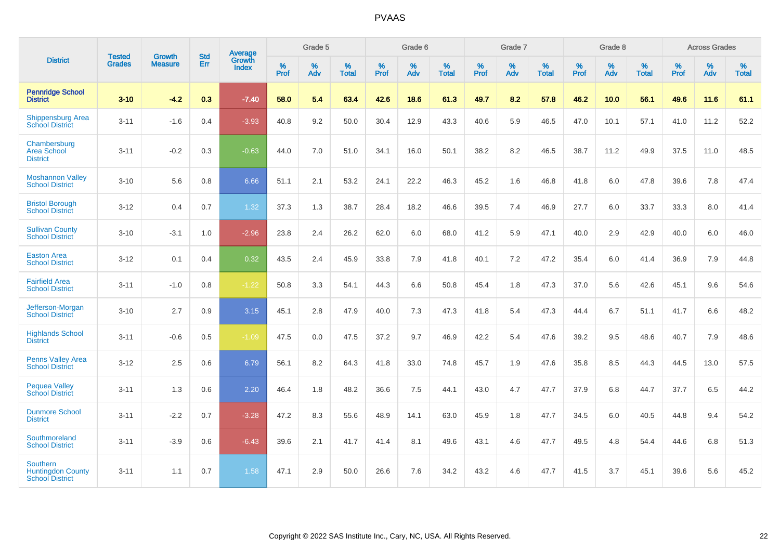|                                                                | <b>Tested</b> | <b>Growth</b>  | <b>Std</b> | Average                       |                  | Grade 5  |                   |                  | Grade 6  |                   |           | Grade 7  |                   |           | Grade 8  |                   |                  | <b>Across Grades</b> |                   |
|----------------------------------------------------------------|---------------|----------------|------------|-------------------------------|------------------|----------|-------------------|------------------|----------|-------------------|-----------|----------|-------------------|-----------|----------|-------------------|------------------|----------------------|-------------------|
| <b>District</b>                                                | <b>Grades</b> | <b>Measure</b> | Err        | <b>Growth</b><br><b>Index</b> | %<br><b>Prof</b> | %<br>Adv | %<br><b>Total</b> | %<br><b>Prof</b> | %<br>Adv | %<br><b>Total</b> | %<br>Prof | %<br>Adv | %<br><b>Total</b> | %<br>Prof | %<br>Adv | %<br><b>Total</b> | %<br><b>Prof</b> | %<br>Adv             | %<br><b>Total</b> |
| <b>Pennridge School</b><br><b>District</b>                     | $3 - 10$      | $-4.2$         | 0.3        | $-7.40$                       | 58.0             | 5.4      | 63.4              | 42.6             | 18.6     | 61.3              | 49.7      | 8.2      | 57.8              | 46.2      | 10.0     | 56.1              | 49.6             | 11.6                 | 61.1              |
| <b>Shippensburg Area</b><br><b>School District</b>             | $3 - 11$      | $-1.6$         | 0.4        | $-3.93$                       | 40.8             | 9.2      | 50.0              | 30.4             | 12.9     | 43.3              | 40.6      | 5.9      | 46.5              | 47.0      | 10.1     | 57.1              | 41.0             | 11.2                 | 52.2              |
| Chambersburg<br><b>Area School</b><br><b>District</b>          | $3 - 11$      | $-0.2$         | 0.3        | $-0.63$                       | 44.0             | 7.0      | 51.0              | 34.1             | 16.0     | 50.1              | 38.2      | 8.2      | 46.5              | 38.7      | 11.2     | 49.9              | 37.5             | 11.0                 | 48.5              |
| <b>Moshannon Valley</b><br><b>School District</b>              | $3 - 10$      | 5.6            | 0.8        | 6.66                          | 51.1             | 2.1      | 53.2              | 24.1             | 22.2     | 46.3              | 45.2      | 1.6      | 46.8              | 41.8      | 6.0      | 47.8              | 39.6             | 7.8                  | 47.4              |
| <b>Bristol Borough</b><br><b>School District</b>               | $3 - 12$      | 0.4            | 0.7        | 1.32                          | 37.3             | 1.3      | 38.7              | 28.4             | 18.2     | 46.6              | 39.5      | 7.4      | 46.9              | 27.7      | 6.0      | 33.7              | 33.3             | 8.0                  | 41.4              |
| <b>Sullivan County</b><br><b>School District</b>               | $3 - 10$      | $-3.1$         | 1.0        | $-2.96$                       | 23.8             | 2.4      | 26.2              | 62.0             | 6.0      | 68.0              | 41.2      | 5.9      | 47.1              | 40.0      | 2.9      | 42.9              | 40.0             | 6.0                  | 46.0              |
| <b>Easton Area</b><br><b>School District</b>                   | $3 - 12$      | 0.1            | 0.4        | 0.32                          | 43.5             | 2.4      | 45.9              | 33.8             | 7.9      | 41.8              | 40.1      | 7.2      | 47.2              | 35.4      | 6.0      | 41.4              | 36.9             | 7.9                  | 44.8              |
| <b>Fairfield Area</b><br><b>School District</b>                | $3 - 11$      | $-1.0$         | 0.8        | $-1.22$                       | 50.8             | 3.3      | 54.1              | 44.3             | 6.6      | 50.8              | 45.4      | 1.8      | 47.3              | 37.0      | 5.6      | 42.6              | 45.1             | 9.6                  | 54.6              |
| Jefferson-Morgan<br><b>School District</b>                     | $3 - 10$      | 2.7            | 0.9        | 3.15                          | 45.1             | 2.8      | 47.9              | 40.0             | 7.3      | 47.3              | 41.8      | 5.4      | 47.3              | 44.4      | 6.7      | 51.1              | 41.7             | 6.6                  | 48.2              |
| <b>Highlands School</b><br><b>District</b>                     | $3 - 11$      | $-0.6$         | 0.5        | $-1.09$                       | 47.5             | 0.0      | 47.5              | 37.2             | 9.7      | 46.9              | 42.2      | 5.4      | 47.6              | 39.2      | 9.5      | 48.6              | 40.7             | 7.9                  | 48.6              |
| <b>Penns Valley Area</b><br><b>School District</b>             | $3 - 12$      | 2.5            | 0.6        | 6.79                          | 56.1             | 8.2      | 64.3              | 41.8             | 33.0     | 74.8              | 45.7      | 1.9      | 47.6              | 35.8      | 8.5      | 44.3              | 44.5             | 13.0                 | 57.5              |
| <b>Pequea Valley</b><br><b>School District</b>                 | $3 - 11$      | 1.3            | 0.6        | 2.20                          | 46.4             | 1.8      | 48.2              | 36.6             | 7.5      | 44.1              | 43.0      | 4.7      | 47.7              | 37.9      | 6.8      | 44.7              | 37.7             | 6.5                  | 44.2              |
| <b>Dunmore School</b><br><b>District</b>                       | $3 - 11$      | $-2.2$         | 0.7        | $-3.28$                       | 47.2             | 8.3      | 55.6              | 48.9             | 14.1     | 63.0              | 45.9      | 1.8      | 47.7              | 34.5      | 6.0      | 40.5              | 44.8             | 9.4                  | 54.2              |
| Southmoreland<br><b>School District</b>                        | $3 - 11$      | $-3.9$         | 0.6        | $-6.43$                       | 39.6             | 2.1      | 41.7              | 41.4             | 8.1      | 49.6              | 43.1      | 4.6      | 47.7              | 49.5      | 4.8      | 54.4              | 44.6             | 6.8                  | 51.3              |
| Southern<br><b>Huntingdon County</b><br><b>School District</b> | $3 - 11$      | 1.1            | 0.7        | 1.58                          | 47.1             | 2.9      | 50.0              | 26.6             | 7.6      | 34.2              | 43.2      | 4.6      | 47.7              | 41.5      | 3.7      | 45.1              | 39.6             | 5.6                  | 45.2              |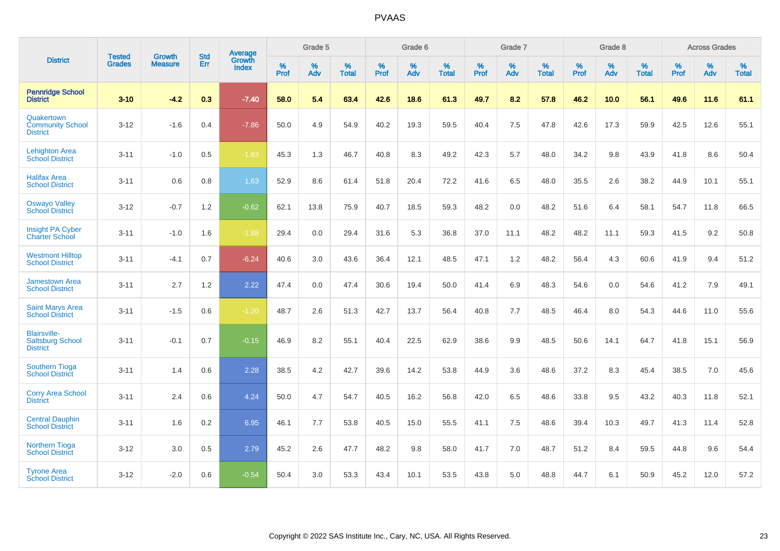|                                                                   | <b>Tested</b> | <b>Growth</b>  | <b>Std</b> | <b>Average</b>         |           | Grade 5  |                   |           | Grade 6  |                   |           | Grade 7  |                   |           | Grade 8  |                   |           | <b>Across Grades</b> |                   |
|-------------------------------------------------------------------|---------------|----------------|------------|------------------------|-----------|----------|-------------------|-----------|----------|-------------------|-----------|----------|-------------------|-----------|----------|-------------------|-----------|----------------------|-------------------|
| <b>District</b>                                                   | <b>Grades</b> | <b>Measure</b> | Err        | Growth<br><b>Index</b> | %<br>Prof | %<br>Adv | %<br><b>Total</b> | %<br>Prof | %<br>Adv | %<br><b>Total</b> | %<br>Prof | %<br>Adv | %<br><b>Total</b> | %<br>Prof | %<br>Adv | %<br><b>Total</b> | %<br>Prof | %<br>Adv             | %<br><b>Total</b> |
| <b>Pennridge School</b><br><b>District</b>                        | $3 - 10$      | $-4.2$         | 0.3        | $-7.40$                | 58.0      | 5.4      | 63.4              | 42.6      | 18.6     | 61.3              | 49.7      | 8.2      | 57.8              | 46.2      | 10.0     | 56.1              | 49.6      | 11.6                 | 61.1              |
| Quakertown<br><b>Community School</b><br><b>District</b>          | $3 - 12$      | $-1.6$         | 0.4        | $-7.86$                | 50.0      | 4.9      | 54.9              | 40.2      | 19.3     | 59.5              | 40.4      | 7.5      | 47.8              | 42.6      | 17.3     | 59.9              | 42.5      | 12.6                 | 55.1              |
| <b>Lehighton Area</b><br><b>School District</b>                   | $3 - 11$      | $-1.0$         | 0.5        | $-1.83$                | 45.3      | 1.3      | 46.7              | 40.8      | 8.3      | 49.2              | 42.3      | 5.7      | 48.0              | 34.2      | 9.8      | 43.9              | 41.8      | 8.6                  | 50.4              |
| <b>Halifax Area</b><br><b>School District</b>                     | $3 - 11$      | 0.6            | 0.8        | 1.63                   | 52.9      | 8.6      | 61.4              | 51.8      | 20.4     | 72.2              | 41.6      | 6.5      | 48.0              | 35.5      | 2.6      | 38.2              | 44.9      | 10.1                 | 55.1              |
| <b>Oswayo Valley</b><br><b>School District</b>                    | $3 - 12$      | $-0.7$         | 1.2        | $-0.62$                | 62.1      | 13.8     | 75.9              | 40.7      | 18.5     | 59.3              | 48.2      | 0.0      | 48.2              | 51.6      | 6.4      | 58.1              | 54.7      | 11.8                 | 66.5              |
| <b>Insight PA Cyber</b><br><b>Charter School</b>                  | $3 - 11$      | $-1.0$         | 1.6        | $-1.68$                | 29.4      | 0.0      | 29.4              | 31.6      | 5.3      | 36.8              | 37.0      | 11.1     | 48.2              | 48.2      | 11.1     | 59.3              | 41.5      | 9.2                  | 50.8              |
| <b>Westmont Hilltop</b><br><b>School District</b>                 | $3 - 11$      | $-4.1$         | 0.7        | $-6.24$                | 40.6      | 3.0      | 43.6              | 36.4      | 12.1     | 48.5              | 47.1      | 1.2      | 48.2              | 56.4      | 4.3      | 60.6              | 41.9      | 9.4                  | 51.2              |
| <b>Jamestown Area</b><br><b>School District</b>                   | $3 - 11$      | 2.7            | 1.2        | 2.22                   | 47.4      | 0.0      | 47.4              | 30.6      | 19.4     | 50.0              | 41.4      | 6.9      | 48.3              | 54.6      | 0.0      | 54.6              | 41.2      | 7.9                  | 49.1              |
| <b>Saint Marys Area</b><br><b>School District</b>                 | $3 - 11$      | $-1.5$         | 0.6        | $-1.20$                | 48.7      | 2.6      | 51.3              | 42.7      | 13.7     | 56.4              | 40.8      | 7.7      | 48.5              | 46.4      | 8.0      | 54.3              | 44.6      | 11.0                 | 55.6              |
| <b>Blairsville-</b><br><b>Saltsburg School</b><br><b>District</b> | $3 - 11$      | $-0.1$         | 0.7        | $-0.15$                | 46.9      | 8.2      | 55.1              | 40.4      | 22.5     | 62.9              | 38.6      | 9.9      | 48.5              | 50.6      | 14.1     | 64.7              | 41.8      | 15.1                 | 56.9              |
| Southern Tioga<br><b>School District</b>                          | $3 - 11$      | 1.4            | 0.6        | 2.28                   | 38.5      | 4.2      | 42.7              | 39.6      | 14.2     | 53.8              | 44.9      | 3.6      | 48.6              | 37.2      | 8.3      | 45.4              | 38.5      | 7.0                  | 45.6              |
| <b>Corry Area School</b><br><b>District</b>                       | $3 - 11$      | 2.4            | 0.6        | 4.24                   | 50.0      | 4.7      | 54.7              | 40.5      | 16.2     | 56.8              | 42.0      | 6.5      | 48.6              | 33.8      | 9.5      | 43.2              | 40.3      | 11.8                 | 52.1              |
| <b>Central Dauphin</b><br><b>School District</b>                  | $3 - 11$      | 1.6            | 0.2        | 6.95                   | 46.1      | 7.7      | 53.8              | 40.5      | 15.0     | 55.5              | 41.1      | 7.5      | 48.6              | 39.4      | 10.3     | 49.7              | 41.3      | 11.4                 | 52.8              |
| Northern Tioga<br><b>School District</b>                          | $3 - 12$      | 3.0            | 0.5        | 2.79                   | 45.2      | 2.6      | 47.7              | 48.2      | 9.8      | 58.0              | 41.7      | 7.0      | 48.7              | 51.2      | 8.4      | 59.5              | 44.8      | 9.6                  | 54.4              |
| <b>Tyrone Area</b><br><b>School District</b>                      | $3 - 12$      | $-2.0$         | 0.6        | $-0.54$                | 50.4      | 3.0      | 53.3              | 43.4      | 10.1     | 53.5              | 43.8      | 5.0      | 48.8              | 44.7      | 6.1      | 50.9              | 45.2      | 12.0                 | 57.2              |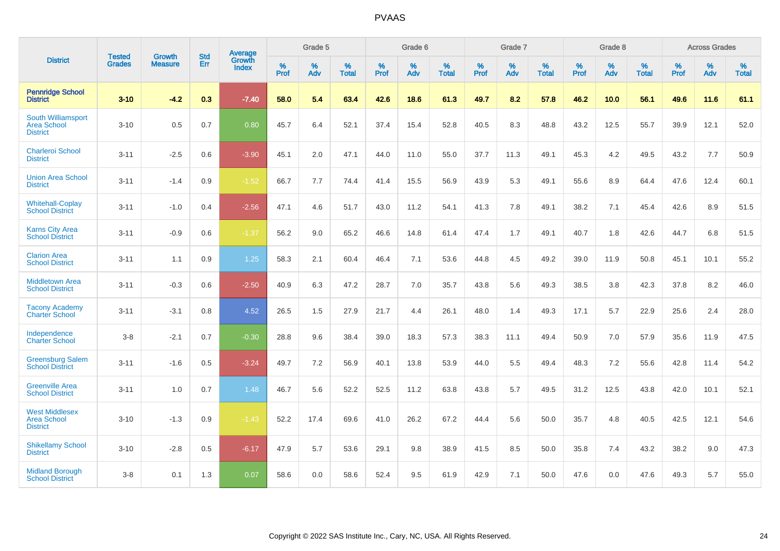|                                                                | <b>Tested</b> | <b>Growth</b>  | <b>Std</b> | Average                |                  | Grade 5  |                   |           | Grade 6  |                   |           | Grade 7  |                   |           | Grade 8  |                   |           | <b>Across Grades</b> |                   |
|----------------------------------------------------------------|---------------|----------------|------------|------------------------|------------------|----------|-------------------|-----------|----------|-------------------|-----------|----------|-------------------|-----------|----------|-------------------|-----------|----------------------|-------------------|
| <b>District</b>                                                | <b>Grades</b> | <b>Measure</b> | Err        | Growth<br><b>Index</b> | %<br><b>Prof</b> | %<br>Adv | %<br><b>Total</b> | %<br>Prof | %<br>Adv | %<br><b>Total</b> | %<br>Prof | %<br>Adv | %<br><b>Total</b> | %<br>Prof | %<br>Adv | %<br><b>Total</b> | %<br>Prof | %<br>Adv             | %<br><b>Total</b> |
| <b>Pennridge School</b><br><b>District</b>                     | $3 - 10$      | $-4.2$         | 0.3        | $-7.40$                | 58.0             | 5.4      | 63.4              | 42.6      | 18.6     | 61.3              | 49.7      | 8.2      | 57.8              | 46.2      | 10.0     | 56.1              | 49.6      | 11.6                 | 61.1              |
| South Williamsport<br><b>Area School</b><br><b>District</b>    | $3 - 10$      | 0.5            | 0.7        | 0.80                   | 45.7             | 6.4      | 52.1              | 37.4      | 15.4     | 52.8              | 40.5      | 8.3      | 48.8              | 43.2      | 12.5     | 55.7              | 39.9      | 12.1                 | 52.0              |
| <b>Charleroi School</b><br><b>District</b>                     | $3 - 11$      | $-2.5$         | 0.6        | $-3.90$                | 45.1             | 2.0      | 47.1              | 44.0      | 11.0     | 55.0              | 37.7      | 11.3     | 49.1              | 45.3      | 4.2      | 49.5              | 43.2      | 7.7                  | 50.9              |
| <b>Union Area School</b><br><b>District</b>                    | $3 - 11$      | $-1.4$         | 0.9        | $-1.52$                | 66.7             | 7.7      | 74.4              | 41.4      | 15.5     | 56.9              | 43.9      | 5.3      | 49.1              | 55.6      | 8.9      | 64.4              | 47.6      | 12.4                 | 60.1              |
| <b>Whitehall-Coplay</b><br><b>School District</b>              | $3 - 11$      | $-1.0$         | 0.4        | $-2.56$                | 47.1             | 4.6      | 51.7              | 43.0      | 11.2     | 54.1              | 41.3      | 7.8      | 49.1              | 38.2      | 7.1      | 45.4              | 42.6      | 8.9                  | 51.5              |
| <b>Karns City Area</b><br><b>School District</b>               | $3 - 11$      | $-0.9$         | 0.6        | $-1.37$                | 56.2             | 9.0      | 65.2              | 46.6      | 14.8     | 61.4              | 47.4      | 1.7      | 49.1              | 40.7      | 1.8      | 42.6              | 44.7      | 6.8                  | 51.5              |
| <b>Clarion Area</b><br><b>School District</b>                  | $3 - 11$      | 1.1            | 0.9        | 1.25                   | 58.3             | 2.1      | 60.4              | 46.4      | 7.1      | 53.6              | 44.8      | 4.5      | 49.2              | 39.0      | 11.9     | 50.8              | 45.1      | 10.1                 | 55.2              |
| Middletown Area<br><b>School District</b>                      | $3 - 11$      | $-0.3$         | 0.6        | $-2.50$                | 40.9             | 6.3      | 47.2              | 28.7      | 7.0      | 35.7              | 43.8      | 5.6      | 49.3              | 38.5      | 3.8      | 42.3              | 37.8      | 8.2                  | 46.0              |
| <b>Tacony Academy</b><br><b>Charter School</b>                 | $3 - 11$      | $-3.1$         | 0.8        | 4.52                   | 26.5             | 1.5      | 27.9              | 21.7      | 4.4      | 26.1              | 48.0      | 1.4      | 49.3              | 17.1      | 5.7      | 22.9              | 25.6      | 2.4                  | 28.0              |
| Independence<br><b>Charter School</b>                          | $3 - 8$       | $-2.1$         | 0.7        | $-0.30$                | 28.8             | 9.6      | 38.4              | 39.0      | 18.3     | 57.3              | 38.3      | 11.1     | 49.4              | 50.9      | 7.0      | 57.9              | 35.6      | 11.9                 | 47.5              |
| <b>Greensburg Salem</b><br><b>School District</b>              | $3 - 11$      | $-1.6$         | 0.5        | $-3.24$                | 49.7             | 7.2      | 56.9              | 40.1      | 13.8     | 53.9              | 44.0      | 5.5      | 49.4              | 48.3      | 7.2      | 55.6              | 42.8      | 11.4                 | 54.2              |
| <b>Greenville Area</b><br><b>School District</b>               | $3 - 11$      | 1.0            | 0.7        | 1.48                   | 46.7             | 5.6      | 52.2              | 52.5      | 11.2     | 63.8              | 43.8      | 5.7      | 49.5              | 31.2      | 12.5     | 43.8              | 42.0      | 10.1                 | 52.1              |
| <b>West Middlesex</b><br><b>Area School</b><br><b>District</b> | $3 - 10$      | $-1.3$         | 0.9        | $-1.43$                | 52.2             | 17.4     | 69.6              | 41.0      | 26.2     | 67.2              | 44.4      | 5.6      | 50.0              | 35.7      | 4.8      | 40.5              | 42.5      | 12.1                 | 54.6              |
| <b>Shikellamy School</b><br><b>District</b>                    | $3 - 10$      | $-2.8$         | 0.5        | $-6.17$                | 47.9             | 5.7      | 53.6              | 29.1      | 9.8      | 38.9              | 41.5      | 8.5      | 50.0              | 35.8      | 7.4      | 43.2              | 38.2      | 9.0                  | 47.3              |
| <b>Midland Borough</b><br><b>School District</b>               | $3 - 8$       | 0.1            | 1.3        | 0.07                   | 58.6             | 0.0      | 58.6              | 52.4      | 9.5      | 61.9              | 42.9      | 7.1      | 50.0              | 47.6      | 0.0      | 47.6              | 49.3      | 5.7                  | 55.0              |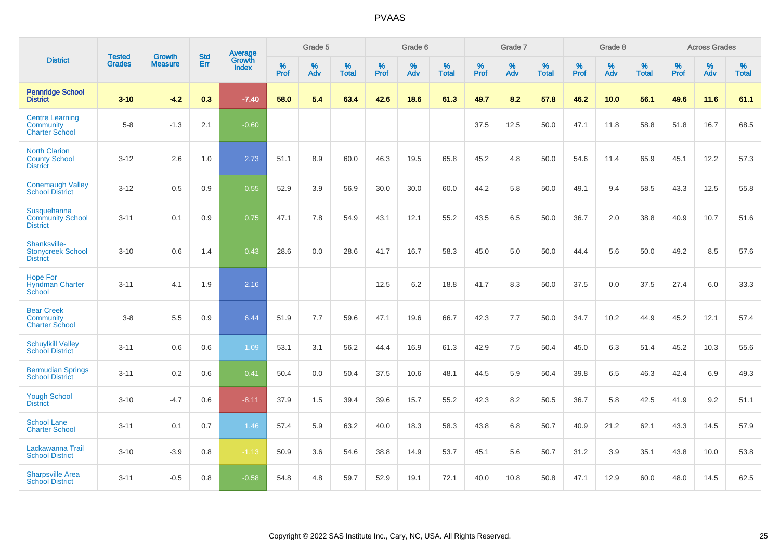|                                                                  | <b>Tested</b> |                                 | <b>Std</b> | Average                |           | Grade 5  |                   |           | Grade 6  |                   |           | Grade 7  |                   |           | Grade 8  |                   |           | <b>Across Grades</b> |                   |
|------------------------------------------------------------------|---------------|---------------------------------|------------|------------------------|-----------|----------|-------------------|-----------|----------|-------------------|-----------|----------|-------------------|-----------|----------|-------------------|-----------|----------------------|-------------------|
| <b>District</b>                                                  | <b>Grades</b> | <b>Growth</b><br><b>Measure</b> | Err        | Growth<br><b>Index</b> | %<br>Prof | %<br>Adv | %<br><b>Total</b> | %<br>Prof | %<br>Adv | %<br><b>Total</b> | %<br>Prof | %<br>Adv | %<br><b>Total</b> | %<br>Prof | %<br>Adv | %<br><b>Total</b> | %<br>Prof | %<br>Adv             | %<br><b>Total</b> |
| <b>Pennridge School</b><br><b>District</b>                       | $3 - 10$      | $-4.2$                          | 0.3        | $-7.40$                | 58.0      | 5.4      | 63.4              | 42.6      | 18.6     | 61.3              | 49.7      | 8.2      | 57.8              | 46.2      | 10.0     | 56.1              | 49.6      | 11.6                 | 61.1              |
| <b>Centre Learning</b><br>Community<br><b>Charter School</b>     | $5 - 8$       | $-1.3$                          | 2.1        | $-0.60$                |           |          |                   |           |          |                   | 37.5      | 12.5     | 50.0              | 47.1      | 11.8     | 58.8              | 51.8      | 16.7                 | 68.5              |
| <b>North Clarion</b><br><b>County School</b><br><b>District</b>  | $3 - 12$      | 2.6                             | 1.0        | 2.73                   | 51.1      | 8.9      | 60.0              | 46.3      | 19.5     | 65.8              | 45.2      | 4.8      | 50.0              | 54.6      | 11.4     | 65.9              | 45.1      | 12.2                 | 57.3              |
| <b>Conemaugh Valley</b><br><b>School District</b>                | $3 - 12$      | 0.5                             | 0.9        | 0.55                   | 52.9      | 3.9      | 56.9              | 30.0      | 30.0     | 60.0              | 44.2      | 5.8      | 50.0              | 49.1      | 9.4      | 58.5              | 43.3      | 12.5                 | 55.8              |
| <b>Susquehanna</b><br><b>Community School</b><br><b>District</b> | $3 - 11$      | 0.1                             | 0.9        | 0.75                   | 47.1      | 7.8      | 54.9              | 43.1      | 12.1     | 55.2              | 43.5      | 6.5      | 50.0              | 36.7      | 2.0      | 38.8              | 40.9      | 10.7                 | 51.6              |
| Shanksville-<br><b>Stonycreek School</b><br><b>District</b>      | $3 - 10$      | 0.6                             | 1.4        | 0.43                   | 28.6      | 0.0      | 28.6              | 41.7      | 16.7     | 58.3              | 45.0      | 5.0      | 50.0              | 44.4      | 5.6      | 50.0              | 49.2      | 8.5                  | 57.6              |
| <b>Hope For</b><br><b>Hyndman Charter</b><br>School              | $3 - 11$      | 4.1                             | 1.9        | 2.16                   |           |          |                   | 12.5      | 6.2      | 18.8              | 41.7      | 8.3      | 50.0              | 37.5      | 0.0      | 37.5              | 27.4      | 6.0                  | 33.3              |
| <b>Bear Creek</b><br>Community<br><b>Charter School</b>          | $3 - 8$       | 5.5                             | 0.9        | 6.44                   | 51.9      | 7.7      | 59.6              | 47.1      | 19.6     | 66.7              | 42.3      | 7.7      | 50.0              | 34.7      | 10.2     | 44.9              | 45.2      | 12.1                 | 57.4              |
| <b>Schuylkill Valley</b><br><b>School District</b>               | $3 - 11$      | 0.6                             | 0.6        | 1.09                   | 53.1      | 3.1      | 56.2              | 44.4      | 16.9     | 61.3              | 42.9      | 7.5      | 50.4              | 45.0      | 6.3      | 51.4              | 45.2      | 10.3                 | 55.6              |
| <b>Bermudian Springs</b><br><b>School District</b>               | $3 - 11$      | 0.2                             | 0.6        | 0.41                   | 50.4      | 0.0      | 50.4              | 37.5      | 10.6     | 48.1              | 44.5      | 5.9      | 50.4              | 39.8      | 6.5      | 46.3              | 42.4      | 6.9                  | 49.3              |
| <b>Yough School</b><br><b>District</b>                           | $3 - 10$      | $-4.7$                          | 0.6        | $-8.11$                | 37.9      | 1.5      | 39.4              | 39.6      | 15.7     | 55.2              | 42.3      | 8.2      | 50.5              | 36.7      | 5.8      | 42.5              | 41.9      | 9.2                  | 51.1              |
| <b>School Lane</b><br><b>Charter School</b>                      | $3 - 11$      | 0.1                             | 0.7        | 1.46                   | 57.4      | 5.9      | 63.2              | 40.0      | 18.3     | 58.3              | 43.8      | 6.8      | 50.7              | 40.9      | 21.2     | 62.1              | 43.3      | 14.5                 | 57.9              |
| Lackawanna Trail<br><b>School District</b>                       | $3 - 10$      | $-3.9$                          | 0.8        | $-1.13$                | 50.9      | 3.6      | 54.6              | 38.8      | 14.9     | 53.7              | 45.1      | 5.6      | 50.7              | 31.2      | 3.9      | 35.1              | 43.8      | 10.0                 | 53.8              |
| <b>Sharpsville Area</b><br><b>School District</b>                | $3 - 11$      | $-0.5$                          | 0.8        | $-0.58$                | 54.8      | 4.8      | 59.7              | 52.9      | 19.1     | 72.1              | 40.0      | 10.8     | 50.8              | 47.1      | 12.9     | 60.0              | 48.0      | 14.5                 | 62.5              |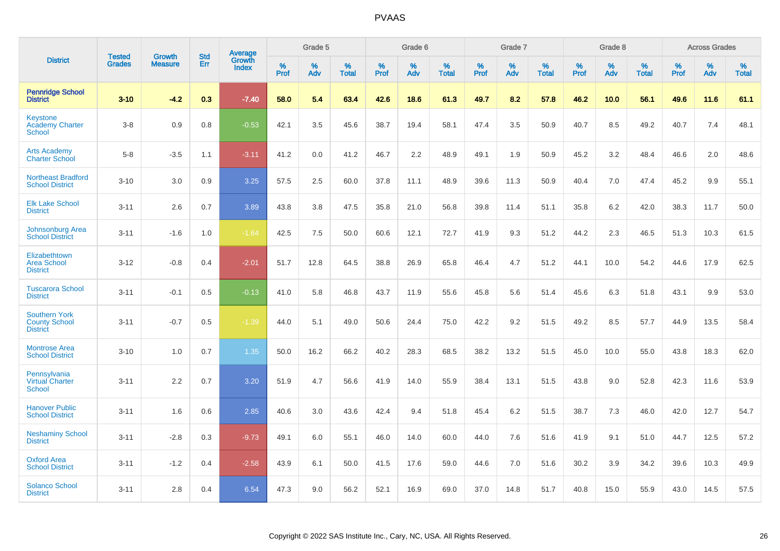|                                                                 |                                | <b>Growth</b>  | <b>Std</b> |                                          |              | Grade 5  |                   |              | Grade 6  |                   |              | Grade 7  |                   |              | Grade 8  |                   |              | <b>Across Grades</b> |                   |
|-----------------------------------------------------------------|--------------------------------|----------------|------------|------------------------------------------|--------------|----------|-------------------|--------------|----------|-------------------|--------------|----------|-------------------|--------------|----------|-------------------|--------------|----------------------|-------------------|
| <b>District</b>                                                 | <b>Tested</b><br><b>Grades</b> | <b>Measure</b> | <b>Err</b> | <b>Average</b><br>Growth<br><b>Index</b> | $\%$<br>Prof | %<br>Adv | %<br><b>Total</b> | $\%$<br>Prof | %<br>Adv | %<br><b>Total</b> | $\%$<br>Prof | %<br>Adv | %<br><b>Total</b> | $\%$<br>Prof | %<br>Adv | %<br><b>Total</b> | $\%$<br>Prof | %<br>Adv             | %<br><b>Total</b> |
| <b>Pennridge School</b><br><b>District</b>                      | $3 - 10$                       | $-4.2$         | 0.3        | $-7.40$                                  | 58.0         | 5.4      | 63.4              | 42.6         | 18.6     | 61.3              | 49.7         | 8.2      | 57.8              | 46.2         | 10.0     | 56.1              | 49.6         | 11.6                 | 61.1              |
| <b>Keystone</b><br><b>Academy Charter</b><br>School             | $3 - 8$                        | 0.9            | 0.8        | $-0.53$                                  | 42.1         | 3.5      | 45.6              | 38.7         | 19.4     | 58.1              | 47.4         | 3.5      | 50.9              | 40.7         | 8.5      | 49.2              | 40.7         | 7.4                  | 48.1              |
| <b>Arts Academy</b><br><b>Charter School</b>                    | $5 - 8$                        | $-3.5$         | 1.1        | $-3.11$                                  | 41.2         | 0.0      | 41.2              | 46.7         | 2.2      | 48.9              | 49.1         | 1.9      | 50.9              | 45.2         | 3.2      | 48.4              | 46.6         | 2.0                  | 48.6              |
| <b>Northeast Bradford</b><br><b>School District</b>             | $3 - 10$                       | 3.0            | 0.9        | 3.25                                     | 57.5         | 2.5      | 60.0              | 37.8         | 11.1     | 48.9              | 39.6         | 11.3     | 50.9              | 40.4         | 7.0      | 47.4              | 45.2         | 9.9                  | 55.1              |
| <b>Elk Lake School</b><br><b>District</b>                       | $3 - 11$                       | 2.6            | 0.7        | 3.89                                     | 43.8         | 3.8      | 47.5              | 35.8         | 21.0     | 56.8              | 39.8         | 11.4     | 51.1              | 35.8         | $6.2\,$  | 42.0              | 38.3         | 11.7                 | 50.0              |
| <b>Johnsonburg Area</b><br><b>School District</b>               | $3 - 11$                       | $-1.6$         | 1.0        | $-1.64$                                  | 42.5         | 7.5      | 50.0              | 60.6         | 12.1     | 72.7              | 41.9         | 9.3      | 51.2              | 44.2         | 2.3      | 46.5              | 51.3         | 10.3                 | 61.5              |
| Elizabethtown<br><b>Area School</b><br><b>District</b>          | $3 - 12$                       | $-0.8$         | 0.4        | $-2.01$                                  | 51.7         | 12.8     | 64.5              | 38.8         | 26.9     | 65.8              | 46.4         | 4.7      | 51.2              | 44.1         | 10.0     | 54.2              | 44.6         | 17.9                 | 62.5              |
| <b>Tuscarora School</b><br><b>District</b>                      | $3 - 11$                       | $-0.1$         | 0.5        | $-0.13$                                  | 41.0         | 5.8      | 46.8              | 43.7         | 11.9     | 55.6              | 45.8         | 5.6      | 51.4              | 45.6         | 6.3      | 51.8              | 43.1         | 9.9                  | 53.0              |
| <b>Southern York</b><br><b>County School</b><br><b>District</b> | $3 - 11$                       | $-0.7$         | 0.5        | $-1.39$                                  | 44.0         | 5.1      | 49.0              | 50.6         | 24.4     | 75.0              | 42.2         | 9.2      | 51.5              | 49.2         | 8.5      | 57.7              | 44.9         | 13.5                 | 58.4              |
| <b>Montrose Area</b><br><b>School District</b>                  | $3 - 10$                       | 1.0            | 0.7        | 1.35                                     | 50.0         | 16.2     | 66.2              | 40.2         | 28.3     | 68.5              | 38.2         | 13.2     | 51.5              | 45.0         | 10.0     | 55.0              | 43.8         | 18.3                 | 62.0              |
| Pennsylvania<br><b>Virtual Charter</b><br><b>School</b>         | $3 - 11$                       | 2.2            | 0.7        | 3.20                                     | 51.9         | 4.7      | 56.6              | 41.9         | 14.0     | 55.9              | 38.4         | 13.1     | 51.5              | 43.8         | 9.0      | 52.8              | 42.3         | 11.6                 | 53.9              |
| <b>Hanover Public</b><br><b>School District</b>                 | $3 - 11$                       | 1.6            | 0.6        | 2.85                                     | 40.6         | 3.0      | 43.6              | 42.4         | 9.4      | 51.8              | 45.4         | 6.2      | 51.5              | 38.7         | 7.3      | 46.0              | 42.0         | 12.7                 | 54.7              |
| <b>Neshaminy School</b><br><b>District</b>                      | $3 - 11$                       | $-2.8$         | 0.3        | $-9.73$                                  | 49.1         | 6.0      | 55.1              | 46.0         | 14.0     | 60.0              | 44.0         | 7.6      | 51.6              | 41.9         | 9.1      | 51.0              | 44.7         | 12.5                 | 57.2              |
| <b>Oxford Area</b><br><b>School District</b>                    | $3 - 11$                       | $-1.2$         | 0.4        | $-2.58$                                  | 43.9         | 6.1      | 50.0              | 41.5         | 17.6     | 59.0              | 44.6         | 7.0      | 51.6              | 30.2         | 3.9      | 34.2              | 39.6         | 10.3                 | 49.9              |
| <b>Solanco School</b><br><b>District</b>                        | $3 - 11$                       | 2.8            | 0.4        | 6.54                                     | 47.3         | 9.0      | 56.2              | 52.1         | 16.9     | 69.0              | 37.0         | 14.8     | 51.7              | 40.8         | 15.0     | 55.9              | 43.0         | 14.5                 | 57.5              |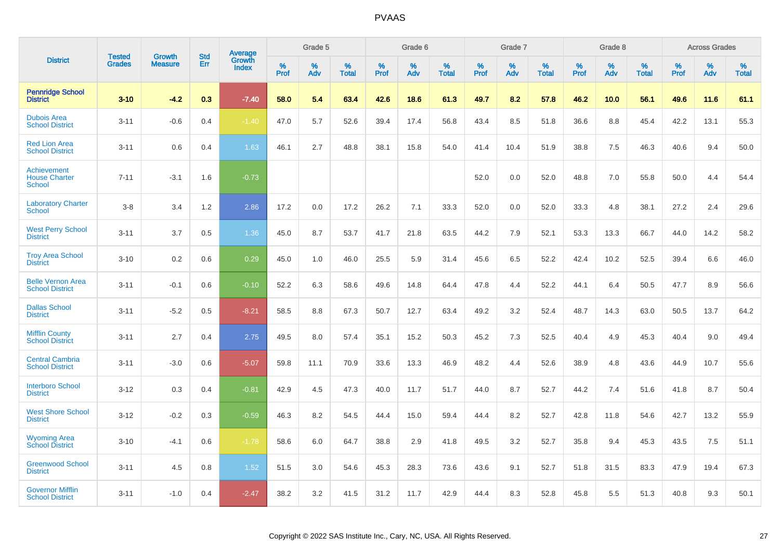|                                                    |                                |                                 | <b>Std</b> |                                          |                     | Grade 5  |                      |                     | Grade 6     |                      |              | Grade 7     |                   |              | Grade 8     |                      |              | <b>Across Grades</b> |                   |
|----------------------------------------------------|--------------------------------|---------------------------------|------------|------------------------------------------|---------------------|----------|----------------------|---------------------|-------------|----------------------|--------------|-------------|-------------------|--------------|-------------|----------------------|--------------|----------------------|-------------------|
| <b>District</b>                                    | <b>Tested</b><br><b>Grades</b> | <b>Growth</b><br><b>Measure</b> | Err        | <b>Average</b><br>Growth<br><b>Index</b> | $\%$<br><b>Prof</b> | %<br>Adv | $\%$<br><b>Total</b> | $\%$<br><b>Prof</b> | $\%$<br>Adv | $\%$<br><b>Total</b> | $\%$<br>Prof | $\%$<br>Adv | %<br><b>Total</b> | $\%$<br>Prof | $\%$<br>Adv | $\%$<br><b>Total</b> | $\%$<br>Prof | $\%$<br>Adv          | %<br><b>Total</b> |
| <b>Pennridge School</b><br><b>District</b>         | $3 - 10$                       | $-4.2$                          | 0.3        | $-7.40$                                  | 58.0                | 5.4      | 63.4                 | 42.6                | 18.6        | 61.3                 | 49.7         | 8.2         | 57.8              | 46.2         | 10.0        | 56.1                 | 49.6         | 11.6                 | 61.1              |
| <b>Dubois Area</b><br><b>School District</b>       | $3 - 11$                       | $-0.6$                          | 0.4        | $-1.40$                                  | 47.0                | 5.7      | 52.6                 | 39.4                | 17.4        | 56.8                 | 43.4         | 8.5         | 51.8              | 36.6         | 8.8         | 45.4                 | 42.2         | 13.1                 | 55.3              |
| <b>Red Lion Area</b><br><b>School District</b>     | $3 - 11$                       | 0.6                             | 0.4        | 1.63                                     | 46.1                | 2.7      | 48.8                 | 38.1                | 15.8        | 54.0                 | 41.4         | 10.4        | 51.9              | 38.8         | 7.5         | 46.3                 | 40.6         | 9.4                  | 50.0              |
| Achievement<br><b>House Charter</b><br>School      | $7 - 11$                       | $-3.1$                          | 1.6        | $-0.73$                                  |                     |          |                      |                     |             |                      | 52.0         | 0.0         | 52.0              | 48.8         | 7.0         | 55.8                 | 50.0         | 4.4                  | 54.4              |
| <b>Laboratory Charter</b><br><b>School</b>         | $3 - 8$                        | 3.4                             | 1.2        | 2.86                                     | 17.2                | 0.0      | 17.2                 | 26.2                | 7.1         | 33.3                 | 52.0         | 0.0         | 52.0              | 33.3         | 4.8         | 38.1                 | 27.2         | 2.4                  | 29.6              |
| <b>West Perry School</b><br><b>District</b>        | $3 - 11$                       | 3.7                             | 0.5        | 1.36                                     | 45.0                | 8.7      | 53.7                 | 41.7                | 21.8        | 63.5                 | 44.2         | 7.9         | 52.1              | 53.3         | 13.3        | 66.7                 | 44.0         | 14.2                 | 58.2              |
| <b>Troy Area School</b><br><b>District</b>         | $3 - 10$                       | 0.2                             | 0.6        | 0.29                                     | 45.0                | 1.0      | 46.0                 | 25.5                | 5.9         | 31.4                 | 45.6         | 6.5         | 52.2              | 42.4         | 10.2        | 52.5                 | 39.4         | 6.6                  | 46.0              |
| <b>Belle Vernon Area</b><br><b>School District</b> | $3 - 11$                       | $-0.1$                          | 0.6        | $-0.10$                                  | 52.2                | 6.3      | 58.6                 | 49.6                | 14.8        | 64.4                 | 47.8         | 4.4         | 52.2              | 44.1         | 6.4         | 50.5                 | 47.7         | 8.9                  | 56.6              |
| <b>Dallas School</b><br><b>District</b>            | $3 - 11$                       | $-5.2$                          | 0.5        | $-8.21$                                  | 58.5                | 8.8      | 67.3                 | 50.7                | 12.7        | 63.4                 | 49.2         | 3.2         | 52.4              | 48.7         | 14.3        | 63.0                 | 50.5         | 13.7                 | 64.2              |
| <b>Mifflin County</b><br><b>School District</b>    | $3 - 11$                       | 2.7                             | 0.4        | 2.75                                     | 49.5                | 8.0      | 57.4                 | 35.1                | 15.2        | 50.3                 | 45.2         | 7.3         | 52.5              | 40.4         | 4.9         | 45.3                 | 40.4         | 9.0                  | 49.4              |
| <b>Central Cambria</b><br><b>School District</b>   | $3 - 11$                       | $-3.0$                          | 0.6        | $-5.07$                                  | 59.8                | 11.1     | 70.9                 | 33.6                | 13.3        | 46.9                 | 48.2         | 4.4         | 52.6              | 38.9         | 4.8         | 43.6                 | 44.9         | 10.7                 | 55.6              |
| <b>Interboro School</b><br><b>District</b>         | $3 - 12$                       | 0.3                             | 0.4        | $-0.81$                                  | 42.9                | 4.5      | 47.3                 | 40.0                | 11.7        | 51.7                 | 44.0         | 8.7         | 52.7              | 44.2         | 7.4         | 51.6                 | 41.8         | 8.7                  | 50.4              |
| <b>West Shore School</b><br><b>District</b>        | $3 - 12$                       | $-0.2$                          | 0.3        | $-0.59$                                  | 46.3                | 8.2      | 54.5                 | 44.4                | 15.0        | 59.4                 | 44.4         | 8.2         | 52.7              | 42.8         | 11.8        | 54.6                 | 42.7         | 13.2                 | 55.9              |
| <b>Wyoming Area</b><br><b>School District</b>      | $3 - 10$                       | $-4.1$                          | 0.6        | $-1.78$                                  | 58.6                | 6.0      | 64.7                 | 38.8                | 2.9         | 41.8                 | 49.5         | 3.2         | 52.7              | 35.8         | 9.4         | 45.3                 | 43.5         | 7.5                  | 51.1              |
| <b>Greenwood School</b><br><b>District</b>         | $3 - 11$                       | 4.5                             | 0.8        | 1.52                                     | 51.5                | 3.0      | 54.6                 | 45.3                | 28.3        | 73.6                 | 43.6         | 9.1         | 52.7              | 51.8         | 31.5        | 83.3                 | 47.9         | 19.4                 | 67.3              |
| <b>Governor Mifflin</b><br><b>School District</b>  | $3 - 11$                       | $-1.0$                          | 0.4        | $-2.47$                                  | 38.2                | 3.2      | 41.5                 | 31.2                | 11.7        | 42.9                 | 44.4         | 8.3         | 52.8              | 45.8         | 5.5         | 51.3                 | 40.8         | 9.3                  | 50.1              |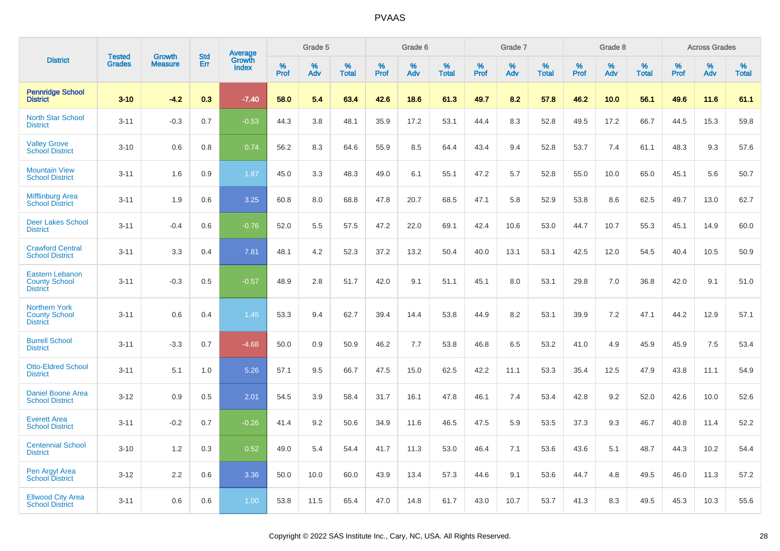|                                                                   | <b>Tested</b> | <b>Growth</b>  | <b>Std</b> |                                          |              | Grade 5  |                   |              | Grade 6  |                   |              | Grade 7  |                   |           | Grade 8  |                   |           | <b>Across Grades</b> |                   |
|-------------------------------------------------------------------|---------------|----------------|------------|------------------------------------------|--------------|----------|-------------------|--------------|----------|-------------------|--------------|----------|-------------------|-----------|----------|-------------------|-----------|----------------------|-------------------|
| <b>District</b>                                                   | <b>Grades</b> | <b>Measure</b> | Err        | <b>Average</b><br>Growth<br><b>Index</b> | $\%$<br>Prof | %<br>Adv | %<br><b>Total</b> | $\%$<br>Prof | %<br>Adv | %<br><b>Total</b> | $\%$<br>Prof | %<br>Adv | %<br><b>Total</b> | %<br>Prof | %<br>Adv | %<br><b>Total</b> | %<br>Prof | %<br>Adv             | %<br><b>Total</b> |
| <b>Pennridge School</b><br><b>District</b>                        | $3 - 10$      | $-4.2$         | 0.3        | $-7.40$                                  | 58.0         | 5.4      | 63.4              | 42.6         | 18.6     | 61.3              | 49.7         | 8.2      | 57.8              | 46.2      | 10.0     | 56.1              | 49.6      | 11.6                 | 61.1              |
| <b>North Star School</b><br><b>District</b>                       | $3 - 11$      | $-0.3$         | 0.7        | $-0.53$                                  | 44.3         | 3.8      | 48.1              | 35.9         | 17.2     | 53.1              | 44.4         | 8.3      | 52.8              | 49.5      | 17.2     | 66.7              | 44.5      | 15.3                 | 59.8              |
| <b>Valley Grove</b><br><b>School District</b>                     | $3 - 10$      | 0.6            | 0.8        | 0.74                                     | 56.2         | 8.3      | 64.6              | 55.9         | 8.5      | 64.4              | 43.4         | 9.4      | 52.8              | 53.7      | 7.4      | 61.1              | 48.3      | 9.3                  | 57.6              |
| <b>Mountain View</b><br><b>School District</b>                    | $3 - 11$      | 1.6            | 0.9        | 1.87                                     | 45.0         | 3.3      | 48.3              | 49.0         | 6.1      | 55.1              | 47.2         | 5.7      | 52.8              | 55.0      | 10.0     | 65.0              | 45.1      | 5.6                  | 50.7              |
| <b>Mifflinburg Area</b><br><b>School District</b>                 | $3 - 11$      | 1.9            | 0.6        | 3.25                                     | 60.8         | 8.0      | 68.8              | 47.8         | 20.7     | 68.5              | 47.1         | 5.8      | 52.9              | 53.8      | 8.6      | 62.5              | 49.7      | 13.0                 | 62.7              |
| <b>Deer Lakes School</b><br><b>District</b>                       | $3 - 11$      | $-0.4$         | 0.6        | $-0.76$                                  | 52.0         | 5.5      | 57.5              | 47.2         | 22.0     | 69.1              | 42.4         | 10.6     | 53.0              | 44.7      | 10.7     | 55.3              | 45.1      | 14.9                 | 60.0              |
| <b>Crawford Central</b><br><b>School District</b>                 | $3 - 11$      | 3.3            | 0.4        | 7.81                                     | 48.1         | 4.2      | 52.3              | 37.2         | 13.2     | 50.4              | 40.0         | 13.1     | 53.1              | 42.5      | 12.0     | 54.5              | 40.4      | 10.5                 | 50.9              |
| <b>Eastern Lebanon</b><br><b>County School</b><br><b>District</b> | $3 - 11$      | $-0.3$         | 0.5        | $-0.57$                                  | 48.9         | 2.8      | 51.7              | 42.0         | 9.1      | 51.1              | 45.1         | 8.0      | 53.1              | 29.8      | 7.0      | 36.8              | 42.0      | 9.1                  | 51.0              |
| <b>Northern York</b><br><b>County School</b><br><b>District</b>   | $3 - 11$      | 0.6            | 0.4        | 1.45                                     | 53.3         | 9.4      | 62.7              | 39.4         | 14.4     | 53.8              | 44.9         | 8.2      | 53.1              | 39.9      | 7.2      | 47.1              | 44.2      | 12.9                 | 57.1              |
| <b>Burrell School</b><br><b>District</b>                          | $3 - 11$      | $-3.3$         | 0.7        | $-4.68$                                  | 50.0         | 0.9      | 50.9              | 46.2         | 7.7      | 53.8              | 46.8         | 6.5      | 53.2              | 41.0      | 4.9      | 45.9              | 45.9      | 7.5                  | 53.4              |
| <b>Otto-Eldred School</b><br><b>District</b>                      | $3 - 11$      | 5.1            | 1.0        | 5.26                                     | 57.1         | 9.5      | 66.7              | 47.5         | 15.0     | 62.5              | 42.2         | 11.1     | 53.3              | 35.4      | 12.5     | 47.9              | 43.8      | 11.1                 | 54.9              |
| <b>Daniel Boone Area</b><br><b>School District</b>                | $3 - 12$      | 0.9            | 0.5        | 2.01                                     | 54.5         | 3.9      | 58.4              | 31.7         | 16.1     | 47.8              | 46.1         | 7.4      | 53.4              | 42.8      | 9.2      | 52.0              | 42.6      | 10.0                 | 52.6              |
| <b>Everett Area</b><br><b>School District</b>                     | $3 - 11$      | $-0.2$         | 0.7        | $-0.26$                                  | 41.4         | 9.2      | 50.6              | 34.9         | 11.6     | 46.5              | 47.5         | 5.9      | 53.5              | 37.3      | 9.3      | 46.7              | 40.8      | 11.4                 | 52.2              |
| <b>Centennial School</b><br><b>District</b>                       | $3 - 10$      | 1.2            | 0.3        | 0.52                                     | 49.0         | 5.4      | 54.4              | 41.7         | 11.3     | 53.0              | 46.4         | 7.1      | 53.6              | 43.6      | 5.1      | 48.7              | 44.3      | 10.2                 | 54.4              |
| Pen Argyl Area<br><b>School District</b>                          | $3 - 12$      | 2.2            | 0.6        | 3.36                                     | 50.0         | 10.0     | 60.0              | 43.9         | 13.4     | 57.3              | 44.6         | 9.1      | 53.6              | 44.7      | 4.8      | 49.5              | 46.0      | 11.3                 | 57.2              |
| <b>Ellwood City Area</b><br><b>School District</b>                | $3 - 11$      | 0.6            | 0.6        | 1.00                                     | 53.8         | 11.5     | 65.4              | 47.0         | 14.8     | 61.7              | 43.0         | 10.7     | 53.7              | 41.3      | 8.3      | 49.5              | 45.3      | 10.3                 | 55.6              |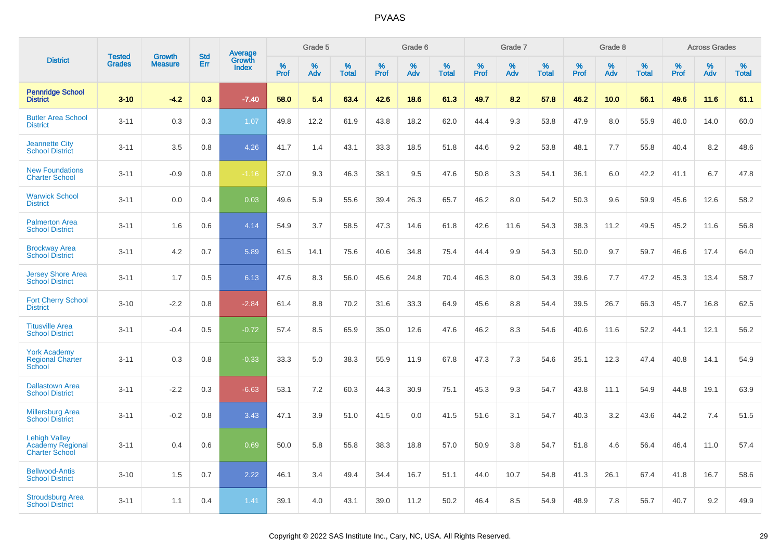|                                                                          | <b>Tested</b> | <b>Growth</b>  | <b>Std</b> | Average                |              | Grade 5  |                   |              | Grade 6  |                   |              | Grade 7  |                   |              | Grade 8  |                   |              | <b>Across Grades</b> |                   |
|--------------------------------------------------------------------------|---------------|----------------|------------|------------------------|--------------|----------|-------------------|--------------|----------|-------------------|--------------|----------|-------------------|--------------|----------|-------------------|--------------|----------------------|-------------------|
| <b>District</b>                                                          | <b>Grades</b> | <b>Measure</b> | Err        | Growth<br><b>Index</b> | $\%$<br>Prof | %<br>Adv | %<br><b>Total</b> | $\%$<br>Prof | %<br>Adv | %<br><b>Total</b> | $\%$<br>Prof | %<br>Adv | %<br><b>Total</b> | $\%$<br>Prof | %<br>Adv | %<br><b>Total</b> | $\%$<br>Prof | %<br>Adv             | %<br><b>Total</b> |
| <b>Pennridge School</b><br><b>District</b>                               | $3 - 10$      | $-4.2$         | 0.3        | $-7.40$                | 58.0         | 5.4      | 63.4              | 42.6         | 18.6     | 61.3              | 49.7         | 8.2      | 57.8              | 46.2         | 10.0     | 56.1              | 49.6         | 11.6                 | 61.1              |
| <b>Butler Area School</b><br><b>District</b>                             | $3 - 11$      | 0.3            | 0.3        | 1.07                   | 49.8         | 12.2     | 61.9              | 43.8         | 18.2     | 62.0              | 44.4         | 9.3      | 53.8              | 47.9         | 8.0      | 55.9              | 46.0         | 14.0                 | 60.0              |
| <b>Jeannette City</b><br><b>School District</b>                          | $3 - 11$      | 3.5            | 0.8        | 4.26                   | 41.7         | 1.4      | 43.1              | 33.3         | 18.5     | 51.8              | 44.6         | 9.2      | 53.8              | 48.1         | 7.7      | 55.8              | 40.4         | 8.2                  | 48.6              |
| <b>New Foundations</b><br><b>Charter School</b>                          | $3 - 11$      | $-0.9$         | 0.8        | $-1.16$                | 37.0         | 9.3      | 46.3              | 38.1         | 9.5      | 47.6              | 50.8         | 3.3      | 54.1              | 36.1         | 6.0      | 42.2              | 41.1         | 6.7                  | 47.8              |
| <b>Warwick School</b><br><b>District</b>                                 | $3 - 11$      | 0.0            | 0.4        | 0.03                   | 49.6         | 5.9      | 55.6              | 39.4         | 26.3     | 65.7              | 46.2         | 8.0      | 54.2              | 50.3         | 9.6      | 59.9              | 45.6         | 12.6                 | 58.2              |
| <b>Palmerton Area</b><br><b>School District</b>                          | $3 - 11$      | 1.6            | 0.6        | 4.14                   | 54.9         | 3.7      | 58.5              | 47.3         | 14.6     | 61.8              | 42.6         | 11.6     | 54.3              | 38.3         | 11.2     | 49.5              | 45.2         | 11.6                 | 56.8              |
| <b>Brockway Area</b><br><b>School District</b>                           | $3 - 11$      | 4.2            | 0.7        | 5.89                   | 61.5         | 14.1     | 75.6              | 40.6         | 34.8     | 75.4              | 44.4         | 9.9      | 54.3              | 50.0         | 9.7      | 59.7              | 46.6         | 17.4                 | 64.0              |
| Jersey Shore Area<br><b>School District</b>                              | $3 - 11$      | 1.7            | 0.5        | 6.13                   | 47.6         | 8.3      | 56.0              | 45.6         | 24.8     | 70.4              | 46.3         | 8.0      | 54.3              | 39.6         | 7.7      | 47.2              | 45.3         | 13.4                 | 58.7              |
| <b>Fort Cherry School</b><br><b>District</b>                             | $3 - 10$      | $-2.2$         | 0.8        | $-2.84$                | 61.4         | 8.8      | 70.2              | 31.6         | 33.3     | 64.9              | 45.6         | 8.8      | 54.4              | 39.5         | 26.7     | 66.3              | 45.7         | 16.8                 | 62.5              |
| <b>Titusville Area</b><br><b>School District</b>                         | $3 - 11$      | $-0.4$         | 0.5        | $-0.72$                | 57.4         | 8.5      | 65.9              | 35.0         | 12.6     | 47.6              | 46.2         | 8.3      | 54.6              | 40.6         | 11.6     | 52.2              | 44.1         | 12.1                 | 56.2              |
| <b>York Academy</b><br><b>Regional Charter</b><br><b>School</b>          | $3 - 11$      | 0.3            | 0.8        | $-0.33$                | 33.3         | 5.0      | 38.3              | 55.9         | 11.9     | 67.8              | 47.3         | 7.3      | 54.6              | 35.1         | 12.3     | 47.4              | 40.8         | 14.1                 | 54.9              |
| <b>Dallastown Area</b><br><b>School District</b>                         | $3 - 11$      | $-2.2$         | 0.3        | $-6.63$                | 53.1         | 7.2      | 60.3              | 44.3         | 30.9     | 75.1              | 45.3         | 9.3      | 54.7              | 43.8         | 11.1     | 54.9              | 44.8         | 19.1                 | 63.9              |
| <b>Millersburg Area</b><br><b>School District</b>                        | $3 - 11$      | $-0.2$         | 0.8        | 3.43                   | 47.1         | 3.9      | 51.0              | 41.5         | 0.0      | 41.5              | 51.6         | 3.1      | 54.7              | 40.3         | 3.2      | 43.6              | 44.2         | 7.4                  | 51.5              |
| <b>Lehigh Valley</b><br><b>Academy Regional</b><br><b>Charter School</b> | $3 - 11$      | 0.4            | 0.6        | 0.69                   | 50.0         | 5.8      | 55.8              | 38.3         | 18.8     | 57.0              | 50.9         | 3.8      | 54.7              | 51.8         | 4.6      | 56.4              | 46.4         | 11.0                 | 57.4              |
| <b>Bellwood-Antis</b><br><b>School District</b>                          | $3 - 10$      | 1.5            | 0.7        | 2.22                   | 46.1         | 3.4      | 49.4              | 34.4         | 16.7     | 51.1              | 44.0         | 10.7     | 54.8              | 41.3         | 26.1     | 67.4              | 41.8         | 16.7                 | 58.6              |
| <b>Stroudsburg Area</b><br><b>School District</b>                        | $3 - 11$      | 1.1            | 0.4        | 1.41                   | 39.1         | 4.0      | 43.1              | 39.0         | 11.2     | 50.2              | 46.4         | 8.5      | 54.9              | 48.9         | 7.8      | 56.7              | 40.7         | 9.2                  | 49.9              |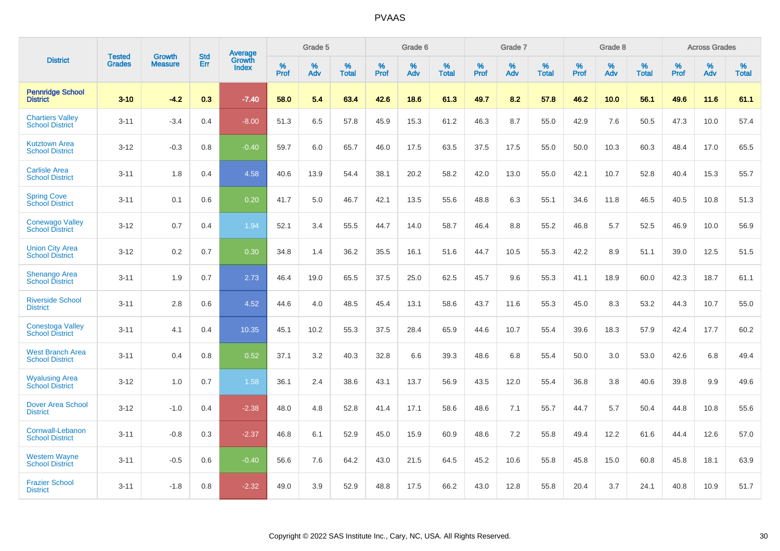|                                                   | <b>Tested</b> | <b>Growth</b>  | <b>Std</b> | Average         |              | Grade 5  |                      |           | Grade 6  |                   |              | Grade 7  |                   |              | Grade 8  |                   |              | <b>Across Grades</b> |                   |
|---------------------------------------------------|---------------|----------------|------------|-----------------|--------------|----------|----------------------|-----------|----------|-------------------|--------------|----------|-------------------|--------------|----------|-------------------|--------------|----------------------|-------------------|
| <b>District</b>                                   | <b>Grades</b> | <b>Measure</b> | Err        | Growth<br>Index | $\%$<br>Prof | %<br>Adv | $\%$<br><b>Total</b> | %<br>Prof | %<br>Adv | %<br><b>Total</b> | $\%$<br>Prof | %<br>Adv | %<br><b>Total</b> | $\%$<br>Prof | %<br>Adv | %<br><b>Total</b> | $\%$<br>Prof | $\%$<br>Adv          | %<br><b>Total</b> |
| <b>Pennridge School</b><br><b>District</b>        | $3 - 10$      | $-4.2$         | 0.3        | $-7.40$         | 58.0         | 5.4      | 63.4                 | 42.6      | 18.6     | 61.3              | 49.7         | 8.2      | 57.8              | 46.2         | 10.0     | 56.1              | 49.6         | 11.6                 | 61.1              |
| <b>Chartiers Vallev</b><br><b>School District</b> | $3 - 11$      | $-3.4$         | 0.4        | $-8.00$         | 51.3         | 6.5      | 57.8                 | 45.9      | 15.3     | 61.2              | 46.3         | 8.7      | 55.0              | 42.9         | 7.6      | 50.5              | 47.3         | 10.0                 | 57.4              |
| <b>Kutztown Area</b><br><b>School District</b>    | $3 - 12$      | $-0.3$         | 0.8        | $-0.40$         | 59.7         | 6.0      | 65.7                 | 46.0      | 17.5     | 63.5              | 37.5         | 17.5     | 55.0              | 50.0         | 10.3     | 60.3              | 48.4         | 17.0                 | 65.5              |
| <b>Carlisle Area</b><br><b>School District</b>    | $3 - 11$      | 1.8            | 0.4        | 4.58            | 40.6         | 13.9     | 54.4                 | 38.1      | 20.2     | 58.2              | 42.0         | 13.0     | 55.0              | 42.1         | 10.7     | 52.8              | 40.4         | 15.3                 | 55.7              |
| <b>Spring Cove</b><br><b>School District</b>      | $3 - 11$      | 0.1            | 0.6        | 0.20            | 41.7         | 5.0      | 46.7                 | 42.1      | 13.5     | 55.6              | 48.8         | 6.3      | 55.1              | 34.6         | 11.8     | 46.5              | 40.5         | 10.8                 | 51.3              |
| <b>Conewago Valley</b><br><b>School District</b>  | $3 - 12$      | 0.7            | 0.4        | 1.94            | 52.1         | 3.4      | 55.5                 | 44.7      | 14.0     | 58.7              | 46.4         | 8.8      | 55.2              | 46.8         | 5.7      | 52.5              | 46.9         | 10.0                 | 56.9              |
| <b>Union City Area</b><br><b>School District</b>  | $3 - 12$      | 0.2            | 0.7        | 0.30            | 34.8         | 1.4      | 36.2                 | 35.5      | 16.1     | 51.6              | 44.7         | 10.5     | 55.3              | 42.2         | 8.9      | 51.1              | 39.0         | 12.5                 | 51.5              |
| <b>Shenango Area</b><br><b>School District</b>    | $3 - 11$      | 1.9            | 0.7        | 2.73            | 46.4         | 19.0     | 65.5                 | 37.5      | 25.0     | 62.5              | 45.7         | 9.6      | 55.3              | 41.1         | 18.9     | 60.0              | 42.3         | 18.7                 | 61.1              |
| <b>Riverside School</b><br><b>District</b>        | $3 - 11$      | 2.8            | 0.6        | 4.52            | 44.6         | 4.0      | 48.5                 | 45.4      | 13.1     | 58.6              | 43.7         | 11.6     | 55.3              | 45.0         | 8.3      | 53.2              | 44.3         | 10.7                 | 55.0              |
| <b>Conestoga Valley</b><br><b>School District</b> | $3 - 11$      | 4.1            | 0.4        | 10.35           | 45.1         | 10.2     | 55.3                 | 37.5      | 28.4     | 65.9              | 44.6         | 10.7     | 55.4              | 39.6         | 18.3     | 57.9              | 42.4         | 17.7                 | 60.2              |
| <b>West Branch Area</b><br><b>School District</b> | $3 - 11$      | 0.4            | 0.8        | 0.52            | 37.1         | 3.2      | 40.3                 | 32.8      | 6.6      | 39.3              | 48.6         | 6.8      | 55.4              | 50.0         | 3.0      | 53.0              | 42.6         | 6.8                  | 49.4              |
| <b>Wyalusing Area</b><br><b>School District</b>   | $3 - 12$      | 1.0            | 0.7        | 1.58            | 36.1         | 2.4      | 38.6                 | 43.1      | 13.7     | 56.9              | 43.5         | 12.0     | 55.4              | 36.8         | 3.8      | 40.6              | 39.8         | 9.9                  | 49.6              |
| <b>Dover Area School</b><br><b>District</b>       | $3 - 12$      | $-1.0$         | 0.4        | $-2.38$         | 48.0         | 4.8      | 52.8                 | 41.4      | 17.1     | 58.6              | 48.6         | 7.1      | 55.7              | 44.7         | 5.7      | 50.4              | 44.8         | 10.8                 | 55.6              |
| Cornwall-Lebanon<br><b>School District</b>        | $3 - 11$      | $-0.8$         | 0.3        | $-2.37$         | 46.8         | 6.1      | 52.9                 | 45.0      | 15.9     | 60.9              | 48.6         | 7.2      | 55.8              | 49.4         | 12.2     | 61.6              | 44.4         | 12.6                 | 57.0              |
| <b>Western Wayne</b><br><b>School District</b>    | $3 - 11$      | $-0.5$         | 0.6        | $-0.40$         | 56.6         | 7.6      | 64.2                 | 43.0      | 21.5     | 64.5              | 45.2         | 10.6     | 55.8              | 45.8         | 15.0     | 60.8              | 45.8         | 18.1                 | 63.9              |
| <b>Frazier School</b><br><b>District</b>          | $3 - 11$      | $-1.8$         | 0.8        | $-2.32$         | 49.0         | 3.9      | 52.9                 | 48.8      | 17.5     | 66.2              | 43.0         | 12.8     | 55.8              | 20.4         | 3.7      | 24.1              | 40.8         | 10.9                 | 51.7              |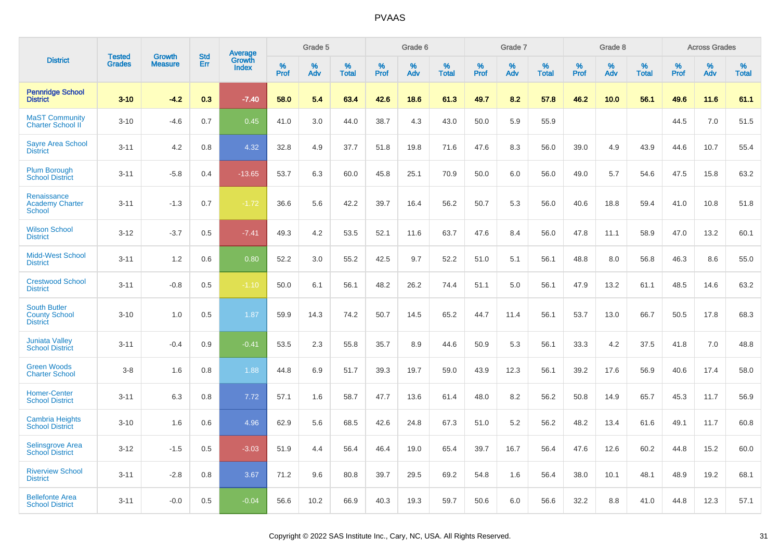|                                                                | <b>Tested</b> | <b>Growth</b>  | <b>Std</b> | Average                |              | Grade 5  |                   |              | Grade 6  |                   |              | Grade 7  |                   |              | Grade 8  |                   |           | <b>Across Grades</b> |                   |
|----------------------------------------------------------------|---------------|----------------|------------|------------------------|--------------|----------|-------------------|--------------|----------|-------------------|--------------|----------|-------------------|--------------|----------|-------------------|-----------|----------------------|-------------------|
| <b>District</b>                                                | <b>Grades</b> | <b>Measure</b> | Err        | Growth<br><b>Index</b> | $\%$<br>Prof | %<br>Adv | %<br><b>Total</b> | $\%$<br>Prof | %<br>Adv | %<br><b>Total</b> | $\%$<br>Prof | %<br>Adv | %<br><b>Total</b> | $\%$<br>Prof | %<br>Adv | %<br><b>Total</b> | %<br>Prof | $\%$<br>Adv          | %<br><b>Total</b> |
| <b>Pennridge School</b><br><b>District</b>                     | $3 - 10$      | $-4.2$         | 0.3        | $-7.40$                | 58.0         | 5.4      | 63.4              | 42.6         | 18.6     | 61.3              | 49.7         | 8.2      | 57.8              | 46.2         | 10.0     | 56.1              | 49.6      | 11.6                 | 61.1              |
| <b>MaST Community</b><br><b>Charter School II</b>              | $3 - 10$      | $-4.6$         | 0.7        | 0.45                   | 41.0         | 3.0      | 44.0              | 38.7         | 4.3      | 43.0              | 50.0         | 5.9      | 55.9              |              |          |                   | 44.5      | 7.0                  | 51.5              |
| <b>Sayre Area School</b><br><b>District</b>                    | $3 - 11$      | 4.2            | 0.8        | 4.32                   | 32.8         | 4.9      | 37.7              | 51.8         | 19.8     | 71.6              | 47.6         | 8.3      | 56.0              | 39.0         | 4.9      | 43.9              | 44.6      | 10.7                 | 55.4              |
| <b>Plum Borough</b><br><b>School District</b>                  | $3 - 11$      | $-5.8$         | 0.4        | $-13.65$               | 53.7         | 6.3      | 60.0              | 45.8         | 25.1     | 70.9              | 50.0         | 6.0      | 56.0              | 49.0         | 5.7      | 54.6              | 47.5      | 15.8                 | 63.2              |
| Renaissance<br><b>Academy Charter</b><br><b>School</b>         | $3 - 11$      | $-1.3$         | 0.7        | $-1.72$                | 36.6         | 5.6      | 42.2              | 39.7         | 16.4     | 56.2              | 50.7         | 5.3      | 56.0              | 40.6         | 18.8     | 59.4              | 41.0      | 10.8                 | 51.8              |
| <b>Wilson School</b><br><b>District</b>                        | $3 - 12$      | $-3.7$         | 0.5        | $-7.41$                | 49.3         | 4.2      | 53.5              | 52.1         | 11.6     | 63.7              | 47.6         | 8.4      | 56.0              | 47.8         | 11.1     | 58.9              | 47.0      | 13.2                 | 60.1              |
| <b>Midd-West School</b><br><b>District</b>                     | $3 - 11$      | 1.2            | 0.6        | 0.80                   | 52.2         | 3.0      | 55.2              | 42.5         | 9.7      | 52.2              | 51.0         | 5.1      | 56.1              | 48.8         | 8.0      | 56.8              | 46.3      | 8.6                  | 55.0              |
| <b>Crestwood School</b><br><b>District</b>                     | $3 - 11$      | $-0.8$         | 0.5        | $-1.10$                | 50.0         | 6.1      | 56.1              | 48.2         | 26.2     | 74.4              | 51.1         | 5.0      | 56.1              | 47.9         | 13.2     | 61.1              | 48.5      | 14.6                 | 63.2              |
| <b>South Butler</b><br><b>County School</b><br><b>District</b> | $3 - 10$      | 1.0            | 0.5        | 1.87                   | 59.9         | 14.3     | 74.2              | 50.7         | 14.5     | 65.2              | 44.7         | 11.4     | 56.1              | 53.7         | 13.0     | 66.7              | 50.5      | 17.8                 | 68.3              |
| <b>Juniata Valley</b><br><b>School District</b>                | $3 - 11$      | $-0.4$         | 0.9        | $-0.41$                | 53.5         | 2.3      | 55.8              | 35.7         | 8.9      | 44.6              | 50.9         | 5.3      | 56.1              | 33.3         | 4.2      | 37.5              | 41.8      | 7.0                  | 48.8              |
| <b>Green Woods</b><br><b>Charter School</b>                    | $3 - 8$       | 1.6            | 0.8        | 1.88                   | 44.8         | 6.9      | 51.7              | 39.3         | 19.7     | 59.0              | 43.9         | 12.3     | 56.1              | 39.2         | 17.6     | 56.9              | 40.6      | 17.4                 | 58.0              |
| <b>Homer-Center</b><br><b>School District</b>                  | $3 - 11$      | 6.3            | 0.8        | 7.72                   | 57.1         | 1.6      | 58.7              | 47.7         | 13.6     | 61.4              | 48.0         | 8.2      | 56.2              | 50.8         | 14.9     | 65.7              | 45.3      | 11.7                 | 56.9              |
| <b>Cambria Heights</b><br><b>School District</b>               | $3 - 10$      | 1.6            | 0.6        | 4.96                   | 62.9         | 5.6      | 68.5              | 42.6         | 24.8     | 67.3              | 51.0         | 5.2      | 56.2              | 48.2         | 13.4     | 61.6              | 49.1      | 11.7                 | 60.8              |
| <b>Selinsgrove Area</b><br><b>School District</b>              | $3 - 12$      | $-1.5$         | 0.5        | $-3.03$                | 51.9         | 4.4      | 56.4              | 46.4         | 19.0     | 65.4              | 39.7         | 16.7     | 56.4              | 47.6         | 12.6     | 60.2              | 44.8      | 15.2                 | 60.0              |
| <b>Riverview School</b><br><b>District</b>                     | $3 - 11$      | $-2.8$         | 0.8        | 3.67                   | 71.2         | 9.6      | 80.8              | 39.7         | 29.5     | 69.2              | 54.8         | 1.6      | 56.4              | 38.0         | 10.1     | 48.1              | 48.9      | 19.2                 | 68.1              |
| <b>Bellefonte Area</b><br><b>School District</b>               | $3 - 11$      | $-0.0$         | 0.5        | $-0.04$                | 56.6         | 10.2     | 66.9              | 40.3         | 19.3     | 59.7              | 50.6         | 6.0      | 56.6              | 32.2         | 8.8      | 41.0              | 44.8      | 12.3                 | 57.1              |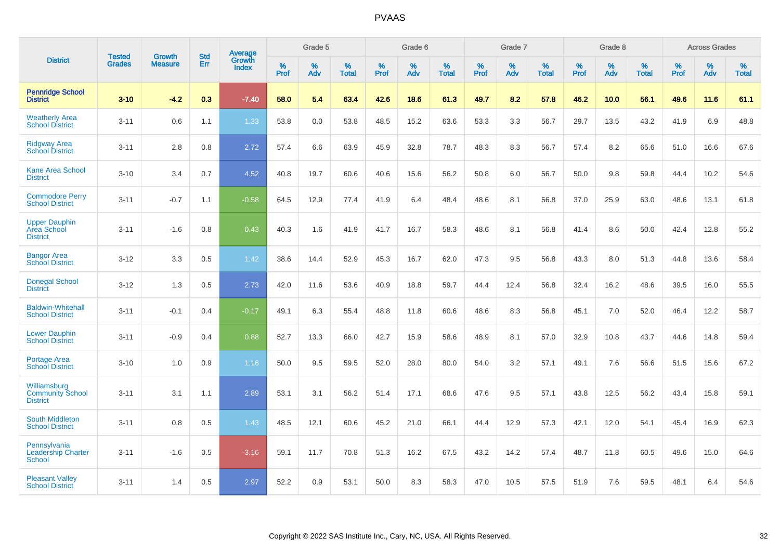|                                                            |                                |                                 | <b>Std</b> | Average                       |           | Grade 5  |                   |           | Grade 6  |                   |           | Grade 7  |                   |           | Grade 8  |                   |           | <b>Across Grades</b> |                   |
|------------------------------------------------------------|--------------------------------|---------------------------------|------------|-------------------------------|-----------|----------|-------------------|-----------|----------|-------------------|-----------|----------|-------------------|-----------|----------|-------------------|-----------|----------------------|-------------------|
| <b>District</b>                                            | <b>Tested</b><br><b>Grades</b> | <b>Growth</b><br><b>Measure</b> | Err        | <b>Growth</b><br><b>Index</b> | %<br>Prof | %<br>Adv | %<br><b>Total</b> | %<br>Prof | %<br>Adv | %<br><b>Total</b> | %<br>Prof | %<br>Adv | %<br><b>Total</b> | %<br>Prof | %<br>Adv | %<br><b>Total</b> | %<br>Prof | %<br>Adv             | %<br><b>Total</b> |
| <b>Pennridge School</b><br><b>District</b>                 | $3 - 10$                       | $-4.2$                          | 0.3        | $-7.40$                       | 58.0      | 5.4      | 63.4              | 42.6      | 18.6     | 61.3              | 49.7      | 8.2      | 57.8              | 46.2      | 10.0     | 56.1              | 49.6      | 11.6                 | 61.1              |
| <b>Weatherly Area</b><br><b>School District</b>            | $3 - 11$                       | 0.6                             | 1.1        | 1.33                          | 53.8      | 0.0      | 53.8              | 48.5      | 15.2     | 63.6              | 53.3      | 3.3      | 56.7              | 29.7      | 13.5     | 43.2              | 41.9      | 6.9                  | 48.8              |
| <b>Ridgway Area</b><br><b>School District</b>              | $3 - 11$                       | 2.8                             | 0.8        | 2.72                          | 57.4      | 6.6      | 63.9              | 45.9      | 32.8     | 78.7              | 48.3      | 8.3      | 56.7              | 57.4      | 8.2      | 65.6              | 51.0      | 16.6                 | 67.6              |
| <b>Kane Area School</b><br><b>District</b>                 | $3 - 10$                       | 3.4                             | 0.7        | 4.52                          | 40.8      | 19.7     | 60.6              | 40.6      | 15.6     | 56.2              | 50.8      | 6.0      | 56.7              | 50.0      | 9.8      | 59.8              | 44.4      | 10.2                 | 54.6              |
| <b>Commodore Perry</b><br><b>School District</b>           | $3 - 11$                       | $-0.7$                          | 1.1        | $-0.58$                       | 64.5      | 12.9     | 77.4              | 41.9      | 6.4      | 48.4              | 48.6      | 8.1      | 56.8              | 37.0      | 25.9     | 63.0              | 48.6      | 13.1                 | 61.8              |
| <b>Upper Dauphin</b><br>Area School<br><b>District</b>     | $3 - 11$                       | $-1.6$                          | 0.8        | 0.43                          | 40.3      | 1.6      | 41.9              | 41.7      | 16.7     | 58.3              | 48.6      | 8.1      | 56.8              | 41.4      | 8.6      | 50.0              | 42.4      | 12.8                 | 55.2              |
| <b>Bangor Area</b><br><b>School District</b>               | $3 - 12$                       | 3.3                             | 0.5        | 1.42                          | 38.6      | 14.4     | 52.9              | 45.3      | 16.7     | 62.0              | 47.3      | 9.5      | 56.8              | 43.3      | 8.0      | 51.3              | 44.8      | 13.6                 | 58.4              |
| <b>Donegal School</b><br><b>District</b>                   | $3 - 12$                       | 1.3                             | 0.5        | 2.73                          | 42.0      | 11.6     | 53.6              | 40.9      | 18.8     | 59.7              | 44.4      | 12.4     | 56.8              | 32.4      | 16.2     | 48.6              | 39.5      | 16.0                 | 55.5              |
| <b>Baldwin-Whitehall</b><br><b>School District</b>         | $3 - 11$                       | $-0.1$                          | 0.4        | $-0.17$                       | 49.1      | 6.3      | 55.4              | 48.8      | 11.8     | 60.6              | 48.6      | 8.3      | 56.8              | 45.1      | 7.0      | 52.0              | 46.4      | 12.2                 | 58.7              |
| <b>Lower Dauphin</b><br><b>School District</b>             | $3 - 11$                       | $-0.9$                          | 0.4        | 0.88                          | 52.7      | 13.3     | 66.0              | 42.7      | 15.9     | 58.6              | 48.9      | 8.1      | 57.0              | 32.9      | 10.8     | 43.7              | 44.6      | 14.8                 | 59.4              |
| <b>Portage Area</b><br><b>School District</b>              | $3 - 10$                       | 1.0                             | 0.9        | 1.16                          | 50.0      | 9.5      | 59.5              | 52.0      | 28.0     | 80.0              | 54.0      | 3.2      | 57.1              | 49.1      | 7.6      | 56.6              | 51.5      | 15.6                 | 67.2              |
| Williamsburg<br><b>Community School</b><br><b>District</b> | $3 - 11$                       | 3.1                             | 1.1        | 2.89                          | 53.1      | 3.1      | 56.2              | 51.4      | 17.1     | 68.6              | 47.6      | 9.5      | 57.1              | 43.8      | 12.5     | 56.2              | 43.4      | 15.8                 | 59.1              |
| <b>South Middleton</b><br><b>School District</b>           | $3 - 11$                       | 0.8                             | 0.5        | 1.43                          | 48.5      | 12.1     | 60.6              | 45.2      | 21.0     | 66.1              | 44.4      | 12.9     | 57.3              | 42.1      | 12.0     | 54.1              | 45.4      | 16.9                 | 62.3              |
| Pennsylvania<br><b>Leadership Charter</b><br><b>School</b> | $3 - 11$                       | $-1.6$                          | 0.5        | $-3.16$                       | 59.1      | 11.7     | 70.8              | 51.3      | 16.2     | 67.5              | 43.2      | 14.2     | 57.4              | 48.7      | 11.8     | 60.5              | 49.6      | 15.0                 | 64.6              |
| <b>Pleasant Valley</b><br><b>School District</b>           | $3 - 11$                       | 1.4                             | 0.5        | 2.97                          | 52.2      | 0.9      | 53.1              | 50.0      | 8.3      | 58.3              | 47.0      | 10.5     | 57.5              | 51.9      | 7.6      | 59.5              | 48.1      | 6.4                  | 54.6              |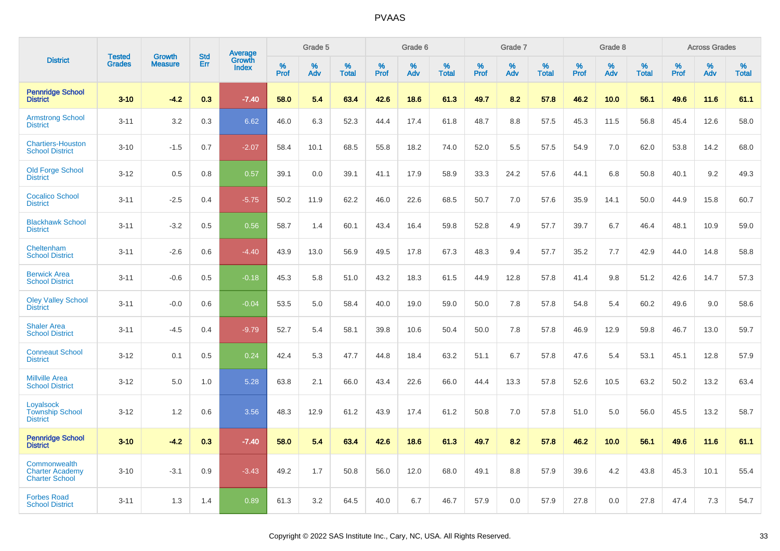|                                                                 | <b>Tested</b> | <b>Growth</b>  | <b>Std</b> |                                          |              | Grade 5  |                   |              | Grade 6  |                   |              | Grade 7  |                   |              | Grade 8  |                   |              | <b>Across Grades</b> |                   |
|-----------------------------------------------------------------|---------------|----------------|------------|------------------------------------------|--------------|----------|-------------------|--------------|----------|-------------------|--------------|----------|-------------------|--------------|----------|-------------------|--------------|----------------------|-------------------|
| <b>District</b>                                                 | <b>Grades</b> | <b>Measure</b> | Err        | <b>Average</b><br>Growth<br><b>Index</b> | $\%$<br>Prof | %<br>Adv | %<br><b>Total</b> | $\%$<br>Prof | %<br>Adv | %<br><b>Total</b> | $\%$<br>Prof | %<br>Adv | %<br><b>Total</b> | $\%$<br>Prof | %<br>Adv | %<br><b>Total</b> | $\%$<br>Prof | %<br>Adv             | %<br><b>Total</b> |
| <b>Pennridge School</b><br><b>District</b>                      | $3 - 10$      | $-4.2$         | 0.3        | $-7.40$                                  | 58.0         | 5.4      | 63.4              | 42.6         | 18.6     | 61.3              | 49.7         | 8.2      | 57.8              | 46.2         | 10.0     | 56.1              | 49.6         | 11.6                 | 61.1              |
| <b>Armstrong School</b><br><b>District</b>                      | $3 - 11$      | 3.2            | 0.3        | 6.62                                     | 46.0         | 6.3      | 52.3              | 44.4         | 17.4     | 61.8              | 48.7         | 8.8      | 57.5              | 45.3         | 11.5     | 56.8              | 45.4         | 12.6                 | 58.0              |
| <b>Chartiers-Houston</b><br><b>School District</b>              | $3 - 10$      | $-1.5$         | 0.7        | $-2.07$                                  | 58.4         | 10.1     | 68.5              | 55.8         | 18.2     | 74.0              | 52.0         | 5.5      | 57.5              | 54.9         | 7.0      | 62.0              | 53.8         | 14.2                 | 68.0              |
| <b>Old Forge School</b><br><b>District</b>                      | $3 - 12$      | 0.5            | 0.8        | 0.57                                     | 39.1         | 0.0      | 39.1              | 41.1         | 17.9     | 58.9              | 33.3         | 24.2     | 57.6              | 44.1         | 6.8      | 50.8              | 40.1         | 9.2                  | 49.3              |
| <b>Cocalico School</b><br><b>District</b>                       | $3 - 11$      | $-2.5$         | 0.4        | $-5.75$                                  | 50.2         | 11.9     | 62.2              | 46.0         | 22.6     | 68.5              | 50.7         | 7.0      | 57.6              | 35.9         | 14.1     | 50.0              | 44.9         | 15.8                 | 60.7              |
| <b>Blackhawk School</b><br><b>District</b>                      | $3 - 11$      | $-3.2$         | 0.5        | 0.56                                     | 58.7         | 1.4      | 60.1              | 43.4         | 16.4     | 59.8              | 52.8         | 4.9      | 57.7              | 39.7         | 6.7      | 46.4              | 48.1         | 10.9                 | 59.0              |
| Cheltenham<br><b>School District</b>                            | $3 - 11$      | $-2.6$         | 0.6        | $-4.40$                                  | 43.9         | 13.0     | 56.9              | 49.5         | 17.8     | 67.3              | 48.3         | 9.4      | 57.7              | 35.2         | 7.7      | 42.9              | 44.0         | 14.8                 | 58.8              |
| <b>Berwick Area</b><br><b>School District</b>                   | $3 - 11$      | $-0.6$         | 0.5        | $-0.18$                                  | 45.3         | 5.8      | 51.0              | 43.2         | 18.3     | 61.5              | 44.9         | 12.8     | 57.8              | 41.4         | 9.8      | 51.2              | 42.6         | 14.7                 | 57.3              |
| <b>Oley Valley School</b><br><b>District</b>                    | $3 - 11$      | $-0.0$         | 0.6        | $-0.04$                                  | 53.5         | 5.0      | 58.4              | 40.0         | 19.0     | 59.0              | 50.0         | 7.8      | 57.8              | 54.8         | 5.4      | 60.2              | 49.6         | 9.0                  | 58.6              |
| <b>Shaler Area</b><br><b>School District</b>                    | $3 - 11$      | $-4.5$         | 0.4        | $-9.79$                                  | 52.7         | 5.4      | 58.1              | 39.8         | 10.6     | 50.4              | 50.0         | 7.8      | 57.8              | 46.9         | 12.9     | 59.8              | 46.7         | 13.0                 | 59.7              |
| <b>Conneaut School</b><br><b>District</b>                       | $3 - 12$      | 0.1            | 0.5        | 0.24                                     | 42.4         | 5.3      | 47.7              | 44.8         | 18.4     | 63.2              | 51.1         | 6.7      | 57.8              | 47.6         | 5.4      | 53.1              | 45.1         | 12.8                 | 57.9              |
| <b>Millville Area</b><br><b>School District</b>                 | $3 - 12$      | 5.0            | 1.0        | 5.28                                     | 63.8         | 2.1      | 66.0              | 43.4         | 22.6     | 66.0              | 44.4         | 13.3     | 57.8              | 52.6         | 10.5     | 63.2              | 50.2         | 13.2                 | 63.4              |
| Loyalsock<br><b>Township School</b><br><b>District</b>          | $3 - 12$      | 1.2            | 0.6        | 3.56                                     | 48.3         | 12.9     | 61.2              | 43.9         | 17.4     | 61.2              | 50.8         | 7.0      | 57.8              | 51.0         | 5.0      | 56.0              | 45.5         | 13.2                 | 58.7              |
| <b>Pennridge School</b><br><b>District</b>                      | $3 - 10$      | $-4.2$         | 0.3        | $-7.40$                                  | 58.0         | 5.4      | 63.4              | 42.6         | 18.6     | 61.3              | 49.7         | 8.2      | 57.8              | 46.2         | 10.0     | 56.1              | 49.6         | 11.6                 | 61.1              |
| Commonwealth<br><b>Charter Academy</b><br><b>Charter School</b> | $3 - 10$      | $-3.1$         | 0.9        | $-3.43$                                  | 49.2         | 1.7      | 50.8              | 56.0         | 12.0     | 68.0              | 49.1         | 8.8      | 57.9              | 39.6         | 4.2      | 43.8              | 45.3         | 10.1                 | 55.4              |
| <b>Forbes Road</b><br><b>School District</b>                    | $3 - 11$      | 1.3            | 1.4        | 0.89                                     | 61.3         | 3.2      | 64.5              | 40.0         | 6.7      | 46.7              | 57.9         | 0.0      | 57.9              | 27.8         | 0.0      | 27.8              | 47.4         | 7.3                  | 54.7              |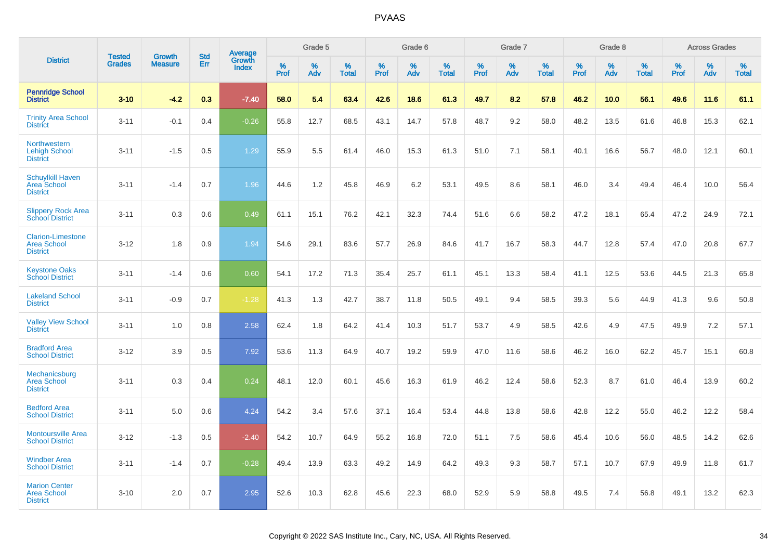|                                                                   | <b>Tested</b> | <b>Growth</b>  | <b>Std</b> |                                          |           | Grade 5  |                   |           | Grade 6  |                   |           | Grade 7  |                   |           | Grade 8  |                   |           | <b>Across Grades</b> |                   |
|-------------------------------------------------------------------|---------------|----------------|------------|------------------------------------------|-----------|----------|-------------------|-----------|----------|-------------------|-----------|----------|-------------------|-----------|----------|-------------------|-----------|----------------------|-------------------|
| <b>District</b>                                                   | <b>Grades</b> | <b>Measure</b> | <b>Err</b> | <b>Average</b><br>Growth<br><b>Index</b> | %<br>Prof | %<br>Adv | %<br><b>Total</b> | %<br>Prof | %<br>Adv | %<br><b>Total</b> | %<br>Prof | %<br>Adv | %<br><b>Total</b> | %<br>Prof | %<br>Adv | %<br><b>Total</b> | %<br>Prof | %<br>Adv             | %<br><b>Total</b> |
| <b>Pennridge School</b><br><b>District</b>                        | $3 - 10$      | $-4.2$         | 0.3        | $-7.40$                                  | 58.0      | 5.4      | 63.4              | 42.6      | 18.6     | 61.3              | 49.7      | 8.2      | 57.8              | 46.2      | 10.0     | 56.1              | 49.6      | 11.6                 | 61.1              |
| <b>Trinity Area School</b><br><b>District</b>                     | $3 - 11$      | $-0.1$         | 0.4        | $-0.26$                                  | 55.8      | 12.7     | 68.5              | 43.1      | 14.7     | 57.8              | 48.7      | 9.2      | 58.0              | 48.2      | 13.5     | 61.6              | 46.8      | 15.3                 | 62.1              |
| Northwestern<br><b>Lehigh School</b><br><b>District</b>           | $3 - 11$      | $-1.5$         | 0.5        | 1.29                                     | 55.9      | 5.5      | 61.4              | 46.0      | 15.3     | 61.3              | 51.0      | 7.1      | 58.1              | 40.1      | 16.6     | 56.7              | 48.0      | 12.1                 | 60.1              |
| <b>Schuylkill Haven</b><br><b>Area School</b><br><b>District</b>  | $3 - 11$      | $-1.4$         | 0.7        | 1.96                                     | 44.6      | 1.2      | 45.8              | 46.9      | 6.2      | 53.1              | 49.5      | 8.6      | 58.1              | 46.0      | 3.4      | 49.4              | 46.4      | 10.0                 | 56.4              |
| <b>Slippery Rock Area</b><br><b>School District</b>               | $3 - 11$      | 0.3            | 0.6        | 0.49                                     | 61.1      | 15.1     | 76.2              | 42.1      | 32.3     | 74.4              | 51.6      | 6.6      | 58.2              | 47.2      | 18.1     | 65.4              | 47.2      | 24.9                 | 72.1              |
| <b>Clarion-Limestone</b><br><b>Area School</b><br><b>District</b> | $3 - 12$      | 1.8            | 0.9        | 1.94                                     | 54.6      | 29.1     | 83.6              | 57.7      | 26.9     | 84.6              | 41.7      | 16.7     | 58.3              | 44.7      | 12.8     | 57.4              | 47.0      | 20.8                 | 67.7              |
| <b>Keystone Oaks</b><br><b>School District</b>                    | $3 - 11$      | $-1.4$         | 0.6        | 0.60                                     | 54.1      | 17.2     | 71.3              | 35.4      | 25.7     | 61.1              | 45.1      | 13.3     | 58.4              | 41.1      | 12.5     | 53.6              | 44.5      | 21.3                 | 65.8              |
| <b>Lakeland School</b><br><b>District</b>                         | $3 - 11$      | $-0.9$         | 0.7        | $-1.28$                                  | 41.3      | 1.3      | 42.7              | 38.7      | 11.8     | 50.5              | 49.1      | 9.4      | 58.5              | 39.3      | 5.6      | 44.9              | 41.3      | 9.6                  | 50.8              |
| <b>Valley View School</b><br><b>District</b>                      | $3 - 11$      | 1.0            | 0.8        | 2.58                                     | 62.4      | 1.8      | 64.2              | 41.4      | 10.3     | 51.7              | 53.7      | 4.9      | 58.5              | 42.6      | 4.9      | 47.5              | 49.9      | 7.2                  | 57.1              |
| <b>Bradford Area</b><br><b>School District</b>                    | $3 - 12$      | 3.9            | 0.5        | 7.92                                     | 53.6      | 11.3     | 64.9              | 40.7      | 19.2     | 59.9              | 47.0      | 11.6     | 58.6              | 46.2      | 16.0     | 62.2              | 45.7      | 15.1                 | 60.8              |
| Mechanicsburg<br><b>Area School</b><br><b>District</b>            | $3 - 11$      | 0.3            | 0.4        | 0.24                                     | 48.1      | 12.0     | 60.1              | 45.6      | 16.3     | 61.9              | 46.2      | 12.4     | 58.6              | 52.3      | 8.7      | 61.0              | 46.4      | 13.9                 | 60.2              |
| <b>Bedford Area</b><br><b>School District</b>                     | $3 - 11$      | 5.0            | 0.6        | 4.24                                     | 54.2      | 3.4      | 57.6              | 37.1      | 16.4     | 53.4              | 44.8      | 13.8     | 58.6              | 42.8      | 12.2     | 55.0              | 46.2      | 12.2                 | 58.4              |
| <b>Montoursville Area</b><br><b>School District</b>               | $3 - 12$      | $-1.3$         | 0.5        | $-2.40$                                  | 54.2      | 10.7     | 64.9              | 55.2      | 16.8     | 72.0              | 51.1      | 7.5      | 58.6              | 45.4      | 10.6     | 56.0              | 48.5      | 14.2                 | 62.6              |
| <b>Windber Area</b><br><b>School District</b>                     | $3 - 11$      | $-1.4$         | 0.7        | $-0.28$                                  | 49.4      | 13.9     | 63.3              | 49.2      | 14.9     | 64.2              | 49.3      | 9.3      | 58.7              | 57.1      | 10.7     | 67.9              | 49.9      | 11.8                 | 61.7              |
| <b>Marion Center</b><br><b>Area School</b><br><b>District</b>     | $3 - 10$      | 2.0            | 0.7        | 2.95                                     | 52.6      | 10.3     | 62.8              | 45.6      | 22.3     | 68.0              | 52.9      | 5.9      | 58.8              | 49.5      | 7.4      | 56.8              | 49.1      | 13.2                 | 62.3              |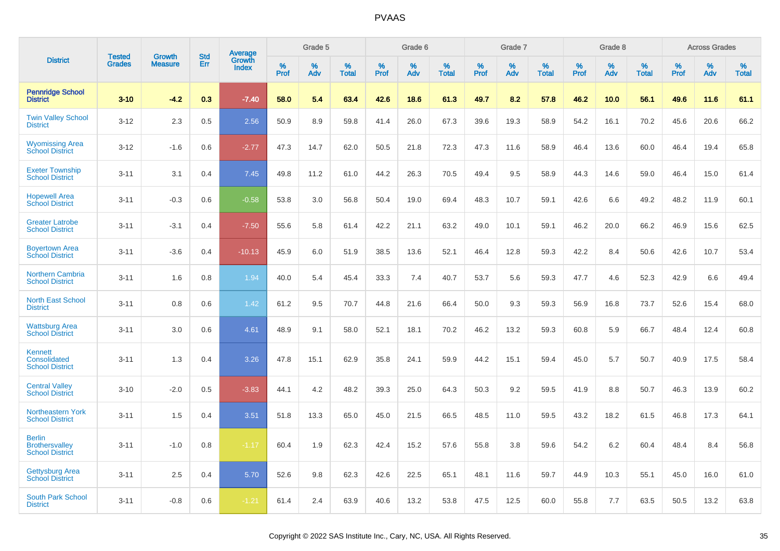|                                                                  | <b>Tested</b> | <b>Growth</b>  | <b>Std</b> | Average                |              | Grade 5  |                   |              | Grade 6  |                   |              | Grade 7  |                   |              | Grade 8  |                   |           | <b>Across Grades</b> |                   |
|------------------------------------------------------------------|---------------|----------------|------------|------------------------|--------------|----------|-------------------|--------------|----------|-------------------|--------------|----------|-------------------|--------------|----------|-------------------|-----------|----------------------|-------------------|
| <b>District</b>                                                  | <b>Grades</b> | <b>Measure</b> | Err        | Growth<br><b>Index</b> | $\%$<br>Prof | %<br>Adv | %<br><b>Total</b> | $\%$<br>Prof | %<br>Adv | %<br><b>Total</b> | $\%$<br>Prof | %<br>Adv | %<br><b>Total</b> | $\%$<br>Prof | %<br>Adv | %<br><b>Total</b> | %<br>Prof | $\%$<br>Adv          | %<br><b>Total</b> |
| <b>Pennridge School</b><br><b>District</b>                       | $3 - 10$      | $-4.2$         | 0.3        | $-7.40$                | 58.0         | 5.4      | 63.4              | 42.6         | 18.6     | 61.3              | 49.7         | 8.2      | 57.8              | 46.2         | 10.0     | 56.1              | 49.6      | 11.6                 | 61.1              |
| <b>Twin Valley School</b><br><b>District</b>                     | $3 - 12$      | 2.3            | 0.5        | 2.56                   | 50.9         | 8.9      | 59.8              | 41.4         | 26.0     | 67.3              | 39.6         | 19.3     | 58.9              | 54.2         | 16.1     | 70.2              | 45.6      | 20.6                 | 66.2              |
| <b>Wyomissing Area</b><br><b>School District</b>                 | $3 - 12$      | $-1.6$         | 0.6        | $-2.77$                | 47.3         | 14.7     | 62.0              | 50.5         | 21.8     | 72.3              | 47.3         | 11.6     | 58.9              | 46.4         | 13.6     | 60.0              | 46.4      | 19.4                 | 65.8              |
| <b>Exeter Township</b><br><b>School District</b>                 | $3 - 11$      | 3.1            | 0.4        | 7.45                   | 49.8         | 11.2     | 61.0              | 44.2         | 26.3     | 70.5              | 49.4         | 9.5      | 58.9              | 44.3         | 14.6     | 59.0              | 46.4      | 15.0                 | 61.4              |
| <b>Hopewell Area</b><br><b>School District</b>                   | $3 - 11$      | $-0.3$         | 0.6        | $-0.58$                | 53.8         | 3.0      | 56.8              | 50.4         | 19.0     | 69.4              | 48.3         | 10.7     | 59.1              | 42.6         | 6.6      | 49.2              | 48.2      | 11.9                 | 60.1              |
| <b>Greater Latrobe</b><br><b>School District</b>                 | $3 - 11$      | $-3.1$         | 0.4        | $-7.50$                | 55.6         | 5.8      | 61.4              | 42.2         | 21.1     | 63.2              | 49.0         | 10.1     | 59.1              | 46.2         | 20.0     | 66.2              | 46.9      | 15.6                 | 62.5              |
| <b>Boyertown Area</b><br><b>School District</b>                  | $3 - 11$      | $-3.6$         | 0.4        | $-10.13$               | 45.9         | 6.0      | 51.9              | 38.5         | 13.6     | 52.1              | 46.4         | 12.8     | 59.3              | 42.2         | 8.4      | 50.6              | 42.6      | 10.7                 | 53.4              |
| Northern Cambria<br><b>School District</b>                       | $3 - 11$      | 1.6            | 0.8        | 1.94                   | 40.0         | 5.4      | 45.4              | 33.3         | 7.4      | 40.7              | 53.7         | 5.6      | 59.3              | 47.7         | 4.6      | 52.3              | 42.9      | 6.6                  | 49.4              |
| <b>North East School</b><br><b>District</b>                      | $3 - 11$      | 0.8            | 0.6        | 1.42                   | 61.2         | 9.5      | 70.7              | 44.8         | 21.6     | 66.4              | 50.0         | 9.3      | 59.3              | 56.9         | 16.8     | 73.7              | 52.6      | 15.4                 | 68.0              |
| <b>Wattsburg Area</b><br><b>School District</b>                  | $3 - 11$      | 3.0            | 0.6        | 4.61                   | 48.9         | 9.1      | 58.0              | 52.1         | 18.1     | 70.2              | 46.2         | 13.2     | 59.3              | 60.8         | 5.9      | 66.7              | 48.4      | 12.4                 | 60.8              |
| Kennett<br>Consolidated<br><b>School District</b>                | $3 - 11$      | 1.3            | 0.4        | 3.26                   | 47.8         | 15.1     | 62.9              | 35.8         | 24.1     | 59.9              | 44.2         | 15.1     | 59.4              | 45.0         | 5.7      | 50.7              | 40.9      | 17.5                 | 58.4              |
| <b>Central Valley</b><br><b>School District</b>                  | $3 - 10$      | $-2.0$         | 0.5        | $-3.83$                | 44.1         | 4.2      | 48.2              | 39.3         | 25.0     | 64.3              | 50.3         | 9.2      | 59.5              | 41.9         | 8.8      | 50.7              | 46.3      | 13.9                 | 60.2              |
| Northeastern York<br><b>School District</b>                      | $3 - 11$      | 1.5            | 0.4        | 3.51                   | 51.8         | 13.3     | 65.0              | 45.0         | 21.5     | 66.5              | 48.5         | 11.0     | 59.5              | 43.2         | 18.2     | 61.5              | 46.8      | 17.3                 | 64.1              |
| <b>Berlin</b><br><b>Brothersvalley</b><br><b>School District</b> | $3 - 11$      | $-1.0$         | 0.8        | $-1.17$                | 60.4         | 1.9      | 62.3              | 42.4         | 15.2     | 57.6              | 55.8         | 3.8      | 59.6              | 54.2         | 6.2      | 60.4              | 48.4      | 8.4                  | 56.8              |
| <b>Gettysburg Area</b><br><b>School District</b>                 | $3 - 11$      | 2.5            | 0.4        | 5.70                   | 52.6         | 9.8      | 62.3              | 42.6         | 22.5     | 65.1              | 48.1         | 11.6     | 59.7              | 44.9         | 10.3     | 55.1              | 45.0      | 16.0                 | 61.0              |
| <b>South Park School</b><br><b>District</b>                      | $3 - 11$      | $-0.8$         | 0.6        | $-1.21$                | 61.4         | 2.4      | 63.9              | 40.6         | 13.2     | 53.8              | 47.5         | 12.5     | 60.0              | 55.8         | 7.7      | 63.5              | 50.5      | 13.2                 | 63.8              |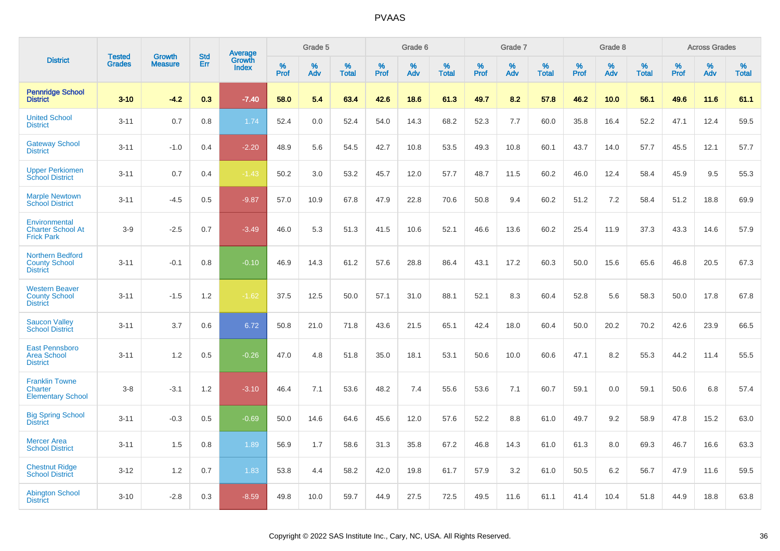|                                                                    | <b>Tested</b> | <b>Growth</b>  | <b>Std</b> | <b>Average</b><br>Growth |           | Grade 5  |                   |           | Grade 6  |                   |           | Grade 7  |                   |           | Grade 8  |                   |           | <b>Across Grades</b> |                   |
|--------------------------------------------------------------------|---------------|----------------|------------|--------------------------|-----------|----------|-------------------|-----------|----------|-------------------|-----------|----------|-------------------|-----------|----------|-------------------|-----------|----------------------|-------------------|
| <b>District</b>                                                    | <b>Grades</b> | <b>Measure</b> | Err        | <b>Index</b>             | %<br>Prof | %<br>Adv | %<br><b>Total</b> | %<br>Prof | %<br>Adv | %<br><b>Total</b> | %<br>Prof | %<br>Adv | %<br><b>Total</b> | %<br>Prof | %<br>Adv | %<br><b>Total</b> | %<br>Prof | %<br>Adv             | %<br><b>Total</b> |
| <b>Pennridge School</b><br><b>District</b>                         | $3 - 10$      | $-4.2$         | 0.3        | $-7.40$                  | 58.0      | 5.4      | 63.4              | 42.6      | 18.6     | 61.3              | 49.7      | 8.2      | 57.8              | 46.2      | 10.0     | 56.1              | 49.6      | 11.6                 | 61.1              |
| <b>United School</b><br><b>District</b>                            | $3 - 11$      | 0.7            | 0.8        | 1.74                     | 52.4      | 0.0      | 52.4              | 54.0      | 14.3     | 68.2              | 52.3      | 7.7      | 60.0              | 35.8      | 16.4     | 52.2              | 47.1      | 12.4                 | 59.5              |
| <b>Gateway School</b><br><b>District</b>                           | $3 - 11$      | $-1.0$         | 0.4        | $-2.20$                  | 48.9      | 5.6      | 54.5              | 42.7      | 10.8     | 53.5              | 49.3      | 10.8     | 60.1              | 43.7      | 14.0     | 57.7              | 45.5      | 12.1                 | 57.7              |
| <b>Upper Perkiomen</b><br><b>School District</b>                   | $3 - 11$      | 0.7            | 0.4        | $-1.43$                  | 50.2      | 3.0      | 53.2              | 45.7      | 12.0     | 57.7              | 48.7      | 11.5     | 60.2              | 46.0      | 12.4     | 58.4              | 45.9      | 9.5                  | 55.3              |
| <b>Marple Newtown</b><br><b>School District</b>                    | $3 - 11$      | $-4.5$         | 0.5        | $-9.87$                  | 57.0      | 10.9     | 67.8              | 47.9      | 22.8     | 70.6              | 50.8      | 9.4      | 60.2              | 51.2      | 7.2      | 58.4              | 51.2      | 18.8                 | 69.9              |
| Environmental<br><b>Charter School At</b><br><b>Frick Park</b>     | $3-9$         | $-2.5$         | 0.7        | $-3.49$                  | 46.0      | 5.3      | 51.3              | 41.5      | 10.6     | 52.1              | 46.6      | 13.6     | 60.2              | 25.4      | 11.9     | 37.3              | 43.3      | 14.6                 | 57.9              |
| <b>Northern Bedford</b><br><b>County School</b><br><b>District</b> | $3 - 11$      | $-0.1$         | 0.8        | $-0.10$                  | 46.9      | 14.3     | 61.2              | 57.6      | 28.8     | 86.4              | 43.1      | 17.2     | 60.3              | 50.0      | 15.6     | 65.6              | 46.8      | 20.5                 | 67.3              |
| <b>Western Beaver</b><br><b>County School</b><br><b>District</b>   | $3 - 11$      | $-1.5$         | 1.2        | $-1.62$                  | 37.5      | 12.5     | 50.0              | 57.1      | 31.0     | 88.1              | 52.1      | 8.3      | 60.4              | 52.8      | 5.6      | 58.3              | 50.0      | 17.8                 | 67.8              |
| <b>Saucon Valley</b><br><b>School District</b>                     | $3 - 11$      | 3.7            | 0.6        | 6.72                     | 50.8      | 21.0     | 71.8              | 43.6      | 21.5     | 65.1              | 42.4      | 18.0     | 60.4              | 50.0      | 20.2     | 70.2              | 42.6      | 23.9                 | 66.5              |
| <b>East Pennsboro</b><br><b>Area School</b><br><b>District</b>     | $3 - 11$      | 1.2            | 0.5        | $-0.26$                  | 47.0      | 4.8      | 51.8              | 35.0      | 18.1     | 53.1              | 50.6      | 10.0     | 60.6              | 47.1      | 8.2      | 55.3              | 44.2      | 11.4                 | 55.5              |
| <b>Franklin Towne</b><br>Charter<br><b>Elementary School</b>       | $3 - 8$       | $-3.1$         | 1.2        | $-3.10$                  | 46.4      | 7.1      | 53.6              | 48.2      | 7.4      | 55.6              | 53.6      | 7.1      | 60.7              | 59.1      | 0.0      | 59.1              | 50.6      | 6.8                  | 57.4              |
| <b>Big Spring School</b><br><b>District</b>                        | $3 - 11$      | $-0.3$         | 0.5        | $-0.69$                  | 50.0      | 14.6     | 64.6              | 45.6      | 12.0     | 57.6              | 52.2      | 8.8      | 61.0              | 49.7      | 9.2      | 58.9              | 47.8      | 15.2                 | 63.0              |
| <b>Mercer Area</b><br><b>School District</b>                       | $3 - 11$      | 1.5            | 0.8        | 1.89                     | 56.9      | 1.7      | 58.6              | 31.3      | 35.8     | 67.2              | 46.8      | 14.3     | 61.0              | 61.3      | 8.0      | 69.3              | 46.7      | 16.6                 | 63.3              |
| <b>Chestnut Ridge</b><br><b>School District</b>                    | $3 - 12$      | 1.2            | 0.7        | 1.83                     | 53.8      | 4.4      | 58.2              | 42.0      | 19.8     | 61.7              | 57.9      | 3.2      | 61.0              | 50.5      | 6.2      | 56.7              | 47.9      | 11.6                 | 59.5              |
| <b>Abington School</b><br><b>District</b>                          | $3 - 10$      | $-2.8$         | 0.3        | $-8.59$                  | 49.8      | 10.0     | 59.7              | 44.9      | 27.5     | 72.5              | 49.5      | 11.6     | 61.1              | 41.4      | 10.4     | 51.8              | 44.9      | 18.8                 | 63.8              |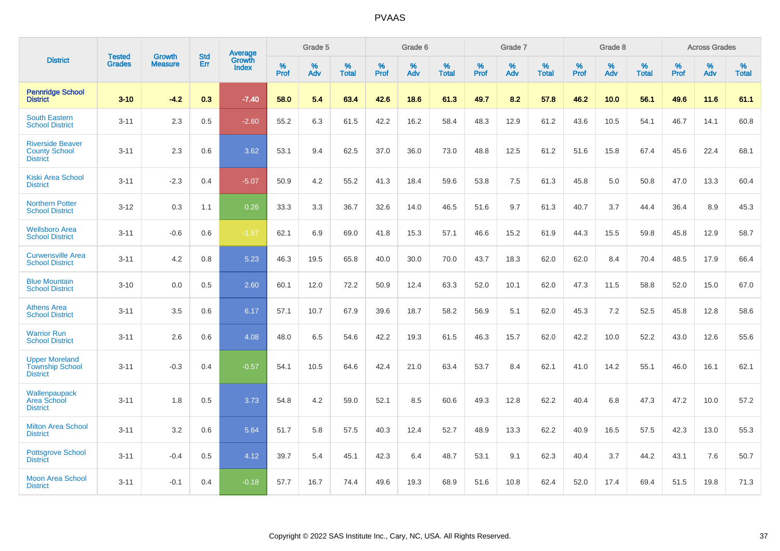|                                                                    |                                | <b>Growth</b>  | <b>Std</b> | Average                       |           | Grade 5  |                   |           | Grade 6  |                   |           | Grade 7  |                   |           | Grade 8  |                   |           | <b>Across Grades</b> |                   |
|--------------------------------------------------------------------|--------------------------------|----------------|------------|-------------------------------|-----------|----------|-------------------|-----------|----------|-------------------|-----------|----------|-------------------|-----------|----------|-------------------|-----------|----------------------|-------------------|
| <b>District</b>                                                    | <b>Tested</b><br><b>Grades</b> | <b>Measure</b> | Err        | <b>Growth</b><br><b>Index</b> | %<br>Prof | %<br>Adv | %<br><b>Total</b> | %<br>Prof | %<br>Adv | %<br><b>Total</b> | %<br>Prof | %<br>Adv | %<br><b>Total</b> | %<br>Prof | %<br>Adv | %<br><b>Total</b> | %<br>Prof | %<br>Adv             | %<br><b>Total</b> |
| <b>Pennridge School</b><br><b>District</b>                         | $3 - 10$                       | $-4.2$         | 0.3        | $-7.40$                       | 58.0      | 5.4      | 63.4              | 42.6      | 18.6     | 61.3              | 49.7      | 8.2      | 57.8              | 46.2      | 10.0     | 56.1              | 49.6      | 11.6                 | 61.1              |
| <b>South Eastern</b><br><b>School District</b>                     | $3 - 11$                       | 2.3            | 0.5        | $-2.60$                       | 55.2      | 6.3      | 61.5              | 42.2      | 16.2     | 58.4              | 48.3      | 12.9     | 61.2              | 43.6      | 10.5     | 54.1              | 46.7      | 14.1                 | 60.8              |
| <b>Riverside Beaver</b><br><b>County School</b><br><b>District</b> | $3 - 11$                       | 2.3            | 0.6        | 3.62                          | 53.1      | 9.4      | 62.5              | 37.0      | 36.0     | 73.0              | 48.8      | 12.5     | 61.2              | 51.6      | 15.8     | 67.4              | 45.6      | 22.4                 | 68.1              |
| <b>Kiski Area School</b><br><b>District</b>                        | $3 - 11$                       | $-2.3$         | 0.4        | $-5.07$                       | 50.9      | 4.2      | 55.2              | 41.3      | 18.4     | 59.6              | 53.8      | 7.5      | 61.3              | 45.8      | 5.0      | 50.8              | 47.0      | 13.3                 | 60.4              |
| <b>Northern Potter</b><br><b>School District</b>                   | $3 - 12$                       | 0.3            | 1.1        | 0.26                          | 33.3      | 3.3      | 36.7              | 32.6      | 14.0     | 46.5              | 51.6      | 9.7      | 61.3              | 40.7      | 3.7      | 44.4              | 36.4      | 8.9                  | 45.3              |
| <b>Wellsboro Area</b><br><b>School District</b>                    | $3 - 11$                       | $-0.6$         | 0.6        | $-1.57$                       | 62.1      | 6.9      | 69.0              | 41.8      | 15.3     | 57.1              | 46.6      | 15.2     | 61.9              | 44.3      | 15.5     | 59.8              | 45.8      | 12.9                 | 58.7              |
| <b>Curwensville Area</b><br><b>School District</b>                 | $3 - 11$                       | 4.2            | 0.8        | 5.23                          | 46.3      | 19.5     | 65.8              | 40.0      | 30.0     | 70.0              | 43.7      | 18.3     | 62.0              | 62.0      | 8.4      | 70.4              | 48.5      | 17.9                 | 66.4              |
| <b>Blue Mountain</b><br><b>School District</b>                     | $3 - 10$                       | 0.0            | 0.5        | 2.60                          | 60.1      | 12.0     | 72.2              | 50.9      | 12.4     | 63.3              | 52.0      | 10.1     | 62.0              | 47.3      | 11.5     | 58.8              | 52.0      | 15.0                 | 67.0              |
| <b>Athens Area</b><br><b>School District</b>                       | $3 - 11$                       | 3.5            | 0.6        | 6.17                          | 57.1      | 10.7     | 67.9              | 39.6      | 18.7     | 58.2              | 56.9      | 5.1      | 62.0              | 45.3      | 7.2      | 52.5              | 45.8      | 12.8                 | 58.6              |
| <b>Warrior Run</b><br><b>School District</b>                       | $3 - 11$                       | 2.6            | 0.6        | 4.08                          | 48.0      | 6.5      | 54.6              | 42.2      | 19.3     | 61.5              | 46.3      | 15.7     | 62.0              | 42.2      | 10.0     | 52.2              | 43.0      | 12.6                 | 55.6              |
| <b>Upper Moreland</b><br><b>Township School</b><br><b>District</b> | $3 - 11$                       | $-0.3$         | 0.4        | $-0.57$                       | 54.1      | 10.5     | 64.6              | 42.4      | 21.0     | 63.4              | 53.7      | 8.4      | 62.1              | 41.0      | 14.2     | 55.1              | 46.0      | 16.1                 | 62.1              |
| Wallenpaupack<br>Area School<br><b>District</b>                    | $3 - 11$                       | 1.8            | 0.5        | 3.73                          | 54.8      | 4.2      | 59.0              | 52.1      | 8.5      | 60.6              | 49.3      | 12.8     | 62.2              | 40.4      | 6.8      | 47.3              | 47.2      | 10.0                 | 57.2              |
| <b>Milton Area School</b><br><b>District</b>                       | $3 - 11$                       | 3.2            | 0.6        | 5.64                          | 51.7      | 5.8      | 57.5              | 40.3      | 12.4     | 52.7              | 48.9      | 13.3     | 62.2              | 40.9      | 16.5     | 57.5              | 42.3      | 13.0                 | 55.3              |
| <b>Pottsgrove School</b><br><b>District</b>                        | $3 - 11$                       | $-0.4$         | 0.5        | 4.12                          | 39.7      | 5.4      | 45.1              | 42.3      | 6.4      | 48.7              | 53.1      | 9.1      | 62.3              | 40.4      | 3.7      | 44.2              | 43.1      | 7.6                  | 50.7              |
| <b>Moon Area School</b><br><b>District</b>                         | $3 - 11$                       | $-0.1$         | 0.4        | $-0.18$                       | 57.7      | 16.7     | 74.4              | 49.6      | 19.3     | 68.9              | 51.6      | 10.8     | 62.4              | 52.0      | 17.4     | 69.4              | 51.5      | 19.8                 | 71.3              |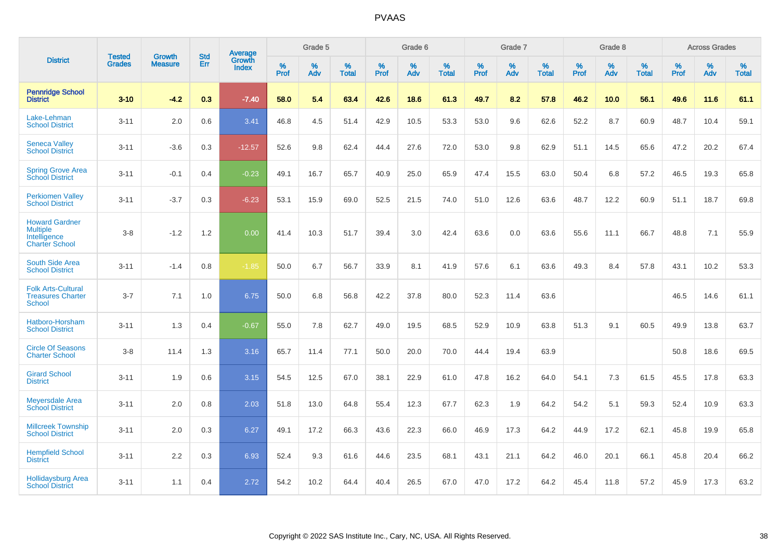|                                                                                   |                                |                                 | <b>Std</b> | <b>Average</b>                |           | Grade 5  |                   |           | Grade 6  |                   |           | Grade 7  |                   |           | Grade 8  |                   |           | <b>Across Grades</b> |                   |
|-----------------------------------------------------------------------------------|--------------------------------|---------------------------------|------------|-------------------------------|-----------|----------|-------------------|-----------|----------|-------------------|-----------|----------|-------------------|-----------|----------|-------------------|-----------|----------------------|-------------------|
| <b>District</b>                                                                   | <b>Tested</b><br><b>Grades</b> | <b>Growth</b><br><b>Measure</b> | Err        | <b>Growth</b><br><b>Index</b> | %<br>Prof | %<br>Adv | %<br><b>Total</b> | %<br>Prof | %<br>Adv | %<br><b>Total</b> | %<br>Prof | %<br>Adv | %<br><b>Total</b> | %<br>Prof | %<br>Adv | %<br><b>Total</b> | %<br>Prof | %<br>Adv             | %<br><b>Total</b> |
| <b>Pennridge School</b><br><b>District</b>                                        | $3 - 10$                       | $-4.2$                          | 0.3        | $-7.40$                       | 58.0      | 5.4      | 63.4              | 42.6      | 18.6     | 61.3              | 49.7      | 8.2      | 57.8              | 46.2      | 10.0     | 56.1              | 49.6      | 11.6                 | 61.1              |
| Lake-Lehman<br><b>School District</b>                                             | $3 - 11$                       | 2.0                             | 0.6        | 3.41                          | 46.8      | 4.5      | 51.4              | 42.9      | 10.5     | 53.3              | 53.0      | 9.6      | 62.6              | 52.2      | 8.7      | 60.9              | 48.7      | 10.4                 | 59.1              |
| <b>Seneca Valley</b><br><b>School District</b>                                    | $3 - 11$                       | $-3.6$                          | 0.3        | $-12.57$                      | 52.6      | 9.8      | 62.4              | 44.4      | 27.6     | 72.0              | 53.0      | 9.8      | 62.9              | 51.1      | 14.5     | 65.6              | 47.2      | 20.2                 | 67.4              |
| <b>Spring Grove Area</b><br><b>School District</b>                                | $3 - 11$                       | $-0.1$                          | 0.4        | $-0.23$                       | 49.1      | 16.7     | 65.7              | 40.9      | 25.0     | 65.9              | 47.4      | 15.5     | 63.0              | 50.4      | 6.8      | 57.2              | 46.5      | 19.3                 | 65.8              |
| <b>Perkiomen Valley</b><br><b>School District</b>                                 | $3 - 11$                       | $-3.7$                          | 0.3        | $-6.23$                       | 53.1      | 15.9     | 69.0              | 52.5      | 21.5     | 74.0              | 51.0      | 12.6     | 63.6              | 48.7      | 12.2     | 60.9              | 51.1      | 18.7                 | 69.8              |
| <b>Howard Gardner</b><br><b>Multiple</b><br>Intelligence<br><b>Charter School</b> | $3-8$                          | $-1.2$                          | 1.2        | 0.00                          | 41.4      | 10.3     | 51.7              | 39.4      | 3.0      | 42.4              | 63.6      | 0.0      | 63.6              | 55.6      | 11.1     | 66.7              | 48.8      | 7.1                  | 55.9              |
| <b>South Side Area</b><br><b>School District</b>                                  | $3 - 11$                       | $-1.4$                          | 0.8        | $-1.85$                       | 50.0      | 6.7      | 56.7              | 33.9      | 8.1      | 41.9              | 57.6      | 6.1      | 63.6              | 49.3      | 8.4      | 57.8              | 43.1      | 10.2                 | 53.3              |
| <b>Folk Arts-Cultural</b><br><b>Treasures Charter</b><br>School                   | $3 - 7$                        | 7.1                             | 1.0        | 6.75                          | 50.0      | 6.8      | 56.8              | 42.2      | 37.8     | 80.0              | 52.3      | 11.4     | 63.6              |           |          |                   | 46.5      | 14.6                 | 61.1              |
| Hatboro-Horsham<br><b>School District</b>                                         | $3 - 11$                       | 1.3                             | 0.4        | $-0.67$                       | 55.0      | 7.8      | 62.7              | 49.0      | 19.5     | 68.5              | 52.9      | 10.9     | 63.8              | 51.3      | 9.1      | 60.5              | 49.9      | 13.8                 | 63.7              |
| <b>Circle Of Seasons</b><br><b>Charter School</b>                                 | $3 - 8$                        | 11.4                            | 1.3        | 3.16                          | 65.7      | 11.4     | 77.1              | 50.0      | 20.0     | 70.0              | 44.4      | 19.4     | 63.9              |           |          |                   | 50.8      | 18.6                 | 69.5              |
| <b>Girard School</b><br><b>District</b>                                           | $3 - 11$                       | 1.9                             | 0.6        | 3.15                          | 54.5      | 12.5     | 67.0              | 38.1      | 22.9     | 61.0              | 47.8      | 16.2     | 64.0              | 54.1      | 7.3      | 61.5              | 45.5      | 17.8                 | 63.3              |
| <b>Meyersdale Area</b><br><b>School District</b>                                  | $3 - 11$                       | 2.0                             | 0.8        | 2.03                          | 51.8      | 13.0     | 64.8              | 55.4      | 12.3     | 67.7              | 62.3      | 1.9      | 64.2              | 54.2      | 5.1      | 59.3              | 52.4      | 10.9                 | 63.3              |
| <b>Millcreek Township</b><br><b>School District</b>                               | $3 - 11$                       | 2.0                             | 0.3        | 6.27                          | 49.1      | 17.2     | 66.3              | 43.6      | 22.3     | 66.0              | 46.9      | 17.3     | 64.2              | 44.9      | 17.2     | 62.1              | 45.8      | 19.9                 | 65.8              |
| <b>Hempfield School</b><br><b>District</b>                                        | $3 - 11$                       | 2.2                             | 0.3        | 6.93                          | 52.4      | 9.3      | 61.6              | 44.6      | 23.5     | 68.1              | 43.1      | 21.1     | 64.2              | 46.0      | 20.1     | 66.1              | 45.8      | 20.4                 | 66.2              |
| <b>Hollidaysburg Area</b><br><b>School District</b>                               | $3 - 11$                       | 1.1                             | 0.4        | 2.72                          | 54.2      | 10.2     | 64.4              | 40.4      | 26.5     | 67.0              | 47.0      | 17.2     | 64.2              | 45.4      | 11.8     | 57.2              | 45.9      | 17.3                 | 63.2              |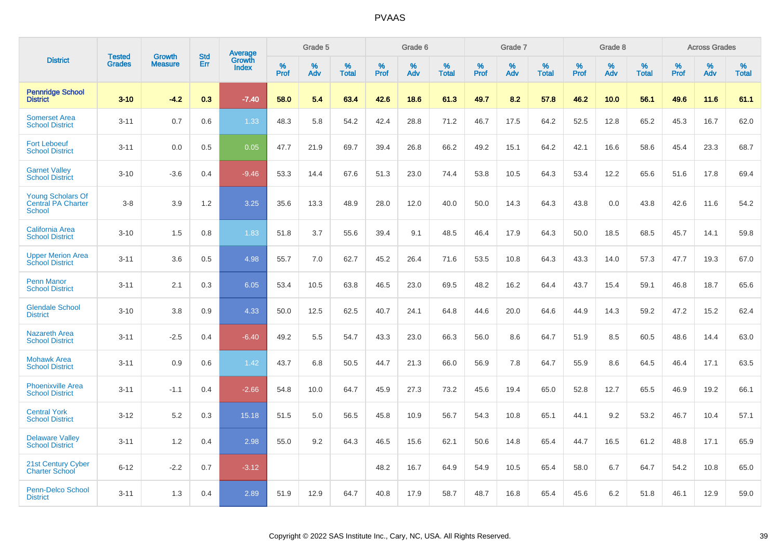|                                                                 |                                |                                 | <b>Std</b> | Average                |                     | Grade 5  |                      |                     | Grade 6     |                      |              | Grade 7     |                   |              | Grade 8     |                   |                     | <b>Across Grades</b> |                   |
|-----------------------------------------------------------------|--------------------------------|---------------------------------|------------|------------------------|---------------------|----------|----------------------|---------------------|-------------|----------------------|--------------|-------------|-------------------|--------------|-------------|-------------------|---------------------|----------------------|-------------------|
| <b>District</b>                                                 | <b>Tested</b><br><b>Grades</b> | <b>Growth</b><br><b>Measure</b> | Err        | Growth<br><b>Index</b> | $\%$<br><b>Prof</b> | %<br>Adv | $\%$<br><b>Total</b> | $\%$<br><b>Prof</b> | $\%$<br>Adv | $\%$<br><b>Total</b> | $\%$<br>Prof | $\%$<br>Adv | %<br><b>Total</b> | $\%$<br>Prof | $\%$<br>Adv | %<br><b>Total</b> | $\%$<br><b>Prof</b> | $\%$<br>Adv          | %<br><b>Total</b> |
| <b>Pennridge School</b><br><b>District</b>                      | $3 - 10$                       | $-4.2$                          | 0.3        | $-7.40$                | 58.0                | 5.4      | 63.4                 | 42.6                | 18.6        | 61.3                 | 49.7         | 8.2         | 57.8              | 46.2         | 10.0        | 56.1              | 49.6                | 11.6                 | 61.1              |
| <b>Somerset Area</b><br><b>School District</b>                  | $3 - 11$                       | 0.7                             | 0.6        | 1.33                   | 48.3                | 5.8      | 54.2                 | 42.4                | 28.8        | 71.2                 | 46.7         | 17.5        | 64.2              | 52.5         | 12.8        | 65.2              | 45.3                | 16.7                 | 62.0              |
| <b>Fort Leboeuf</b><br><b>School District</b>                   | $3 - 11$                       | 0.0                             | 0.5        | 0.05                   | 47.7                | 21.9     | 69.7                 | 39.4                | 26.8        | 66.2                 | 49.2         | 15.1        | 64.2              | 42.1         | 16.6        | 58.6              | 45.4                | 23.3                 | 68.7              |
| <b>Garnet Valley</b><br><b>School District</b>                  | $3 - 10$                       | $-3.6$                          | 0.4        | $-9.46$                | 53.3                | 14.4     | 67.6                 | 51.3                | 23.0        | 74.4                 | 53.8         | 10.5        | 64.3              | 53.4         | 12.2        | 65.6              | 51.6                | 17.8                 | 69.4              |
| <b>Young Scholars Of</b><br>Central PA Charter<br><b>School</b> | $3 - 8$                        | 3.9                             | 1.2        | 3.25                   | 35.6                | 13.3     | 48.9                 | 28.0                | 12.0        | 40.0                 | 50.0         | 14.3        | 64.3              | 43.8         | 0.0         | 43.8              | 42.6                | 11.6                 | 54.2              |
| <b>California Area</b><br><b>School District</b>                | $3 - 10$                       | 1.5                             | 0.8        | 1.83                   | 51.8                | 3.7      | 55.6                 | 39.4                | 9.1         | 48.5                 | 46.4         | 17.9        | 64.3              | 50.0         | 18.5        | 68.5              | 45.7                | 14.1                 | 59.8              |
| <b>Upper Merion Area</b><br><b>School District</b>              | $3 - 11$                       | 3.6                             | 0.5        | 4.98                   | 55.7                | 7.0      | 62.7                 | 45.2                | 26.4        | 71.6                 | 53.5         | 10.8        | 64.3              | 43.3         | 14.0        | 57.3              | 47.7                | 19.3                 | 67.0              |
| <b>Penn Manor</b><br><b>School District</b>                     | $3 - 11$                       | 2.1                             | 0.3        | 6.05                   | 53.4                | 10.5     | 63.8                 | 46.5                | 23.0        | 69.5                 | 48.2         | 16.2        | 64.4              | 43.7         | 15.4        | 59.1              | 46.8                | 18.7                 | 65.6              |
| <b>Glendale School</b><br><b>District</b>                       | $3 - 10$                       | 3.8                             | 0.9        | 4.33                   | 50.0                | 12.5     | 62.5                 | 40.7                | 24.1        | 64.8                 | 44.6         | 20.0        | 64.6              | 44.9         | 14.3        | 59.2              | 47.2                | 15.2                 | 62.4              |
| <b>Nazareth Area</b><br><b>School District</b>                  | $3 - 11$                       | $-2.5$                          | 0.4        | $-6.40$                | 49.2                | 5.5      | 54.7                 | 43.3                | 23.0        | 66.3                 | 56.0         | 8.6         | 64.7              | 51.9         | 8.5         | 60.5              | 48.6                | 14.4                 | 63.0              |
| <b>Mohawk Area</b><br><b>School District</b>                    | $3 - 11$                       | 0.9                             | 0.6        | 1.42                   | 43.7                | 6.8      | 50.5                 | 44.7                | 21.3        | 66.0                 | 56.9         | 7.8         | 64.7              | 55.9         | 8.6         | 64.5              | 46.4                | 17.1                 | 63.5              |
| <b>Phoenixville Area</b><br><b>School District</b>              | $3 - 11$                       | $-1.1$                          | 0.4        | $-2.66$                | 54.8                | 10.0     | 64.7                 | 45.9                | 27.3        | 73.2                 | 45.6         | 19.4        | 65.0              | 52.8         | 12.7        | 65.5              | 46.9                | 19.2                 | 66.1              |
| <b>Central York</b><br><b>School District</b>                   | $3 - 12$                       | 5.2                             | 0.3        | 15.18                  | 51.5                | 5.0      | 56.5                 | 45.8                | 10.9        | 56.7                 | 54.3         | 10.8        | 65.1              | 44.1         | 9.2         | 53.2              | 46.7                | 10.4                 | 57.1              |
| <b>Delaware Valley</b><br><b>School District</b>                | $3 - 11$                       | 1.2                             | 0.4        | 2.98                   | 55.0                | 9.2      | 64.3                 | 46.5                | 15.6        | 62.1                 | 50.6         | 14.8        | 65.4              | 44.7         | 16.5        | 61.2              | 48.8                | 17.1                 | 65.9              |
| 21st Century Cyber<br><b>Charter School</b>                     | $6 - 12$                       | $-2.2$                          | 0.7        | $-3.12$                |                     |          |                      | 48.2                | 16.7        | 64.9                 | 54.9         | 10.5        | 65.4              | 58.0         | 6.7         | 64.7              | 54.2                | 10.8                 | 65.0              |
| <b>Penn-Delco School</b><br><b>District</b>                     | $3 - 11$                       | 1.3                             | 0.4        | 2.89                   | 51.9                | 12.9     | 64.7                 | 40.8                | 17.9        | 58.7                 | 48.7         | 16.8        | 65.4              | 45.6         | 6.2         | 51.8              | 46.1                | 12.9                 | 59.0              |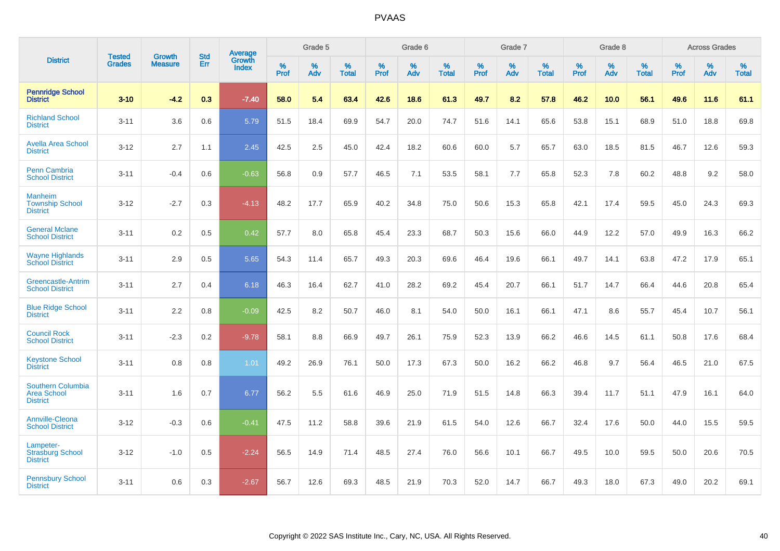|                                                                   | <b>Tested</b> | <b>Growth</b>  | <b>Std</b> | <b>Average</b>         |           | Grade 5  |                   |           | Grade 6  |                   |           | Grade 7  |                   |           | Grade 8  |                   |           | <b>Across Grades</b> |                   |
|-------------------------------------------------------------------|---------------|----------------|------------|------------------------|-----------|----------|-------------------|-----------|----------|-------------------|-----------|----------|-------------------|-----------|----------|-------------------|-----------|----------------------|-------------------|
| <b>District</b>                                                   | <b>Grades</b> | <b>Measure</b> | Err        | Growth<br><b>Index</b> | %<br>Prof | %<br>Adv | %<br><b>Total</b> | %<br>Prof | %<br>Adv | %<br><b>Total</b> | %<br>Prof | %<br>Adv | %<br><b>Total</b> | %<br>Prof | %<br>Adv | %<br><b>Total</b> | %<br>Prof | %<br>Adv             | %<br><b>Total</b> |
| <b>Pennridge School</b><br><b>District</b>                        | $3 - 10$      | $-4.2$         | 0.3        | $-7.40$                | 58.0      | 5.4      | 63.4              | 42.6      | 18.6     | 61.3              | 49.7      | 8.2      | 57.8              | 46.2      | 10.0     | 56.1              | 49.6      | 11.6                 | 61.1              |
| <b>Richland School</b><br><b>District</b>                         | $3 - 11$      | 3.6            | 0.6        | 5.79                   | 51.5      | 18.4     | 69.9              | 54.7      | 20.0     | 74.7              | 51.6      | 14.1     | 65.6              | 53.8      | 15.1     | 68.9              | 51.0      | 18.8                 | 69.8              |
| <b>Avella Area School</b><br><b>District</b>                      | $3 - 12$      | 2.7            | 1.1        | 2.45                   | 42.5      | 2.5      | 45.0              | 42.4      | 18.2     | 60.6              | 60.0      | 5.7      | 65.7              | 63.0      | 18.5     | 81.5              | 46.7      | 12.6                 | 59.3              |
| Penn Cambria<br><b>School District</b>                            | $3 - 11$      | $-0.4$         | 0.6        | $-0.63$                | 56.8      | 0.9      | 57.7              | 46.5      | 7.1      | 53.5              | 58.1      | 7.7      | 65.8              | 52.3      | 7.8      | 60.2              | 48.8      | 9.2                  | 58.0              |
| <b>Manheim</b><br><b>Township School</b><br><b>District</b>       | $3 - 12$      | $-2.7$         | 0.3        | $-4.13$                | 48.2      | 17.7     | 65.9              | 40.2      | 34.8     | 75.0              | 50.6      | 15.3     | 65.8              | 42.1      | 17.4     | 59.5              | 45.0      | 24.3                 | 69.3              |
| <b>General Mclane</b><br><b>School District</b>                   | $3 - 11$      | 0.2            | 0.5        | 0.42                   | 57.7      | 8.0      | 65.8              | 45.4      | 23.3     | 68.7              | 50.3      | 15.6     | 66.0              | 44.9      | 12.2     | 57.0              | 49.9      | 16.3                 | 66.2              |
| <b>Wayne Highlands</b><br><b>School District</b>                  | $3 - 11$      | 2.9            | 0.5        | 5.65                   | 54.3      | 11.4     | 65.7              | 49.3      | 20.3     | 69.6              | 46.4      | 19.6     | 66.1              | 49.7      | 14.1     | 63.8              | 47.2      | 17.9                 | 65.1              |
| <b>Greencastle-Antrim</b><br><b>School District</b>               | $3 - 11$      | 2.7            | 0.4        | 6.18                   | 46.3      | 16.4     | 62.7              | 41.0      | 28.2     | 69.2              | 45.4      | 20.7     | 66.1              | 51.7      | 14.7     | 66.4              | 44.6      | 20.8                 | 65.4              |
| <b>Blue Ridge School</b><br><b>District</b>                       | $3 - 11$      | 2.2            | 0.8        | $-0.09$                | 42.5      | 8.2      | 50.7              | 46.0      | 8.1      | 54.0              | 50.0      | 16.1     | 66.1              | 47.1      | 8.6      | 55.7              | 45.4      | 10.7                 | 56.1              |
| <b>Council Rock</b><br><b>School District</b>                     | $3 - 11$      | $-2.3$         | 0.2        | $-9.78$                | 58.1      | 8.8      | 66.9              | 49.7      | 26.1     | 75.9              | 52.3      | 13.9     | 66.2              | 46.6      | 14.5     | 61.1              | 50.8      | 17.6                 | 68.4              |
| <b>Keystone School</b><br><b>District</b>                         | $3 - 11$      | 0.8            | 0.8        | 1.01                   | 49.2      | 26.9     | 76.1              | 50.0      | 17.3     | 67.3              | 50.0      | 16.2     | 66.2              | 46.8      | 9.7      | 56.4              | 46.5      | 21.0                 | 67.5              |
| <b>Southern Columbia</b><br><b>Area School</b><br><b>District</b> | $3 - 11$      | 1.6            | 0.7        | 6.77                   | 56.2      | 5.5      | 61.6              | 46.9      | 25.0     | 71.9              | 51.5      | 14.8     | 66.3              | 39.4      | 11.7     | 51.1              | 47.9      | 16.1                 | 64.0              |
| <b>Annville-Cleona</b><br><b>School District</b>                  | $3 - 12$      | $-0.3$         | 0.6        | $-0.41$                | 47.5      | 11.2     | 58.8              | 39.6      | 21.9     | 61.5              | 54.0      | 12.6     | 66.7              | 32.4      | 17.6     | 50.0              | 44.0      | 15.5                 | 59.5              |
| Lampeter-<br><b>Strasburg School</b><br><b>District</b>           | $3 - 12$      | $-1.0$         | 0.5        | $-2.24$                | 56.5      | 14.9     | 71.4              | 48.5      | 27.4     | 76.0              | 56.6      | 10.1     | 66.7              | 49.5      | 10.0     | 59.5              | 50.0      | 20.6                 | 70.5              |
| <b>Pennsbury School</b><br><b>District</b>                        | $3 - 11$      | 0.6            | 0.3        | $-2.67$                | 56.7      | 12.6     | 69.3              | 48.5      | 21.9     | 70.3              | 52.0      | 14.7     | 66.7              | 49.3      | 18.0     | 67.3              | 49.0      | 20.2                 | 69.1              |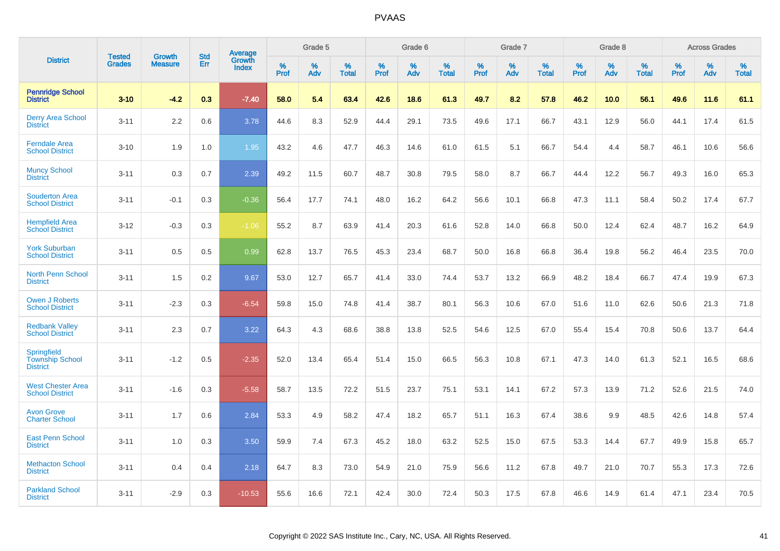|                                                          | <b>Tested</b> | <b>Growth</b>  | <b>Std</b> | Average                |              | Grade 5  |                   |              | Grade 6  |                   |              | Grade 7  |                   |              | Grade 8     |                   |              | <b>Across Grades</b> |                   |
|----------------------------------------------------------|---------------|----------------|------------|------------------------|--------------|----------|-------------------|--------------|----------|-------------------|--------------|----------|-------------------|--------------|-------------|-------------------|--------------|----------------------|-------------------|
| <b>District</b>                                          | <b>Grades</b> | <b>Measure</b> | Err        | Growth<br><b>Index</b> | $\%$<br>Prof | %<br>Adv | %<br><b>Total</b> | $\%$<br>Prof | %<br>Adv | %<br><b>Total</b> | $\%$<br>Prof | %<br>Adv | %<br><b>Total</b> | $\%$<br>Prof | $\%$<br>Adv | %<br><b>Total</b> | $\%$<br>Prof | $\%$<br>Adv          | %<br><b>Total</b> |
| <b>Pennridge School</b><br><b>District</b>               | $3 - 10$      | $-4.2$         | 0.3        | $-7.40$                | 58.0         | 5.4      | 63.4              | 42.6         | 18.6     | 61.3              | 49.7         | 8.2      | 57.8              | 46.2         | 10.0        | 56.1              | 49.6         | 11.6                 | 61.1              |
| <b>Derry Area School</b><br><b>District</b>              | $3 - 11$      | 2.2            | 0.6        | 3.78                   | 44.6         | 8.3      | 52.9              | 44.4         | 29.1     | 73.5              | 49.6         | 17.1     | 66.7              | 43.1         | 12.9        | 56.0              | 44.1         | 17.4                 | 61.5              |
| <b>Ferndale Area</b><br><b>School District</b>           | $3 - 10$      | 1.9            | 1.0        | 1.95                   | 43.2         | 4.6      | 47.7              | 46.3         | 14.6     | 61.0              | 61.5         | 5.1      | 66.7              | 54.4         | 4.4         | 58.7              | 46.1         | 10.6                 | 56.6              |
| <b>Muncy School</b><br><b>District</b>                   | $3 - 11$      | 0.3            | 0.7        | 2.39                   | 49.2         | 11.5     | 60.7              | 48.7         | 30.8     | 79.5              | 58.0         | 8.7      | 66.7              | 44.4         | 12.2        | 56.7              | 49.3         | 16.0                 | 65.3              |
| <b>Souderton Area</b><br><b>School District</b>          | $3 - 11$      | $-0.1$         | 0.3        | $-0.36$                | 56.4         | 17.7     | 74.1              | 48.0         | 16.2     | 64.2              | 56.6         | 10.1     | 66.8              | 47.3         | 11.1        | 58.4              | 50.2         | 17.4                 | 67.7              |
| <b>Hempfield Area</b><br><b>School District</b>          | $3 - 12$      | $-0.3$         | 0.3        | $-1.06$                | 55.2         | 8.7      | 63.9              | 41.4         | 20.3     | 61.6              | 52.8         | 14.0     | 66.8              | 50.0         | 12.4        | 62.4              | 48.7         | 16.2                 | 64.9              |
| <b>York Suburban</b><br><b>School District</b>           | $3 - 11$      | 0.5            | 0.5        | 0.99                   | 62.8         | 13.7     | 76.5              | 45.3         | 23.4     | 68.7              | 50.0         | 16.8     | 66.8              | 36.4         | 19.8        | 56.2              | 46.4         | 23.5                 | 70.0              |
| North Penn School<br><b>District</b>                     | $3 - 11$      | 1.5            | 0.2        | 9.67                   | 53.0         | 12.7     | 65.7              | 41.4         | 33.0     | 74.4              | 53.7         | 13.2     | 66.9              | 48.2         | 18.4        | 66.7              | 47.4         | 19.9                 | 67.3              |
| <b>Owen J Roberts</b><br><b>School District</b>          | $3 - 11$      | $-2.3$         | 0.3        | $-6.54$                | 59.8         | 15.0     | 74.8              | 41.4         | 38.7     | 80.1              | 56.3         | 10.6     | 67.0              | 51.6         | 11.0        | 62.6              | 50.6         | 21.3                 | 71.8              |
| <b>Redbank Valley</b><br><b>School District</b>          | $3 - 11$      | 2.3            | 0.7        | 3.22                   | 64.3         | 4.3      | 68.6              | 38.8         | 13.8     | 52.5              | 54.6         | 12.5     | 67.0              | 55.4         | 15.4        | 70.8              | 50.6         | 13.7                 | 64.4              |
| Springfield<br><b>Township School</b><br><b>District</b> | $3 - 11$      | $-1.2$         | 0.5        | $-2.35$                | 52.0         | 13.4     | 65.4              | 51.4         | 15.0     | 66.5              | 56.3         | 10.8     | 67.1              | 47.3         | 14.0        | 61.3              | 52.1         | 16.5                 | 68.6              |
| <b>West Chester Area</b><br><b>School District</b>       | $3 - 11$      | $-1.6$         | 0.3        | $-5.58$                | 58.7         | 13.5     | 72.2              | 51.5         | 23.7     | 75.1              | 53.1         | 14.1     | 67.2              | 57.3         | 13.9        | 71.2              | 52.6         | 21.5                 | 74.0              |
| <b>Avon Grove</b><br><b>Charter School</b>               | $3 - 11$      | 1.7            | 0.6        | 2.84                   | 53.3         | 4.9      | 58.2              | 47.4         | 18.2     | 65.7              | 51.1         | 16.3     | 67.4              | 38.6         | 9.9         | 48.5              | 42.6         | 14.8                 | 57.4              |
| <b>East Penn School</b><br><b>District</b>               | $3 - 11$      | 1.0            | 0.3        | 3.50                   | 59.9         | 7.4      | 67.3              | 45.2         | 18.0     | 63.2              | 52.5         | 15.0     | 67.5              | 53.3         | 14.4        | 67.7              | 49.9         | 15.8                 | 65.7              |
| <b>Methacton School</b><br><b>District</b>               | $3 - 11$      | 0.4            | 0.4        | 2.18                   | 64.7         | 8.3      | 73.0              | 54.9         | 21.0     | 75.9              | 56.6         | 11.2     | 67.8              | 49.7         | 21.0        | 70.7              | 55.3         | 17.3                 | 72.6              |
| <b>Parkland School</b><br><b>District</b>                | $3 - 11$      | $-2.9$         | 0.3        | $-10.53$               | 55.6         | 16.6     | 72.1              | 42.4         | 30.0     | 72.4              | 50.3         | 17.5     | 67.8              | 46.6         | 14.9        | 61.4              | 47.1         | 23.4                 | 70.5              |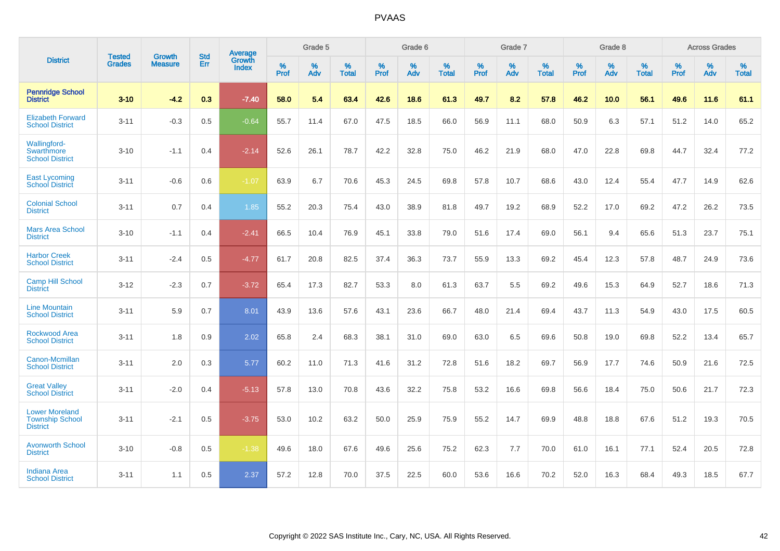|                                                                    | <b>Tested</b> | <b>Growth</b>  | <b>Std</b> | <b>Average</b>         |           | Grade 5  |                   |           | Grade 6  |                   |                  | Grade 7  |                   |           | Grade 8  |                   |           | <b>Across Grades</b> |                   |
|--------------------------------------------------------------------|---------------|----------------|------------|------------------------|-----------|----------|-------------------|-----------|----------|-------------------|------------------|----------|-------------------|-----------|----------|-------------------|-----------|----------------------|-------------------|
| <b>District</b>                                                    | <b>Grades</b> | <b>Measure</b> | Err        | Growth<br><b>Index</b> | %<br>Prof | %<br>Adv | %<br><b>Total</b> | %<br>Prof | %<br>Adv | %<br><b>Total</b> | %<br><b>Prof</b> | %<br>Adv | %<br><b>Total</b> | %<br>Prof | %<br>Adv | %<br><b>Total</b> | %<br>Prof | %<br>Adv             | %<br><b>Total</b> |
| <b>Pennridge School</b><br><b>District</b>                         | $3 - 10$      | $-4.2$         | 0.3        | $-7.40$                | 58.0      | 5.4      | 63.4              | 42.6      | 18.6     | 61.3              | 49.7             | 8.2      | 57.8              | 46.2      | 10.0     | 56.1              | 49.6      | 11.6                 | 61.1              |
| <b>Elizabeth Forward</b><br><b>School District</b>                 | $3 - 11$      | $-0.3$         | 0.5        | $-0.64$                | 55.7      | 11.4     | 67.0              | 47.5      | 18.5     | 66.0              | 56.9             | 11.1     | 68.0              | 50.9      | 6.3      | 57.1              | 51.2      | 14.0                 | 65.2              |
| Wallingford-<br><b>Swarthmore</b><br><b>School District</b>        | $3 - 10$      | $-1.1$         | 0.4        | $-2.14$                | 52.6      | 26.1     | 78.7              | 42.2      | 32.8     | 75.0              | 46.2             | 21.9     | 68.0              | 47.0      | 22.8     | 69.8              | 44.7      | 32.4                 | 77.2              |
| <b>East Lycoming</b><br><b>School District</b>                     | $3 - 11$      | $-0.6$         | 0.6        | $-1.07$                | 63.9      | 6.7      | 70.6              | 45.3      | 24.5     | 69.8              | 57.8             | 10.7     | 68.6              | 43.0      | 12.4     | 55.4              | 47.7      | 14.9                 | 62.6              |
| <b>Colonial School</b><br><b>District</b>                          | $3 - 11$      | 0.7            | 0.4        | 1.85                   | 55.2      | 20.3     | 75.4              | 43.0      | 38.9     | 81.8              | 49.7             | 19.2     | 68.9              | 52.2      | 17.0     | 69.2              | 47.2      | 26.2                 | 73.5              |
| <b>Mars Area School</b><br><b>District</b>                         | $3 - 10$      | $-1.1$         | 0.4        | $-2.41$                | 66.5      | 10.4     | 76.9              | 45.1      | 33.8     | 79.0              | 51.6             | 17.4     | 69.0              | 56.1      | 9.4      | 65.6              | 51.3      | 23.7                 | 75.1              |
| <b>Harbor Creek</b><br><b>School District</b>                      | $3 - 11$      | $-2.4$         | 0.5        | $-4.77$                | 61.7      | 20.8     | 82.5              | 37.4      | 36.3     | 73.7              | 55.9             | 13.3     | 69.2              | 45.4      | 12.3     | 57.8              | 48.7      | 24.9                 | 73.6              |
| <b>Camp Hill School</b><br><b>District</b>                         | $3 - 12$      | $-2.3$         | 0.7        | $-3.72$                | 65.4      | 17.3     | 82.7              | 53.3      | 8.0      | 61.3              | 63.7             | 5.5      | 69.2              | 49.6      | 15.3     | 64.9              | 52.7      | 18.6                 | 71.3              |
| <b>Line Mountain</b><br><b>School District</b>                     | $3 - 11$      | 5.9            | 0.7        | 8.01                   | 43.9      | 13.6     | 57.6              | 43.1      | 23.6     | 66.7              | 48.0             | 21.4     | 69.4              | 43.7      | 11.3     | 54.9              | 43.0      | 17.5                 | 60.5              |
| <b>Rockwood Area</b><br><b>School District</b>                     | $3 - 11$      | 1.8            | 0.9        | 2.02                   | 65.8      | 2.4      | 68.3              | 38.1      | 31.0     | 69.0              | 63.0             | 6.5      | 69.6              | 50.8      | 19.0     | 69.8              | 52.2      | 13.4                 | 65.7              |
| Canon-Mcmillan<br><b>School District</b>                           | $3 - 11$      | 2.0            | 0.3        | 5.77                   | 60.2      | 11.0     | 71.3              | 41.6      | 31.2     | 72.8              | 51.6             | 18.2     | 69.7              | 56.9      | 17.7     | 74.6              | 50.9      | 21.6                 | 72.5              |
| <b>Great Valley</b><br><b>School District</b>                      | $3 - 11$      | $-2.0$         | 0.4        | $-5.13$                | 57.8      | 13.0     | 70.8              | 43.6      | 32.2     | 75.8              | 53.2             | 16.6     | 69.8              | 56.6      | 18.4     | 75.0              | 50.6      | 21.7                 | 72.3              |
| <b>Lower Moreland</b><br><b>Township School</b><br><b>District</b> | $3 - 11$      | $-2.1$         | 0.5        | $-3.75$                | 53.0      | 10.2     | 63.2              | 50.0      | 25.9     | 75.9              | 55.2             | 14.7     | 69.9              | 48.8      | 18.8     | 67.6              | 51.2      | 19.3                 | 70.5              |
| <b>Avonworth School</b><br><b>District</b>                         | $3 - 10$      | $-0.8$         | 0.5        | $-1.38$                | 49.6      | 18.0     | 67.6              | 49.6      | 25.6     | 75.2              | 62.3             | 7.7      | 70.0              | 61.0      | 16.1     | 77.1              | 52.4      | 20.5                 | 72.8              |
| <b>Indiana Area</b><br><b>School District</b>                      | $3 - 11$      | 1.1            | 0.5        | 2.37                   | 57.2      | 12.8     | 70.0              | 37.5      | 22.5     | 60.0              | 53.6             | 16.6     | 70.2              | 52.0      | 16.3     | 68.4              | 49.3      | 18.5                 | 67.7              |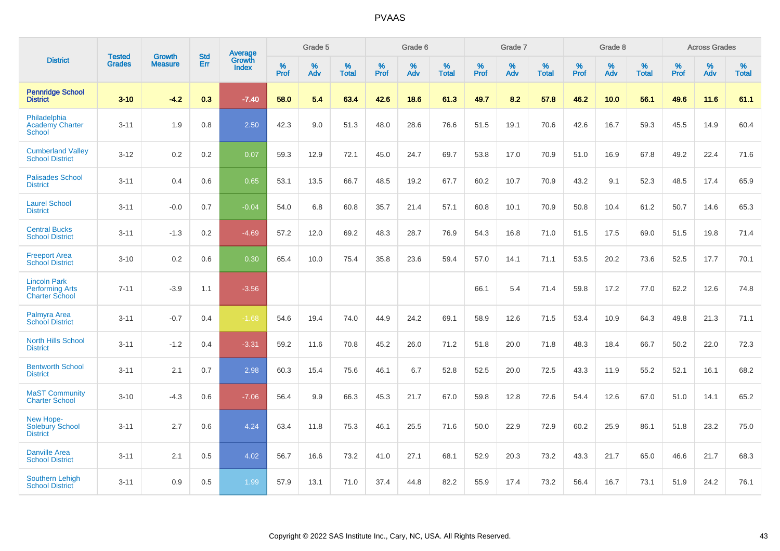|                                                                        | <b>Tested</b> | <b>Growth</b>  | <b>Std</b> | Average                       |           | Grade 5  |                   |           | Grade 6  |                   |           | Grade 7  |                   |           | Grade 8  |                   |           | <b>Across Grades</b> |                   |
|------------------------------------------------------------------------|---------------|----------------|------------|-------------------------------|-----------|----------|-------------------|-----------|----------|-------------------|-----------|----------|-------------------|-----------|----------|-------------------|-----------|----------------------|-------------------|
| <b>District</b>                                                        | <b>Grades</b> | <b>Measure</b> | <b>Err</b> | <b>Growth</b><br><b>Index</b> | %<br>Prof | %<br>Adv | %<br><b>Total</b> | %<br>Prof | %<br>Adv | %<br><b>Total</b> | %<br>Prof | %<br>Adv | %<br><b>Total</b> | %<br>Prof | %<br>Adv | %<br><b>Total</b> | %<br>Prof | %<br>Adv             | %<br><b>Total</b> |
| <b>Pennridge School</b><br><b>District</b>                             | $3 - 10$      | $-4.2$         | 0.3        | $-7.40$                       | 58.0      | 5.4      | 63.4              | 42.6      | 18.6     | 61.3              | 49.7      | 8.2      | 57.8              | 46.2      | 10.0     | 56.1              | 49.6      | 11.6                 | 61.1              |
| Philadelphia<br><b>Academy Charter</b><br><b>School</b>                | $3 - 11$      | 1.9            | 0.8        | 2.50                          | 42.3      | 9.0      | 51.3              | 48.0      | 28.6     | 76.6              | 51.5      | 19.1     | 70.6              | 42.6      | 16.7     | 59.3              | 45.5      | 14.9                 | 60.4              |
| <b>Cumberland Valley</b><br><b>School District</b>                     | $3 - 12$      | 0.2            | 0.2        | 0.07                          | 59.3      | 12.9     | 72.1              | 45.0      | 24.7     | 69.7              | 53.8      | 17.0     | 70.9              | 51.0      | 16.9     | 67.8              | 49.2      | 22.4                 | 71.6              |
| <b>Palisades School</b><br><b>District</b>                             | $3 - 11$      | 0.4            | 0.6        | 0.65                          | 53.1      | 13.5     | 66.7              | 48.5      | 19.2     | 67.7              | 60.2      | 10.7     | 70.9              | 43.2      | 9.1      | 52.3              | 48.5      | 17.4                 | 65.9              |
| <b>Laurel School</b><br><b>District</b>                                | $3 - 11$      | $-0.0$         | 0.7        | $-0.04$                       | 54.0      | 6.8      | 60.8              | 35.7      | 21.4     | 57.1              | 60.8      | 10.1     | 70.9              | 50.8      | 10.4     | 61.2              | 50.7      | 14.6                 | 65.3              |
| <b>Central Bucks</b><br><b>School District</b>                         | $3 - 11$      | $-1.3$         | 0.2        | $-4.69$                       | 57.2      | 12.0     | 69.2              | 48.3      | 28.7     | 76.9              | 54.3      | 16.8     | 71.0              | 51.5      | 17.5     | 69.0              | 51.5      | 19.8                 | 71.4              |
| <b>Freeport Area</b><br><b>School District</b>                         | $3 - 10$      | 0.2            | 0.6        | 0.30                          | 65.4      | 10.0     | 75.4              | 35.8      | 23.6     | 59.4              | 57.0      | 14.1     | 71.1              | 53.5      | 20.2     | 73.6              | 52.5      | 17.7                 | 70.1              |
| <b>Lincoln Park</b><br><b>Performing Arts</b><br><b>Charter School</b> | $7 - 11$      | $-3.9$         | 1.1        | $-3.56$                       |           |          |                   |           |          |                   | 66.1      | 5.4      | 71.4              | 59.8      | 17.2     | 77.0              | 62.2      | 12.6                 | 74.8              |
| Palmyra Area<br><b>School District</b>                                 | $3 - 11$      | $-0.7$         | 0.4        | $-1.68$                       | 54.6      | 19.4     | 74.0              | 44.9      | 24.2     | 69.1              | 58.9      | 12.6     | 71.5              | 53.4      | 10.9     | 64.3              | 49.8      | 21.3                 | 71.1              |
| <b>North Hills School</b><br><b>District</b>                           | $3 - 11$      | $-1.2$         | 0.4        | $-3.31$                       | 59.2      | 11.6     | 70.8              | 45.2      | 26.0     | 71.2              | 51.8      | 20.0     | 71.8              | 48.3      | 18.4     | 66.7              | 50.2      | 22.0                 | 72.3              |
| <b>Bentworth School</b><br><b>District</b>                             | $3 - 11$      | 2.1            | 0.7        | 2.98                          | 60.3      | 15.4     | 75.6              | 46.1      | 6.7      | 52.8              | 52.5      | 20.0     | 72.5              | 43.3      | 11.9     | 55.2              | 52.1      | 16.1                 | 68.2              |
| <b>MaST Community</b><br><b>Charter School</b>                         | $3 - 10$      | $-4.3$         | 0.6        | $-7.06$                       | 56.4      | 9.9      | 66.3              | 45.3      | 21.7     | 67.0              | 59.8      | 12.8     | 72.6              | 54.4      | 12.6     | 67.0              | 51.0      | 14.1                 | 65.2              |
| New Hope-<br><b>Solebury School</b><br><b>District</b>                 | $3 - 11$      | 2.7            | 0.6        | 4.24                          | 63.4      | 11.8     | 75.3              | 46.1      | 25.5     | 71.6              | 50.0      | 22.9     | 72.9              | 60.2      | 25.9     | 86.1              | 51.8      | 23.2                 | 75.0              |
| <b>Danville Area</b><br><b>School District</b>                         | $3 - 11$      | 2.1            | 0.5        | 4.02                          | 56.7      | 16.6     | 73.2              | 41.0      | 27.1     | 68.1              | 52.9      | 20.3     | 73.2              | 43.3      | 21.7     | 65.0              | 46.6      | 21.7                 | 68.3              |
| <b>Southern Lehigh</b><br><b>School District</b>                       | $3 - 11$      | 0.9            | 0.5        | 1.99                          | 57.9      | 13.1     | 71.0              | 37.4      | 44.8     | 82.2              | 55.9      | 17.4     | 73.2              | 56.4      | 16.7     | 73.1              | 51.9      | 24.2                 | 76.1              |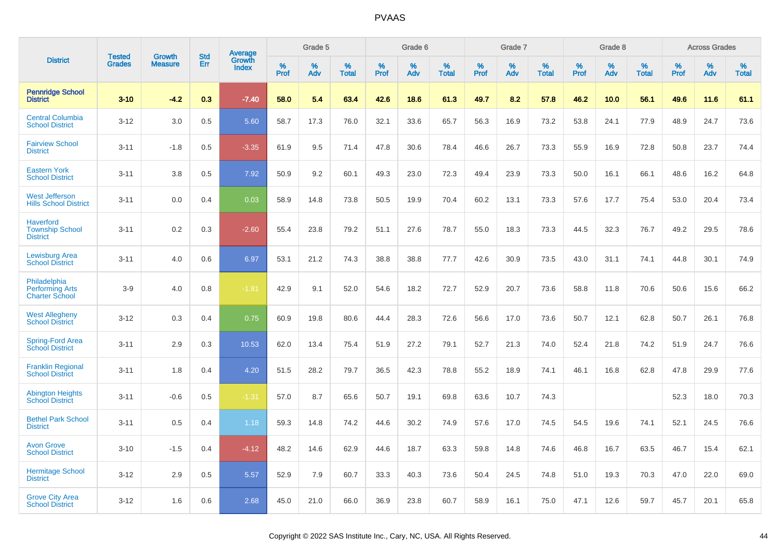|                                                                 | <b>Tested</b> | <b>Growth</b>  | <b>Std</b> | Average                |              | Grade 5  |                   |           | Grade 6  |                   |           | Grade 7  |                   |           | Grade 8  |                   |           | <b>Across Grades</b> |                   |
|-----------------------------------------------------------------|---------------|----------------|------------|------------------------|--------------|----------|-------------------|-----------|----------|-------------------|-----------|----------|-------------------|-----------|----------|-------------------|-----------|----------------------|-------------------|
| <b>District</b>                                                 | <b>Grades</b> | <b>Measure</b> | Err        | Growth<br><b>Index</b> | $\%$<br>Prof | %<br>Adv | %<br><b>Total</b> | %<br>Prof | %<br>Adv | %<br><b>Total</b> | %<br>Prof | %<br>Adv | %<br><b>Total</b> | %<br>Prof | %<br>Adv | %<br><b>Total</b> | %<br>Prof | %<br>Adv             | %<br><b>Total</b> |
| <b>Pennridge School</b><br><b>District</b>                      | $3 - 10$      | $-4.2$         | 0.3        | $-7.40$                | 58.0         | 5.4      | 63.4              | 42.6      | 18.6     | 61.3              | 49.7      | 8.2      | 57.8              | 46.2      | 10.0     | 56.1              | 49.6      | 11.6                 | 61.1              |
| <b>Central Columbia</b><br><b>School District</b>               | $3 - 12$      | 3.0            | 0.5        | 5.60                   | 58.7         | 17.3     | 76.0              | 32.1      | 33.6     | 65.7              | 56.3      | 16.9     | 73.2              | 53.8      | 24.1     | 77.9              | 48.9      | 24.7                 | 73.6              |
| <b>Fairview School</b><br><b>District</b>                       | $3 - 11$      | $-1.8$         | 0.5        | $-3.35$                | 61.9         | 9.5      | 71.4              | 47.8      | 30.6     | 78.4              | 46.6      | 26.7     | 73.3              | 55.9      | 16.9     | 72.8              | 50.8      | 23.7                 | 74.4              |
| <b>Eastern York</b><br><b>School District</b>                   | $3 - 11$      | 3.8            | 0.5        | 7.92                   | 50.9         | 9.2      | 60.1              | 49.3      | 23.0     | 72.3              | 49.4      | 23.9     | 73.3              | 50.0      | 16.1     | 66.1              | 48.6      | 16.2                 | 64.8              |
| <b>West Jefferson</b><br><b>Hills School District</b>           | $3 - 11$      | 0.0            | 0.4        | 0.03                   | 58.9         | 14.8     | 73.8              | 50.5      | 19.9     | 70.4              | 60.2      | 13.1     | 73.3              | 57.6      | 17.7     | 75.4              | 53.0      | 20.4                 | 73.4              |
| <b>Haverford</b><br><b>Township School</b><br><b>District</b>   | $3 - 11$      | 0.2            | 0.3        | $-2.60$                | 55.4         | 23.8     | 79.2              | 51.1      | 27.6     | 78.7              | 55.0      | 18.3     | 73.3              | 44.5      | 32.3     | 76.7              | 49.2      | 29.5                 | 78.6              |
| <b>Lewisburg Area</b><br><b>School District</b>                 | $3 - 11$      | 4.0            | 0.6        | 6.97                   | 53.1         | 21.2     | 74.3              | 38.8      | 38.8     | 77.7              | 42.6      | 30.9     | 73.5              | 43.0      | 31.1     | 74.1              | 44.8      | 30.1                 | 74.9              |
| Philadelphia<br><b>Performing Arts</b><br><b>Charter School</b> | $3-9$         | 4.0            | 0.8        | $-1.81$                | 42.9         | 9.1      | 52.0              | 54.6      | 18.2     | 72.7              | 52.9      | 20.7     | 73.6              | 58.8      | 11.8     | 70.6              | 50.6      | 15.6                 | 66.2              |
| <b>West Allegheny</b><br><b>School District</b>                 | $3 - 12$      | 0.3            | 0.4        | 0.75                   | 60.9         | 19.8     | 80.6              | 44.4      | 28.3     | 72.6              | 56.6      | 17.0     | 73.6              | 50.7      | 12.1     | 62.8              | 50.7      | 26.1                 | 76.8              |
| <b>Spring-Ford Area</b><br><b>School District</b>               | $3 - 11$      | 2.9            | 0.3        | 10.53                  | 62.0         | 13.4     | 75.4              | 51.9      | 27.2     | 79.1              | 52.7      | 21.3     | 74.0              | 52.4      | 21.8     | 74.2              | 51.9      | 24.7                 | 76.6              |
| <b>Franklin Regional</b><br><b>School District</b>              | $3 - 11$      | 1.8            | 0.4        | 4.20                   | 51.5         | 28.2     | 79.7              | 36.5      | 42.3     | 78.8              | 55.2      | 18.9     | 74.1              | 46.1      | 16.8     | 62.8              | 47.8      | 29.9                 | 77.6              |
| <b>Abington Heights</b><br><b>School District</b>               | $3 - 11$      | $-0.6$         | 0.5        | $-1.31$                | 57.0         | 8.7      | 65.6              | 50.7      | 19.1     | 69.8              | 63.6      | 10.7     | 74.3              |           |          |                   | 52.3      | 18.0                 | 70.3              |
| <b>Bethel Park School</b><br><b>District</b>                    | $3 - 11$      | 0.5            | 0.4        | 1.18                   | 59.3         | 14.8     | 74.2              | 44.6      | 30.2     | 74.9              | 57.6      | 17.0     | 74.5              | 54.5      | 19.6     | 74.1              | 52.1      | 24.5                 | 76.6              |
| <b>Avon Grove</b><br><b>School District</b>                     | $3 - 10$      | $-1.5$         | 0.4        | $-4.12$                | 48.2         | 14.6     | 62.9              | 44.6      | 18.7     | 63.3              | 59.8      | 14.8     | 74.6              | 46.8      | 16.7     | 63.5              | 46.7      | 15.4                 | 62.1              |
| <b>Hermitage School</b><br><b>District</b>                      | $3 - 12$      | 2.9            | 0.5        | 5.57                   | 52.9         | 7.9      | 60.7              | 33.3      | 40.3     | 73.6              | 50.4      | 24.5     | 74.8              | 51.0      | 19.3     | 70.3              | 47.0      | 22.0                 | 69.0              |
| <b>Grove City Area</b><br><b>School District</b>                | $3 - 12$      | 1.6            | 0.6        | 2.68                   | 45.0         | 21.0     | 66.0              | 36.9      | 23.8     | 60.7              | 58.9      | 16.1     | 75.0              | 47.1      | 12.6     | 59.7              | 45.7      | 20.1                 | 65.8              |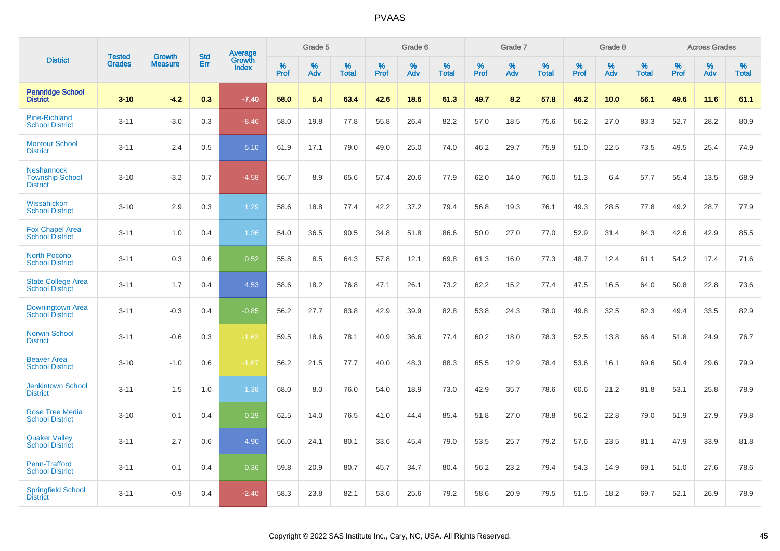|                                                                | <b>Tested</b> | <b>Growth</b>  | <b>Std</b> | Average                |                     | Grade 5  |                      |                     | Grade 6     |                      |              | Grade 7     |                   |              | Grade 8     |                   |              | <b>Across Grades</b> |                   |
|----------------------------------------------------------------|---------------|----------------|------------|------------------------|---------------------|----------|----------------------|---------------------|-------------|----------------------|--------------|-------------|-------------------|--------------|-------------|-------------------|--------------|----------------------|-------------------|
| <b>District</b>                                                | <b>Grades</b> | <b>Measure</b> | Err        | Growth<br><b>Index</b> | $\%$<br><b>Prof</b> | %<br>Adv | $\%$<br><b>Total</b> | $\%$<br><b>Prof</b> | $\%$<br>Adv | $\%$<br><b>Total</b> | $\%$<br>Prof | $\%$<br>Adv | %<br><b>Total</b> | $\%$<br>Prof | $\%$<br>Adv | %<br><b>Total</b> | $\%$<br>Prof | $\%$<br>Adv          | %<br><b>Total</b> |
| <b>Pennridge School</b><br><b>District</b>                     | $3 - 10$      | $-4.2$         | 0.3        | $-7.40$                | 58.0                | 5.4      | 63.4                 | 42.6                | 18.6        | 61.3                 | 49.7         | 8.2         | 57.8              | 46.2         | 10.0        | 56.1              | 49.6         | 11.6                 | 61.1              |
| <b>Pine-Richland</b><br><b>School District</b>                 | $3 - 11$      | $-3.0$         | 0.3        | $-8.46$                | 58.0                | 19.8     | 77.8                 | 55.8                | 26.4        | 82.2                 | 57.0         | 18.5        | 75.6              | 56.2         | 27.0        | 83.3              | 52.7         | 28.2                 | 80.9              |
| <b>Montour School</b><br><b>District</b>                       | $3 - 11$      | 2.4            | 0.5        | 5.10                   | 61.9                | 17.1     | 79.0                 | 49.0                | 25.0        | 74.0                 | 46.2         | 29.7        | 75.9              | 51.0         | 22.5        | 73.5              | 49.5         | 25.4                 | 74.9              |
| <b>Neshannock</b><br><b>Township School</b><br><b>District</b> | $3 - 10$      | $-3.2$         | 0.7        | $-4.58$                | 56.7                | 8.9      | 65.6                 | 57.4                | 20.6        | 77.9                 | 62.0         | 14.0        | 76.0              | 51.3         | 6.4         | 57.7              | 55.4         | 13.5                 | 68.9              |
| Wissahickon<br><b>School District</b>                          | $3 - 10$      | 2.9            | 0.3        | 1.29                   | 58.6                | 18.8     | 77.4                 | 42.2                | 37.2        | 79.4                 | 56.8         | 19.3        | 76.1              | 49.3         | 28.5        | 77.8              | 49.2         | 28.7                 | 77.9              |
| <b>Fox Chapel Area</b><br><b>School District</b>               | $3 - 11$      | 1.0            | 0.4        | 1.36                   | 54.0                | 36.5     | 90.5                 | 34.8                | 51.8        | 86.6                 | 50.0         | 27.0        | 77.0              | 52.9         | 31.4        | 84.3              | 42.6         | 42.9                 | 85.5              |
| North Pocono<br><b>School District</b>                         | $3 - 11$      | 0.3            | 0.6        | 0.52                   | 55.8                | 8.5      | 64.3                 | 57.8                | 12.1        | 69.8                 | 61.3         | 16.0        | 77.3              | 48.7         | 12.4        | 61.1              | 54.2         | 17.4                 | 71.6              |
| <b>State College Area</b><br><b>School District</b>            | $3 - 11$      | 1.7            | 0.4        | 4.53                   | 58.6                | 18.2     | 76.8                 | 47.1                | 26.1        | 73.2                 | 62.2         | 15.2        | 77.4              | 47.5         | 16.5        | 64.0              | 50.8         | 22.8                 | 73.6              |
| Downingtown Area<br><b>School District</b>                     | $3 - 11$      | $-0.3$         | 0.4        | $-0.85$                | 56.2                | 27.7     | 83.8                 | 42.9                | 39.9        | 82.8                 | 53.8         | 24.3        | 78.0              | 49.8         | 32.5        | 82.3              | 49.4         | 33.5                 | 82.9              |
| <b>Norwin School</b><br><b>District</b>                        | $3 - 11$      | $-0.6$         | 0.3        | $-1.62$                | 59.5                | 18.6     | 78.1                 | 40.9                | 36.6        | 77.4                 | 60.2         | 18.0        | 78.3              | 52.5         | 13.8        | 66.4              | 51.8         | 24.9                 | 76.7              |
| <b>Beaver Area</b><br><b>School District</b>                   | $3 - 10$      | $-1.0$         | 0.6        | $-1.67$                | 56.2                | 21.5     | 77.7                 | 40.0                | 48.3        | 88.3                 | 65.5         | 12.9        | 78.4              | 53.6         | 16.1        | 69.6              | 50.4         | 29.6                 | 79.9              |
| <b>Jenkintown School</b><br><b>District</b>                    | $3 - 11$      | 1.5            | 1.0        | 1.38                   | 68.0                | 8.0      | 76.0                 | 54.0                | 18.9        | 73.0                 | 42.9         | 35.7        | 78.6              | 60.6         | 21.2        | 81.8              | 53.1         | 25.8                 | 78.9              |
| <b>Rose Tree Media</b><br><b>School District</b>               | $3 - 10$      | 0.1            | 0.4        | 0.29                   | 62.5                | 14.0     | 76.5                 | 41.0                | 44.4        | 85.4                 | 51.8         | 27.0        | 78.8              | 56.2         | 22.8        | 79.0              | 51.9         | 27.9                 | 79.8              |
| <b>Quaker Valley</b><br><b>School District</b>                 | $3 - 11$      | 2.7            | 0.6        | 4.90                   | 56.0                | 24.1     | 80.1                 | 33.6                | 45.4        | 79.0                 | 53.5         | 25.7        | 79.2              | 57.6         | 23.5        | 81.1              | 47.9         | 33.9                 | 81.8              |
| Penn-Trafford<br><b>School District</b>                        | $3 - 11$      | 0.1            | 0.4        | 0.36                   | 59.8                | 20.9     | 80.7                 | 45.7                | 34.7        | 80.4                 | 56.2         | 23.2        | 79.4              | 54.3         | 14.9        | 69.1              | 51.0         | 27.6                 | 78.6              |
| <b>Springfield School</b><br><b>District</b>                   | $3 - 11$      | $-0.9$         | 0.4        | $-2.40$                | 58.3                | 23.8     | 82.1                 | 53.6                | 25.6        | 79.2                 | 58.6         | 20.9        | 79.5              | 51.5         | 18.2        | 69.7              | 52.1         | 26.9                 | 78.9              |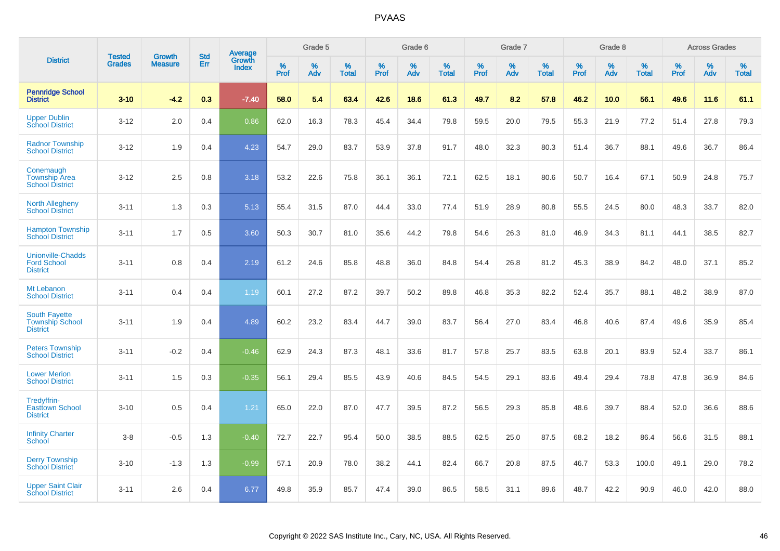|                                                                   | <b>Tested</b> | <b>Growth</b>  | <b>Std</b> | Average                |           | Grade 5  |                   |           | Grade 6  |                   |           | Grade 7  |                   |           | Grade 8  |                   |           | <b>Across Grades</b> |                   |
|-------------------------------------------------------------------|---------------|----------------|------------|------------------------|-----------|----------|-------------------|-----------|----------|-------------------|-----------|----------|-------------------|-----------|----------|-------------------|-----------|----------------------|-------------------|
| <b>District</b>                                                   | <b>Grades</b> | <b>Measure</b> | Err        | Growth<br><b>Index</b> | %<br>Prof | %<br>Adv | %<br><b>Total</b> | %<br>Prof | %<br>Adv | %<br><b>Total</b> | %<br>Prof | %<br>Adv | %<br><b>Total</b> | %<br>Prof | %<br>Adv | %<br><b>Total</b> | %<br>Prof | %<br>Adv             | %<br><b>Total</b> |
| <b>Pennridge School</b><br><b>District</b>                        | $3 - 10$      | $-4.2$         | 0.3        | $-7.40$                | 58.0      | 5.4      | 63.4              | 42.6      | 18.6     | 61.3              | 49.7      | 8.2      | 57.8              | 46.2      | 10.0     | 56.1              | 49.6      | 11.6                 | 61.1              |
| <b>Upper Dublin</b><br><b>School District</b>                     | $3 - 12$      | 2.0            | 0.4        | 0.86                   | 62.0      | 16.3     | 78.3              | 45.4      | 34.4     | 79.8              | 59.5      | 20.0     | 79.5              | 55.3      | 21.9     | 77.2              | 51.4      | 27.8                 | 79.3              |
| <b>Radnor Township</b><br><b>School District</b>                  | $3 - 12$      | 1.9            | 0.4        | 4.23                   | 54.7      | 29.0     | 83.7              | 53.9      | 37.8     | 91.7              | 48.0      | 32.3     | 80.3              | 51.4      | 36.7     | 88.1              | 49.6      | 36.7                 | 86.4              |
| Conemaugh<br><b>Township Area</b><br><b>School District</b>       | $3 - 12$      | 2.5            | 0.8        | 3.18                   | 53.2      | 22.6     | 75.8              | 36.1      | 36.1     | 72.1              | 62.5      | 18.1     | 80.6              | 50.7      | 16.4     | 67.1              | 50.9      | 24.8                 | 75.7              |
| <b>North Allegheny</b><br><b>School District</b>                  | $3 - 11$      | 1.3            | 0.3        | 5.13                   | 55.4      | 31.5     | 87.0              | 44.4      | 33.0     | 77.4              | 51.9      | 28.9     | 80.8              | 55.5      | 24.5     | 80.0              | 48.3      | 33.7                 | 82.0              |
| <b>Hampton Township</b><br><b>School District</b>                 | $3 - 11$      | 1.7            | 0.5        | 3.60                   | 50.3      | 30.7     | 81.0              | 35.6      | 44.2     | 79.8              | 54.6      | 26.3     | 81.0              | 46.9      | 34.3     | 81.1              | 44.1      | 38.5                 | 82.7              |
| <b>Unionville-Chadds</b><br><b>Ford School</b><br><b>District</b> | $3 - 11$      | 0.8            | 0.4        | 2.19                   | 61.2      | 24.6     | 85.8              | 48.8      | 36.0     | 84.8              | 54.4      | 26.8     | 81.2              | 45.3      | 38.9     | 84.2              | 48.0      | 37.1                 | 85.2              |
| Mt Lebanon<br><b>School District</b>                              | $3 - 11$      | 0.4            | 0.4        | 1.19                   | 60.1      | 27.2     | 87.2              | 39.7      | 50.2     | 89.8              | 46.8      | 35.3     | 82.2              | 52.4      | 35.7     | 88.1              | 48.2      | 38.9                 | 87.0              |
| <b>South Fayette</b><br><b>Township School</b><br><b>District</b> | $3 - 11$      | 1.9            | 0.4        | 4.89                   | 60.2      | 23.2     | 83.4              | 44.7      | 39.0     | 83.7              | 56.4      | 27.0     | 83.4              | 46.8      | 40.6     | 87.4              | 49.6      | 35.9                 | 85.4              |
| <b>Peters Township</b><br><b>School District</b>                  | $3 - 11$      | $-0.2$         | 0.4        | $-0.46$                | 62.9      | 24.3     | 87.3              | 48.1      | 33.6     | 81.7              | 57.8      | 25.7     | 83.5              | 63.8      | 20.1     | 83.9              | 52.4      | 33.7                 | 86.1              |
| <b>Lower Merion</b><br><b>School District</b>                     | $3 - 11$      | 1.5            | 0.3        | $-0.35$                | 56.1      | 29.4     | 85.5              | 43.9      | 40.6     | 84.5              | 54.5      | 29.1     | 83.6              | 49.4      | 29.4     | 78.8              | 47.8      | 36.9                 | 84.6              |
| Tredyffrin-<br><b>Easttown School</b><br><b>District</b>          | $3 - 10$      | 0.5            | 0.4        | 1.21                   | 65.0      | 22.0     | 87.0              | 47.7      | 39.5     | 87.2              | 56.5      | 29.3     | 85.8              | 48.6      | 39.7     | 88.4              | 52.0      | 36.6                 | 88.6              |
| <b>Infinity Charter</b><br><b>School</b>                          | $3 - 8$       | $-0.5$         | 1.3        | $-0.40$                | 72.7      | 22.7     | 95.4              | 50.0      | 38.5     | 88.5              | 62.5      | 25.0     | 87.5              | 68.2      | 18.2     | 86.4              | 56.6      | 31.5                 | 88.1              |
| <b>Derry Township</b><br><b>School District</b>                   | $3 - 10$      | $-1.3$         | 1.3        | $-0.99$                | 57.1      | 20.9     | 78.0              | 38.2      | 44.1     | 82.4              | 66.7      | 20.8     | 87.5              | 46.7      | 53.3     | 100.0             | 49.1      | 29.0                 | 78.2              |
| <b>Upper Saint Clair</b><br><b>School District</b>                | $3 - 11$      | 2.6            | 0.4        | 6.77                   | 49.8      | 35.9     | 85.7              | 47.4      | 39.0     | 86.5              | 58.5      | 31.1     | 89.6              | 48.7      | 42.2     | 90.9              | 46.0      | 42.0                 | 88.0              |